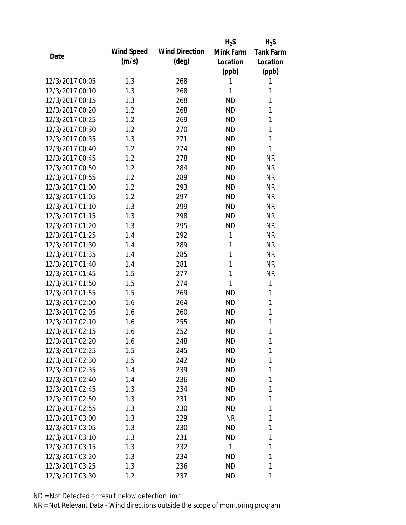|                 |            |                       | $H_2S$       | $H_2S$           |
|-----------------|------------|-----------------------|--------------|------------------|
| Date            | Wind Speed | <b>Wind Direction</b> | Mink Farm    | <b>Tank Farm</b> |
|                 | (m/s)      | $(\text{deg})$        | Location     | Location         |
|                 |            |                       | (ppb)        | (ppb)            |
| 12/3/2017 00:05 | 1.3        | 268                   | 1            | 1                |
| 12/3/2017 00:10 | 1.3        | 268                   | 1            | 1                |
| 12/3/2017 00:15 | 1.3        | 268                   | <b>ND</b>    | 1                |
| 12/3/2017 00:20 | 1.2        | 268                   | <b>ND</b>    | 1                |
| 12/3/2017 00:25 | 1.2        | 269                   | <b>ND</b>    | 1                |
| 12/3/2017 00:30 | 1.2        | 270                   | <b>ND</b>    | 1                |
| 12/3/2017 00:35 | 1.3        | 271                   | <b>ND</b>    | 1                |
| 12/3/2017 00:40 | 1.2        | 274                   | <b>ND</b>    | 1                |
| 12/3/2017 00:45 | 1.2        | 278                   | <b>ND</b>    | <b>NR</b>        |
| 12/3/2017 00:50 | 1.2        | 284                   | <b>ND</b>    | <b>NR</b>        |
| 12/3/2017 00:55 | 1.2        | 289                   | <b>ND</b>    | <b>NR</b>        |
| 12/3/2017 01:00 | 1.2        | 293                   | <b>ND</b>    | <b>NR</b>        |
| 12/3/2017 01:05 | 1.2        | 297                   | <b>ND</b>    | <b>NR</b>        |
| 12/3/2017 01:10 | 1.3        | 299                   | <b>ND</b>    | <b>NR</b>        |
| 12/3/2017 01:15 | 1.3        | 298                   | <b>ND</b>    | <b>NR</b>        |
| 12/3/2017 01:20 | 1.3        | 295                   | <b>ND</b>    | <b>NR</b>        |
| 12/3/2017 01:25 | 1.4        | 292                   | 1            | <b>NR</b>        |
| 12/3/2017 01:30 | 1.4        | 289                   | 1            | <b>NR</b>        |
| 12/3/2017 01:35 | 1.4        | 285                   | 1            | <b>NR</b>        |
| 12/3/2017 01:40 | 1.4        | 281                   | 1            | <b>NR</b>        |
| 12/3/2017 01:45 | 1.5        | 277                   | 1            | <b>NR</b>        |
| 12/3/2017 01:50 | 1.5        | 274                   | 1            | 1                |
| 12/3/2017 01:55 | 1.5        | 269                   | <b>ND</b>    | 1                |
| 12/3/2017 02:00 | 1.6        | 264                   | <b>ND</b>    | 1                |
| 12/3/2017 02:05 | 1.6        | 260                   | <b>ND</b>    | 1                |
| 12/3/2017 02:10 | 1.6        | 255                   | <b>ND</b>    | 1                |
| 12/3/2017 02:15 | 1.6        | 252                   | <b>ND</b>    | 1                |
| 12/3/2017 02:20 | 1.6        | 248                   | <b>ND</b>    | 1                |
| 12/3/2017 02:25 | 1.5        | 245                   | <b>ND</b>    | 1                |
| 12/3/2017 02:30 | 1.5        | 242                   | <b>ND</b>    | 1                |
| 12/3/2017 02:35 | 1.4        | 239                   | <b>ND</b>    | 1                |
| 12/3/2017 02:40 | 1.4        | 236                   | <b>ND</b>    | 1                |
| 12/3/2017 02:45 | 1.3        | 234                   | ND.          | 1                |
| 12/3/2017 02:50 | 1.3        | 231                   | <b>ND</b>    | 1                |
| 12/3/2017 02:55 | 1.3        | 230                   | ND.          | 1                |
| 12/3/2017 03:00 | 1.3        | 229                   | NR           | 1                |
| 12/3/2017 03:05 | 1.3        | 230                   | ND.          | 1                |
| 12/3/2017 03:10 | 1.3        | 231                   | <b>ND</b>    | 1                |
| 12/3/2017 03:15 | 1.3        | 232                   | $\mathbf{1}$ | 1                |
| 12/3/2017 03:20 | 1.3        | 234                   | <b>ND</b>    | 1                |
| 12/3/2017 03:25 | 1.3        | 236                   | <b>ND</b>    | 1                |
| 12/3/2017 03:30 | 1.2        | 237                   | ND           | 1                |
|                 |            |                       |              |                  |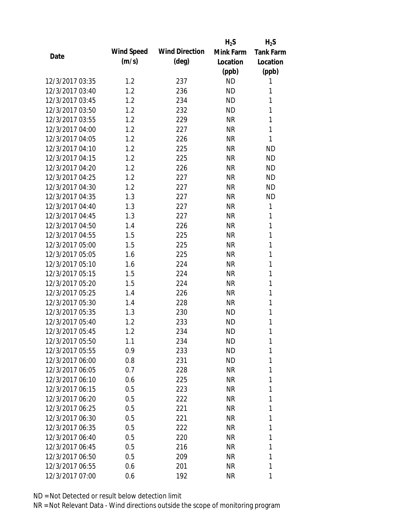|                 |                   |                       | $H_2S$    | $H_2S$           |
|-----------------|-------------------|-----------------------|-----------|------------------|
| Date            | <b>Wind Speed</b> | <b>Wind Direction</b> | Mink Farm | <b>Tank Farm</b> |
|                 | (m/s)             | $(\text{deg})$        | Location  | Location         |
|                 |                   |                       | (ppb)     | (ppb)            |
| 12/3/2017 03:35 | 1.2               | 237                   | <b>ND</b> | 1                |
| 12/3/2017 03:40 | 1.2               | 236                   | <b>ND</b> | 1                |
| 12/3/2017 03:45 | 1.2               | 234                   | <b>ND</b> | 1                |
| 12/3/2017 03:50 | 1.2               | 232                   | <b>ND</b> | 1                |
| 12/3/2017 03:55 | 1.2               | 229                   | <b>NR</b> | 1                |
| 12/3/2017 04:00 | 1.2               | 227                   | <b>NR</b> | 1                |
| 12/3/2017 04:05 | 1.2               | 226                   | <b>NR</b> | 1                |
| 12/3/2017 04:10 | 1.2               | 225                   | <b>NR</b> | <b>ND</b>        |
| 12/3/2017 04:15 | 1.2               | 225                   | <b>NR</b> | <b>ND</b>        |
| 12/3/2017 04:20 | 1.2               | 226                   | <b>NR</b> | <b>ND</b>        |
| 12/3/2017 04:25 | 1.2               | 227                   | <b>NR</b> | <b>ND</b>        |
| 12/3/2017 04:30 | 1.2               | 227                   | <b>NR</b> | <b>ND</b>        |
| 12/3/2017 04:35 | 1.3               | 227                   | <b>NR</b> | <b>ND</b>        |
| 12/3/2017 04:40 | 1.3               | 227                   | <b>NR</b> | 1                |
| 12/3/2017 04:45 | 1.3               | 227                   | <b>NR</b> | 1                |
| 12/3/2017 04:50 | 1.4               | 226                   | <b>NR</b> | 1                |
| 12/3/2017 04:55 | 1.5               | 225                   | <b>NR</b> | 1                |
| 12/3/2017 05:00 | 1.5               | 225                   | <b>NR</b> | 1                |
| 12/3/2017 05:05 | 1.6               | 225                   | <b>NR</b> | 1                |
| 12/3/2017 05:10 | 1.6               | 224                   | <b>NR</b> | 1                |
| 12/3/2017 05:15 | 1.5               | 224                   | <b>NR</b> | 1                |
| 12/3/2017 05:20 | 1.5               | 224                   | <b>NR</b> | 1                |
| 12/3/2017 05:25 | 1.4               | 226                   | <b>NR</b> | 1                |
| 12/3/2017 05:30 | 1.4               | 228                   | <b>NR</b> | 1                |
| 12/3/2017 05:35 | 1.3               | 230                   | <b>ND</b> | 1                |
| 12/3/2017 05:40 | 1.2               | 233                   | <b>ND</b> | 1                |
| 12/3/2017 05:45 | 1.2               | 234                   | <b>ND</b> | 1                |
| 12/3/2017 05:50 | 1.1               | 234                   | ND        | 1                |
| 12/3/2017 05:55 | 0.9               | 233                   | <b>ND</b> | 1                |
| 12/3/2017 06:00 | 0.8               | 231                   | ND        | 1                |
| 12/3/2017 06:05 | 0.7               | 228                   | NR        | 1                |
| 12/3/2017 06:10 | 0.6               | 225                   | NR        | 1                |
| 12/3/2017 06:15 | 0.5               | 223                   | NR        | 1                |
| 12/3/2017 06:20 | 0.5               | 222                   | NR        | 1                |
| 12/3/2017 06:25 | 0.5               | 221                   | NR        | 1                |
| 12/3/2017 06:30 | 0.5               | 221                   | NR        | 1                |
| 12/3/2017 06:35 | 0.5               | 222                   | NR        | 1                |
| 12/3/2017 06:40 | 0.5               | 220                   | NR        | 1                |
| 12/3/2017 06:45 | 0.5               | 216                   | NR        | 1                |
| 12/3/2017 06:50 | 0.5               | 209                   | NR        | 1                |
| 12/3/2017 06:55 | 0.6               | 201                   | NR        | 1                |
| 12/3/2017 07:00 | 0.6               | 192                   | <b>NR</b> | 1                |
|                 |                   |                       |           |                  |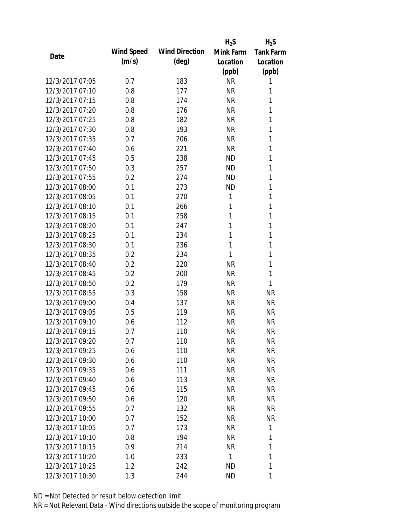|                 |            |                       | $H_2S$    | $H_2S$           |
|-----------------|------------|-----------------------|-----------|------------------|
| Date            | Wind Speed | <b>Wind Direction</b> | Mink Farm | <b>Tank Farm</b> |
|                 | (m/s)      | $(\text{deg})$        | Location  | Location         |
|                 |            |                       | (ppb)     | (ppb)            |
| 12/3/2017 07:05 | 0.7        | 183                   | <b>NR</b> | 1                |
| 12/3/2017 07:10 | 0.8        | 177                   | <b>NR</b> | 1                |
| 12/3/2017 07:15 | 0.8        | 174                   | <b>NR</b> | 1                |
| 12/3/2017 07:20 | 0.8        | 176                   | <b>NR</b> | 1                |
| 12/3/2017 07:25 | 0.8        | 182                   | <b>NR</b> | 1                |
| 12/3/2017 07:30 | 0.8        | 193                   | <b>NR</b> | 1                |
| 12/3/2017 07:35 | 0.7        | 206                   | <b>NR</b> | 1                |
| 12/3/2017 07:40 | 0.6        | 221                   | <b>NR</b> | 1                |
| 12/3/2017 07:45 | 0.5        | 238                   | <b>ND</b> | 1                |
| 12/3/2017 07:50 | 0.3        | 257                   | <b>ND</b> | 1                |
| 12/3/2017 07:55 | 0.2        | 274                   | <b>ND</b> | 1                |
| 12/3/2017 08:00 | 0.1        | 273                   | <b>ND</b> | 1                |
| 12/3/2017 08:05 | 0.1        | 270                   | 1         | 1                |
| 12/3/2017 08:10 | 0.1        | 266                   | 1         | 1                |
| 12/3/2017 08:15 | 0.1        | 258                   | 1         | 1                |
| 12/3/2017 08:20 | 0.1        | 247                   | 1         | 1                |
| 12/3/2017 08:25 | 0.1        | 234                   | 1         | 1                |
| 12/3/2017 08:30 | 0.1        | 236                   | 1         | 1                |
| 12/3/2017 08:35 | 0.2        | 234                   | 1         | 1                |
| 12/3/2017 08:40 | 0.2        | 220                   | <b>NR</b> | 1                |
| 12/3/2017 08:45 | 0.2        | 200                   | <b>NR</b> | 1                |
| 12/3/2017 08:50 | 0.2        | 179                   | <b>NR</b> | 1                |
| 12/3/2017 08:55 | 0.3        | 158                   | <b>NR</b> | <b>NR</b>        |
| 12/3/2017 09:00 | 0.4        | 137                   | <b>NR</b> | <b>NR</b>        |
| 12/3/2017 09:05 | 0.5        | 119                   | <b>NR</b> | <b>NR</b>        |
| 12/3/2017 09:10 | 0.6        | 112                   | <b>NR</b> | <b>NR</b>        |
| 12/3/2017 09:15 | 0.7        | 110                   | <b>NR</b> | <b>NR</b>        |
| 12/3/2017 09:20 | 0.7        | 110                   | <b>NR</b> | NR               |
| 12/3/2017 09:25 | 0.6        | 110                   | <b>NR</b> | <b>NR</b>        |
| 12/3/2017 09:30 | 0.6        | 110                   | <b>NR</b> | <b>NR</b>        |
| 12/3/2017 09:35 | 0.6        | 111                   | <b>NR</b> | <b>NR</b>        |
| 12/3/2017 09:40 | 0.6        | 113                   | <b>NR</b> | NR               |
| 12/3/2017 09:45 | 0.6        | 115                   | <b>NR</b> | <b>NR</b>        |
| 12/3/2017 09:50 | 0.6        | 120                   | <b>NR</b> | <b>NR</b>        |
| 12/3/2017 09:55 | 0.7        | 132                   | <b>NR</b> | <b>NR</b>        |
| 12/3/2017 10:00 | 0.7        | 152                   | <b>NR</b> | <b>NR</b>        |
| 12/3/2017 10:05 | 0.7        | 173                   | <b>NR</b> | 1                |
| 12/3/2017 10:10 | 0.8        | 194                   | NR        | 1                |
| 12/3/2017 10:15 | 0.9        | 214                   | <b>NR</b> | 1                |
| 12/3/2017 10:20 | 1.0        | 233                   | 1         | 1                |
| 12/3/2017 10:25 | 1.2        | 242                   | <b>ND</b> | 1                |
| 12/3/2017 10:30 | 1.3        | 244                   | <b>ND</b> | 1                |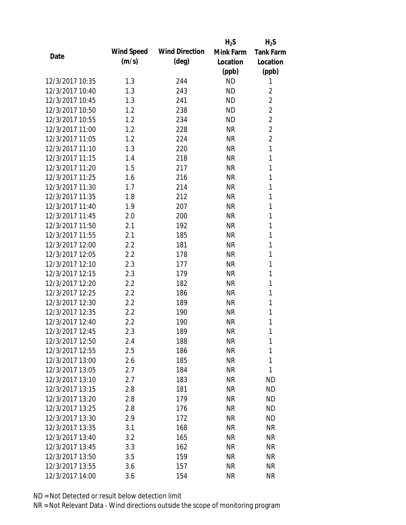|                 |            |                       | $H_2S$    | $H_2S$           |
|-----------------|------------|-----------------------|-----------|------------------|
| Date            | Wind Speed | <b>Wind Direction</b> | Mink Farm | <b>Tank Farm</b> |
|                 | (m/s)      | $(\text{deg})$        | Location  | Location         |
|                 |            |                       | (ppb)     | (ppb)            |
| 12/3/2017 10:35 | 1.3        | 244                   | <b>ND</b> | 1                |
| 12/3/2017 10:40 | 1.3        | 243                   | <b>ND</b> | 2                |
| 12/3/2017 10:45 | 1.3        | 241                   | <b>ND</b> | $\overline{2}$   |
| 12/3/2017 10:50 | 1.2        | 238                   | <b>ND</b> | $\overline{2}$   |
| 12/3/2017 10:55 | 1.2        | 234                   | <b>ND</b> | $\overline{2}$   |
| 12/3/2017 11:00 | 1.2        | 228                   | <b>NR</b> | $\overline{2}$   |
| 12/3/2017 11:05 | 1.2        | 224                   | <b>NR</b> | $\overline{2}$   |
| 12/3/2017 11:10 | 1.3        | 220                   | <b>NR</b> | 1                |
| 12/3/2017 11:15 | 1.4        | 218                   | <b>NR</b> | 1                |
| 12/3/2017 11:20 | 1.5        | 217                   | <b>NR</b> | 1                |
| 12/3/2017 11:25 | 1.6        | 216                   | <b>NR</b> | 1                |
| 12/3/2017 11:30 | 1.7        | 214                   | <b>NR</b> | 1                |
| 12/3/2017 11:35 | 1.8        | 212                   | <b>NR</b> | 1                |
| 12/3/2017 11:40 | 1.9        | 207                   | <b>NR</b> | 1                |
| 12/3/2017 11:45 | 2.0        | 200                   | <b>NR</b> | 1                |
| 12/3/2017 11:50 | 2.1        | 192                   | <b>NR</b> | 1                |
| 12/3/2017 11:55 | 2.1        | 185                   | <b>NR</b> | 1                |
| 12/3/2017 12:00 | 2.2        | 181                   | <b>NR</b> | 1                |
| 12/3/2017 12:05 | 2.2        | 178                   | <b>NR</b> | 1                |
| 12/3/2017 12:10 | 2.3        | 177                   | <b>NR</b> | 1                |
| 12/3/2017 12:15 | 2.3        | 179                   | <b>NR</b> | 1                |
| 12/3/2017 12:20 | 2.2        | 182                   | <b>NR</b> | 1                |
| 12/3/2017 12:25 | 2.2        | 186                   | <b>NR</b> | 1                |
| 12/3/2017 12:30 | 2.2        | 189                   | <b>NR</b> | 1                |
| 12/3/2017 12:35 | 2.2        | 190                   | <b>NR</b> | 1                |
| 12/3/2017 12:40 | 2.2        | 190                   | <b>NR</b> | 1                |
| 12/3/2017 12:45 | 2.3        | 189                   | <b>NR</b> | 1                |
| 12/3/2017 12:50 | 2.4        | 188                   | NR        | 1                |
| 12/3/2017 12:55 | 2.5        | 186                   | <b>NR</b> | 1                |
| 12/3/2017 13:00 | 2.6        | 185                   | <b>NR</b> | 1                |
| 12/3/2017 13:05 | 2.7        | 184                   | <b>NR</b> | 1                |
| 12/3/2017 13:10 | 2.7        | 183                   | <b>NR</b> | <b>ND</b>        |
| 12/3/2017 13:15 | 2.8        | 181                   | <b>NR</b> | <b>ND</b>        |
| 12/3/2017 13:20 | 2.8        | 179                   | <b>NR</b> | <b>ND</b>        |
| 12/3/2017 13:25 | 2.8        | 176                   | <b>NR</b> | <b>ND</b>        |
| 12/3/2017 13:30 | 2.9        | 172                   | <b>NR</b> | <b>ND</b>        |
| 12/3/2017 13:35 | 3.1        | 168                   | NR        | <b>NR</b>        |
| 12/3/2017 13:40 | 3.2        | 165                   | NR        | <b>NR</b>        |
| 12/3/2017 13:45 | 3.3        | 162                   | <b>NR</b> | <b>NR</b>        |
| 12/3/2017 13:50 | 3.5        | 159                   | NR        | NR               |
| 12/3/2017 13:55 | 3.6        | 157                   | <b>NR</b> | <b>NR</b>        |
| 12/3/2017 14:00 | 3.6        | 154                   | <b>NR</b> | <b>NR</b>        |
|                 |            |                       |           |                  |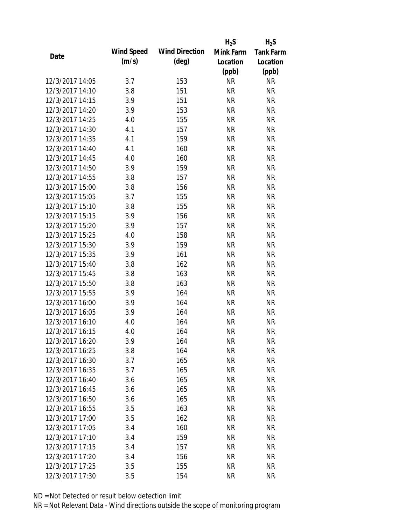|                 |            |                       | $H_2S$    | $H_2S$           |
|-----------------|------------|-----------------------|-----------|------------------|
|                 | Wind Speed | <b>Wind Direction</b> | Mink Farm | <b>Tank Farm</b> |
| Date            | (m/s)      | $(\text{deg})$        | Location  | Location         |
|                 |            |                       | (ppb)     | (ppb)            |
| 12/3/2017 14:05 | 3.7        | 153                   | <b>NR</b> | <b>NR</b>        |
| 12/3/2017 14:10 | 3.8        | 151                   | <b>NR</b> | <b>NR</b>        |
| 12/3/2017 14:15 | 3.9        | 151                   | <b>NR</b> | <b>NR</b>        |
| 12/3/2017 14:20 | 3.9        | 153                   | <b>NR</b> | <b>NR</b>        |
| 12/3/2017 14:25 | 4.0        | 155                   | <b>NR</b> | <b>NR</b>        |
| 12/3/2017 14:30 | 4.1        | 157                   | <b>NR</b> | <b>NR</b>        |
| 12/3/2017 14:35 | 4.1        | 159                   | <b>NR</b> | <b>NR</b>        |
| 12/3/2017 14:40 | 4.1        | 160                   | <b>NR</b> | <b>NR</b>        |
| 12/3/2017 14:45 | 4.0        | 160                   | <b>NR</b> | <b>NR</b>        |
| 12/3/2017 14:50 | 3.9        | 159                   | <b>NR</b> | <b>NR</b>        |
| 12/3/2017 14:55 | 3.8        | 157                   | <b>NR</b> | <b>NR</b>        |
| 12/3/2017 15:00 | 3.8        | 156                   | <b>NR</b> | <b>NR</b>        |
| 12/3/2017 15:05 | 3.7        | 155                   | <b>NR</b> | <b>NR</b>        |
| 12/3/2017 15:10 | 3.8        | 155                   | <b>NR</b> | <b>NR</b>        |
| 12/3/2017 15:15 | 3.9        | 156                   | <b>NR</b> | <b>NR</b>        |
| 12/3/2017 15:20 | 3.9        | 157                   | <b>NR</b> | <b>NR</b>        |
| 12/3/2017 15:25 | 4.0        | 158                   | <b>NR</b> | <b>NR</b>        |
| 12/3/2017 15:30 | 3.9        | 159                   | <b>NR</b> | <b>NR</b>        |
| 12/3/2017 15:35 | 3.9        | 161                   | <b>NR</b> | <b>NR</b>        |
| 12/3/2017 15:40 | 3.8        | 162                   | <b>NR</b> | <b>NR</b>        |
| 12/3/2017 15:45 | 3.8        | 163                   | <b>NR</b> | <b>NR</b>        |
| 12/3/2017 15:50 | 3.8        | 163                   | <b>NR</b> | <b>NR</b>        |
| 12/3/2017 15:55 | 3.9        | 164                   | <b>NR</b> | <b>NR</b>        |
| 12/3/2017 16:00 | 3.9        | 164                   | <b>NR</b> | <b>NR</b>        |
| 12/3/2017 16:05 | 3.9        | 164                   | <b>NR</b> | <b>NR</b>        |
| 12/3/2017 16:10 | 4.0        | 164                   | <b>NR</b> | <b>NR</b>        |
| 12/3/2017 16:15 | 4.0        | 164                   | <b>NR</b> | <b>NR</b>        |
| 12/3/2017 16:20 | 3.9        | 164                   | <b>NR</b> | NR               |
| 12/3/2017 16:25 | 3.8        | 164                   | <b>NR</b> | <b>NR</b>        |
| 12/3/2017 16:30 | 3.7        | 165                   | NR        | <b>NR</b>        |
| 12/3/2017 16:35 | 3.7        | 165                   | <b>NR</b> | <b>NR</b>        |
| 12/3/2017 16:40 | 3.6        | 165                   | <b>NR</b> | NR               |
| 12/3/2017 16:45 | 3.6        | 165                   | <b>NR</b> | <b>NR</b>        |
| 12/3/2017 16:50 | 3.6        | 165                   | <b>NR</b> | <b>NR</b>        |
| 12/3/2017 16:55 | 3.5        | 163                   | <b>NR</b> | <b>NR</b>        |
| 12/3/2017 17:00 | 3.5        | 162                   | <b>NR</b> | <b>NR</b>        |
| 12/3/2017 17:05 | 3.4        | 160                   | <b>NR</b> | <b>NR</b>        |
| 12/3/2017 17:10 | 3.4        | 159                   | NR        | <b>NR</b>        |
| 12/3/2017 17:15 | 3.4        | 157                   | <b>NR</b> | <b>NR</b>        |
| 12/3/2017 17:20 | 3.4        | 156                   | NR        | NR               |
| 12/3/2017 17:25 | 3.5        | 155                   | <b>NR</b> | <b>NR</b>        |
| 12/3/2017 17:30 | 3.5        | 154                   | <b>NR</b> | <b>NR</b>        |
|                 |            |                       |           |                  |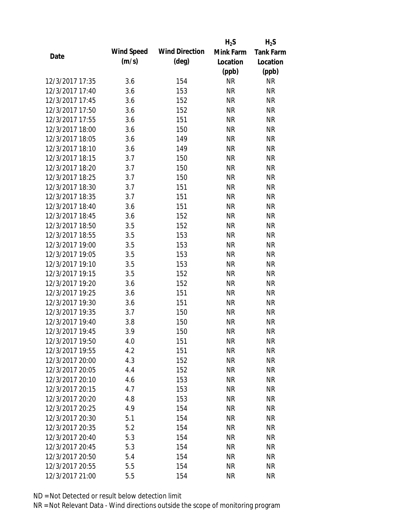|                 |            |                       | $H_2S$    | $H_2S$           |
|-----------------|------------|-----------------------|-----------|------------------|
| Date            | Wind Speed | <b>Wind Direction</b> | Mink Farm | <b>Tank Farm</b> |
|                 | (m/s)      | $(\text{deg})$        | Location  | Location         |
|                 |            |                       | (ppb)     | (ppb)            |
| 12/3/2017 17:35 | 3.6        | 154                   | <b>NR</b> | <b>NR</b>        |
| 12/3/2017 17:40 | 3.6        | 153                   | <b>NR</b> | <b>NR</b>        |
| 12/3/2017 17:45 | 3.6        | 152                   | <b>NR</b> | <b>NR</b>        |
| 12/3/2017 17:50 | 3.6        | 152                   | <b>NR</b> | <b>NR</b>        |
| 12/3/2017 17:55 | 3.6        | 151                   | <b>NR</b> | <b>NR</b>        |
| 12/3/2017 18:00 | 3.6        | 150                   | <b>NR</b> | <b>NR</b>        |
| 12/3/2017 18:05 | 3.6        | 149                   | <b>NR</b> | <b>NR</b>        |
| 12/3/2017 18:10 | 3.6        | 149                   | <b>NR</b> | <b>NR</b>        |
| 12/3/2017 18:15 | 3.7        | 150                   | <b>NR</b> | <b>NR</b>        |
| 12/3/2017 18:20 | 3.7        | 150                   | <b>NR</b> | <b>NR</b>        |
| 12/3/2017 18:25 | 3.7        | 150                   | <b>NR</b> | <b>NR</b>        |
| 12/3/2017 18:30 | 3.7        | 151                   | <b>NR</b> | <b>NR</b>        |
| 12/3/2017 18:35 | 3.7        | 151                   | <b>NR</b> | <b>NR</b>        |
| 12/3/2017 18:40 | 3.6        | 151                   | <b>NR</b> | <b>NR</b>        |
| 12/3/2017 18:45 | 3.6        | 152                   | <b>NR</b> | <b>NR</b>        |
| 12/3/2017 18:50 | 3.5        | 152                   | <b>NR</b> | <b>NR</b>        |
| 12/3/2017 18:55 | 3.5        | 153                   | <b>NR</b> | <b>NR</b>        |
| 12/3/2017 19:00 | 3.5        | 153                   | <b>NR</b> | <b>NR</b>        |
| 12/3/2017 19:05 | 3.5        | 153                   | <b>NR</b> | <b>NR</b>        |
| 12/3/2017 19:10 | 3.5        | 153                   | <b>NR</b> | <b>NR</b>        |
| 12/3/2017 19:15 | 3.5        | 152                   | <b>NR</b> | <b>NR</b>        |
| 12/3/2017 19:20 | 3.6        | 152                   | <b>NR</b> | <b>NR</b>        |
| 12/3/2017 19:25 | 3.6        | 151                   | <b>NR</b> | <b>NR</b>        |
| 12/3/2017 19:30 | 3.6        | 151                   | <b>NR</b> | <b>NR</b>        |
| 12/3/2017 19:35 | 3.7        | 150                   | <b>NR</b> | <b>NR</b>        |
| 12/3/2017 19:40 | 3.8        | 150                   | <b>NR</b> | <b>NR</b>        |
| 12/3/2017 19:45 | 3.9        | 150                   | <b>NR</b> | <b>NR</b>        |
| 12/3/2017 19:50 | 4.0        | 151                   | NR        | NR               |
| 12/3/2017 19:55 | 4.2        | 151                   | <b>NR</b> | <b>NR</b>        |
| 12/3/2017 20:00 | 4.3        | 152                   | <b>NR</b> | <b>NR</b>        |
| 12/3/2017 20:05 | 4.4        | 152                   | <b>NR</b> | <b>NR</b>        |
| 12/3/2017 20:10 | 4.6        | 153                   | <b>NR</b> | <b>NR</b>        |
| 12/3/2017 20:15 | 4.7        | 153                   | <b>NR</b> | <b>NR</b>        |
| 12/3/2017 20:20 | 4.8        | 153                   | <b>NR</b> | <b>NR</b>        |
| 12/3/2017 20:25 | 4.9        | 154                   | <b>NR</b> | <b>NR</b>        |
| 12/3/2017 20:30 | 5.1        | 154                   | <b>NR</b> | <b>NR</b>        |
| 12/3/2017 20:35 | 5.2        | 154                   | <b>NR</b> | <b>NR</b>        |
| 12/3/2017 20:40 | 5.3        | 154                   | NR        | <b>NR</b>        |
| 12/3/2017 20:45 | 5.3        | 154                   | <b>NR</b> | <b>NR</b>        |
| 12/3/2017 20:50 | 5.4        | 154                   | <b>NR</b> | <b>NR</b>        |
| 12/3/2017 20:55 | 5.5        | 154                   | <b>NR</b> | <b>NR</b>        |
| 12/3/2017 21:00 | 5.5        | 154                   | <b>NR</b> | <b>NR</b>        |
|                 |            |                       |           |                  |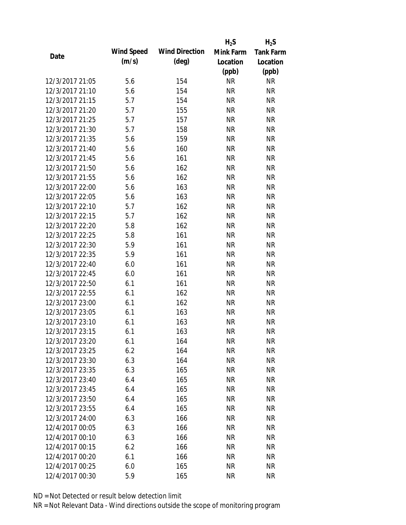|                 |            |                       | $H_2S$    | $H_2S$           |
|-----------------|------------|-----------------------|-----------|------------------|
| Date            | Wind Speed | <b>Wind Direction</b> | Mink Farm | <b>Tank Farm</b> |
|                 | (m/s)      | $(\text{deg})$        | Location  | Location         |
|                 |            |                       | (ppb)     | (ppb)            |
| 12/3/2017 21:05 | 5.6        | 154                   | <b>NR</b> | <b>NR</b>        |
| 12/3/2017 21:10 | 5.6        | 154                   | <b>NR</b> | <b>NR</b>        |
| 12/3/2017 21:15 | 5.7        | 154                   | <b>NR</b> | <b>NR</b>        |
| 12/3/2017 21:20 | 5.7        | 155                   | <b>NR</b> | <b>NR</b>        |
| 12/3/2017 21:25 | 5.7        | 157                   | <b>NR</b> | <b>NR</b>        |
| 12/3/2017 21:30 | 5.7        | 158                   | <b>NR</b> | <b>NR</b>        |
| 12/3/2017 21:35 | 5.6        | 159                   | <b>NR</b> | <b>NR</b>        |
| 12/3/2017 21:40 | 5.6        | 160                   | <b>NR</b> | <b>NR</b>        |
| 12/3/2017 21:45 | 5.6        | 161                   | <b>NR</b> | <b>NR</b>        |
| 12/3/2017 21:50 | 5.6        | 162                   | <b>NR</b> | <b>NR</b>        |
| 12/3/2017 21:55 | 5.6        | 162                   | <b>NR</b> | <b>NR</b>        |
| 12/3/2017 22:00 | 5.6        | 163                   | <b>NR</b> | <b>NR</b>        |
| 12/3/2017 22:05 | 5.6        | 163                   | <b>NR</b> | <b>NR</b>        |
| 12/3/2017 22:10 | 5.7        | 162                   | <b>NR</b> | <b>NR</b>        |
| 12/3/2017 22:15 | 5.7        | 162                   | <b>NR</b> | <b>NR</b>        |
| 12/3/2017 22:20 | 5.8        | 162                   | <b>NR</b> | <b>NR</b>        |
| 12/3/2017 22:25 | 5.8        | 161                   | <b>NR</b> | <b>NR</b>        |
| 12/3/2017 22:30 | 5.9        | 161                   | <b>NR</b> | <b>NR</b>        |
| 12/3/2017 22:35 | 5.9        | 161                   | <b>NR</b> | <b>NR</b>        |
| 12/3/2017 22:40 | 6.0        | 161                   | <b>NR</b> | <b>NR</b>        |
| 12/3/2017 22:45 | 6.0        | 161                   | <b>NR</b> | <b>NR</b>        |
| 12/3/2017 22:50 | 6.1        | 161                   | <b>NR</b> | <b>NR</b>        |
| 12/3/2017 22:55 | 6.1        | 162                   | <b>NR</b> | <b>NR</b>        |
| 12/3/2017 23:00 | 6.1        | 162                   | <b>NR</b> | <b>NR</b>        |
| 12/3/2017 23:05 | 6.1        | 163                   | <b>NR</b> | <b>NR</b>        |
| 12/3/2017 23:10 | 6.1        | 163                   | <b>NR</b> | <b>NR</b>        |
| 12/3/2017 23:15 | 6.1        | 163                   | <b>NR</b> | <b>NR</b>        |
| 12/3/2017 23:20 | 6.1        | 164                   | <b>NR</b> | NR               |
| 12/3/2017 23:25 | 6.2        | 164                   | <b>NR</b> | <b>NR</b>        |
| 12/3/2017 23:30 | 6.3        | 164                   | NR        | <b>NR</b>        |
| 12/3/2017 23:35 | 6.3        | 165                   | <b>NR</b> | <b>NR</b>        |
| 12/3/2017 23:40 | 6.4        | 165                   | <b>NR</b> | NR               |
| 12/3/2017 23:45 | 6.4        | 165                   | <b>NR</b> | <b>NR</b>        |
| 12/3/2017 23:50 | 6.4        | 165                   | <b>NR</b> | <b>NR</b>        |
| 12/3/2017 23:55 | 6.4        | 165                   | <b>NR</b> | <b>NR</b>        |
| 12/3/2017 24:00 | 6.3        | 166                   | NR        | <b>NR</b>        |
| 12/4/2017 00:05 | 6.3        | 166                   | <b>NR</b> | <b>NR</b>        |
| 12/4/2017 00:10 | 6.3        | 166                   | NR        | <b>NR</b>        |
| 12/4/2017 00:15 | 6.2        | 166                   | <b>NR</b> | <b>NR</b>        |
| 12/4/2017 00:20 | 6.1        | 166                   | NR        | NR               |
| 12/4/2017 00:25 | 6.0        | 165                   | <b>NR</b> | <b>NR</b>        |
| 12/4/2017 00:30 | 5.9        | 165                   | <b>NR</b> | <b>NR</b>        |
|                 |            |                       |           |                  |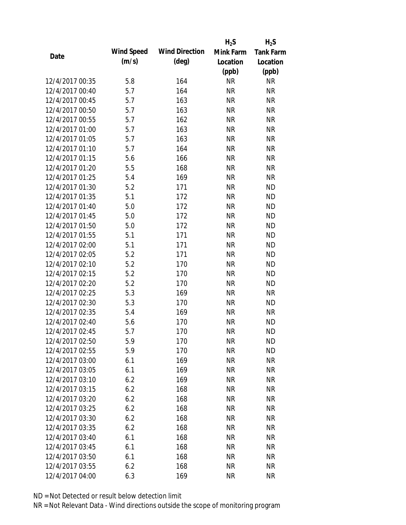|                 |            |                       | $H_2S$    | $H_2S$           |
|-----------------|------------|-----------------------|-----------|------------------|
| Date            | Wind Speed | <b>Wind Direction</b> | Mink Farm | <b>Tank Farm</b> |
|                 | (m/s)      | $(\text{deg})$        | Location  | Location         |
|                 |            |                       | (ppb)     | (ppb)            |
| 12/4/2017 00:35 | 5.8        | 164                   | <b>NR</b> | <b>NR</b>        |
| 12/4/2017 00:40 | 5.7        | 164                   | <b>NR</b> | <b>NR</b>        |
| 12/4/2017 00:45 | 5.7        | 163                   | <b>NR</b> | <b>NR</b>        |
| 12/4/2017 00:50 | 5.7        | 163                   | <b>NR</b> | <b>NR</b>        |
| 12/4/2017 00:55 | 5.7        | 162                   | <b>NR</b> | <b>NR</b>        |
| 12/4/2017 01:00 | 5.7        | 163                   | <b>NR</b> | <b>NR</b>        |
| 12/4/2017 01:05 | 5.7        | 163                   | <b>NR</b> | <b>NR</b>        |
| 12/4/2017 01:10 | 5.7        | 164                   | <b>NR</b> | <b>NR</b>        |
| 12/4/2017 01:15 | 5.6        | 166                   | <b>NR</b> | <b>NR</b>        |
| 12/4/2017 01:20 | 5.5        | 168                   | <b>NR</b> | <b>NR</b>        |
| 12/4/2017 01:25 | 5.4        | 169                   | <b>NR</b> | <b>NR</b>        |
| 12/4/2017 01:30 | 5.2        | 171                   | <b>NR</b> | <b>ND</b>        |
| 12/4/2017 01:35 | 5.1        | 172                   | <b>NR</b> | <b>ND</b>        |
| 12/4/2017 01:40 | 5.0        | 172                   | <b>NR</b> | <b>ND</b>        |
| 12/4/2017 01:45 | 5.0        | 172                   | <b>NR</b> | <b>ND</b>        |
| 12/4/2017 01:50 | 5.0        | 172                   | <b>NR</b> | <b>ND</b>        |
| 12/4/2017 01:55 | 5.1        | 171                   | <b>NR</b> | <b>ND</b>        |
| 12/4/2017 02:00 | 5.1        | 171                   | <b>NR</b> | <b>ND</b>        |
| 12/4/2017 02:05 | 5.2        | 171                   | <b>NR</b> | <b>ND</b>        |
| 12/4/2017 02:10 | 5.2        | 170                   | <b>NR</b> | <b>ND</b>        |
| 12/4/2017 02:15 | 5.2        | 170                   | <b>NR</b> | <b>ND</b>        |
| 12/4/2017 02:20 | 5.2        | 170                   | <b>NR</b> | <b>ND</b>        |
| 12/4/2017 02:25 | 5.3        | 169                   | <b>NR</b> | <b>NR</b>        |
| 12/4/2017 02:30 | 5.3        | 170                   | <b>NR</b> | <b>ND</b>        |
| 12/4/2017 02:35 | 5.4        | 169                   | <b>NR</b> | <b>NR</b>        |
| 12/4/2017 02:40 | 5.6        | 170                   | <b>NR</b> | <b>ND</b>        |
| 12/4/2017 02:45 | 5.7        | 170                   | <b>NR</b> | <b>ND</b>        |
| 12/4/2017 02:50 | 5.9        | 170                   | <b>NR</b> | <b>ND</b>        |
| 12/4/2017 02:55 | 5.9        | 170                   | <b>NR</b> | <b>ND</b>        |
| 12/4/2017 03:00 | 6.1        | 169                   | <b>NR</b> | <b>NR</b>        |
| 12/4/2017 03:05 | 6.1        | 169                   | <b>NR</b> | <b>NR</b>        |
| 12/4/2017 03:10 | 6.2        | 169                   | <b>NR</b> | <b>NR</b>        |
| 12/4/2017 03:15 | 6.2        | 168                   | <b>NR</b> | <b>NR</b>        |
| 12/4/2017 03:20 | 6.2        | 168                   | <b>NR</b> | <b>NR</b>        |
| 12/4/2017 03:25 | 6.2        | 168                   | <b>NR</b> | <b>NR</b>        |
| 12/4/2017 03:30 | 6.2        | 168                   | <b>NR</b> | <b>NR</b>        |
| 12/4/2017 03:35 | 6.2        | 168                   | <b>NR</b> | <b>NR</b>        |
| 12/4/2017 03:40 | 6.1        | 168                   | NR        | <b>NR</b>        |
| 12/4/2017 03:45 | 6.1        | 168                   | <b>NR</b> | <b>NR</b>        |
| 12/4/2017 03:50 | 6.1        | 168                   | <b>NR</b> | <b>NR</b>        |
| 12/4/2017 03:55 | 6.2        | 168                   | <b>NR</b> | <b>NR</b>        |
| 12/4/2017 04:00 | 6.3        | 169                   | <b>NR</b> | <b>NR</b>        |
|                 |            |                       |           |                  |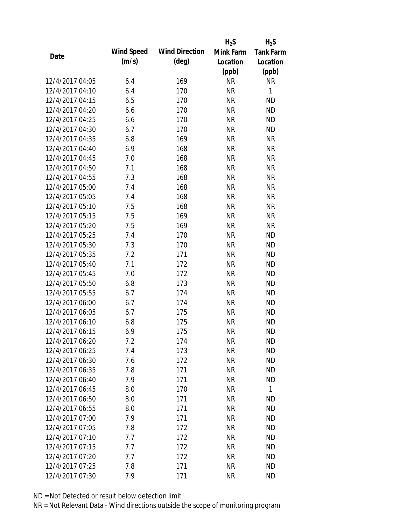|                 |            |                       | $H_2S$    | $H_2S$           |
|-----------------|------------|-----------------------|-----------|------------------|
|                 | Wind Speed | <b>Wind Direction</b> | Mink Farm | <b>Tank Farm</b> |
| Date            | (m/s)      | $(\text{deg})$        | Location  | Location         |
|                 |            |                       | (ppb)     | (ppb)            |
| 12/4/2017 04:05 | 6.4        | 169                   | <b>NR</b> | <b>NR</b>        |
| 12/4/2017 04:10 | 6.4        | 170                   | <b>NR</b> | $\mathbf{1}$     |
| 12/4/2017 04:15 | 6.5        | 170                   | <b>NR</b> | <b>ND</b>        |
| 12/4/2017 04:20 | 6.6        | 170                   | <b>NR</b> | <b>ND</b>        |
| 12/4/2017 04:25 | 6.6        | 170                   | <b>NR</b> | <b>ND</b>        |
| 12/4/2017 04:30 | 6.7        | 170                   | <b>NR</b> | <b>ND</b>        |
| 12/4/2017 04:35 | 6.8        | 169                   | <b>NR</b> | <b>NR</b>        |
| 12/4/2017 04:40 | 6.9        | 168                   | <b>NR</b> | <b>NR</b>        |
| 12/4/2017 04:45 | 7.0        | 168                   | <b>NR</b> | <b>NR</b>        |
| 12/4/2017 04:50 | 7.1        | 168                   | <b>NR</b> | <b>NR</b>        |
| 12/4/2017 04:55 | 7.3        | 168                   | <b>NR</b> | <b>NR</b>        |
| 12/4/2017 05:00 | 7.4        | 168                   | <b>NR</b> | <b>NR</b>        |
| 12/4/2017 05:05 | 7.4        | 168                   | <b>NR</b> | <b>NR</b>        |
| 12/4/2017 05:10 | 7.5        | 168                   | <b>NR</b> | <b>NR</b>        |
| 12/4/2017 05:15 | 7.5        | 169                   | <b>NR</b> | <b>NR</b>        |
| 12/4/2017 05:20 | 7.5        | 169                   | <b>NR</b> | <b>NR</b>        |
| 12/4/2017 05:25 | 7.4        | 170                   | <b>NR</b> | <b>ND</b>        |
| 12/4/2017 05:30 | 7.3        | 170                   | <b>NR</b> | <b>ND</b>        |
| 12/4/2017 05:35 | 7.2        | 171                   | <b>NR</b> | <b>ND</b>        |
| 12/4/2017 05:40 | 7.1        | 172                   | <b>NR</b> | <b>ND</b>        |
| 12/4/2017 05:45 | 7.0        | 172                   | <b>NR</b> | <b>ND</b>        |
| 12/4/2017 05:50 | 6.8        | 173                   | <b>NR</b> | <b>ND</b>        |
| 12/4/2017 05:55 | 6.7        | 174                   | <b>NR</b> | <b>ND</b>        |
| 12/4/2017 06:00 | 6.7        | 174                   | <b>NR</b> | <b>ND</b>        |
| 12/4/2017 06:05 | 6.7        | 175                   | <b>NR</b> | <b>ND</b>        |
| 12/4/2017 06:10 | 6.8        | 175                   | <b>NR</b> | <b>ND</b>        |
| 12/4/2017 06:15 | 6.9        | 175                   | <b>NR</b> | <b>ND</b>        |
| 12/4/2017 06:20 | 7.2        | 174                   | NR        | <b>ND</b>        |
| 12/4/2017 06:25 | 7.4        | 173                   | <b>NR</b> | <b>ND</b>        |
| 12/4/2017 06:30 | 7.6        | 172                   | <b>NR</b> | <b>ND</b>        |
| 12/4/2017 06:35 | 7.8        | 171                   | <b>NR</b> | <b>ND</b>        |
| 12/4/2017 06:40 | 7.9        | 171                   | <b>NR</b> | <b>ND</b>        |
| 12/4/2017 06:45 | 8.0        | 170                   | <b>NR</b> | $\mathbf{1}$     |
| 12/4/2017 06:50 | 8.0        | 171                   | <b>NR</b> | <b>ND</b>        |
| 12/4/2017 06:55 | 8.0        | 171                   | <b>NR</b> | <b>ND</b>        |
| 12/4/2017 07:00 | 7.9        | 171                   | <b>NR</b> | <b>ND</b>        |
| 12/4/2017 07:05 | 7.8        | 172                   | <b>NR</b> | <b>ND</b>        |
| 12/4/2017 07:10 | 7.7        | 172                   | <b>NR</b> | <b>ND</b>        |
| 12/4/2017 07:15 | 7.7        | 172                   | <b>NR</b> | <b>ND</b>        |
| 12/4/2017 07:20 | 7.7        | 172                   | <b>NR</b> | <b>ND</b>        |
| 12/4/2017 07:25 | 7.8        | 171                   | <b>NR</b> | <b>ND</b>        |
| 12/4/2017 07:30 | 7.9        | 171                   | <b>NR</b> | <b>ND</b>        |
|                 |            |                       |           |                  |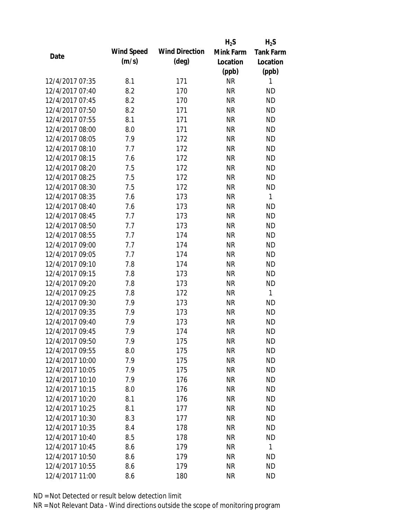|                 |            |                       | $H_2S$    | $H_2S$           |
|-----------------|------------|-----------------------|-----------|------------------|
| Date            | Wind Speed | <b>Wind Direction</b> | Mink Farm | <b>Tank Farm</b> |
|                 | (m/s)      | $(\text{deg})$        | Location  | Location         |
|                 |            |                       | (ppb)     | (ppb)            |
| 12/4/2017 07:35 | 8.1        | 171                   | <b>NR</b> | 1                |
| 12/4/2017 07:40 | 8.2        | 170                   | <b>NR</b> | <b>ND</b>        |
| 12/4/2017 07:45 | 8.2        | 170                   | <b>NR</b> | <b>ND</b>        |
| 12/4/2017 07:50 | 8.2        | 171                   | <b>NR</b> | <b>ND</b>        |
| 12/4/2017 07:55 | 8.1        | 171                   | <b>NR</b> | <b>ND</b>        |
| 12/4/2017 08:00 | 8.0        | 171                   | <b>NR</b> | <b>ND</b>        |
| 12/4/2017 08:05 | 7.9        | 172                   | <b>NR</b> | <b>ND</b>        |
| 12/4/2017 08:10 | 7.7        | 172                   | <b>NR</b> | <b>ND</b>        |
| 12/4/2017 08:15 | 7.6        | 172                   | <b>NR</b> | <b>ND</b>        |
| 12/4/2017 08:20 | 7.5        | 172                   | <b>NR</b> | <b>ND</b>        |
| 12/4/2017 08:25 | 7.5        | 172                   | <b>NR</b> | <b>ND</b>        |
| 12/4/2017 08:30 | 7.5        | 172                   | <b>NR</b> | <b>ND</b>        |
| 12/4/2017 08:35 | 7.6        | 173                   | <b>NR</b> | $\mathbf{1}$     |
| 12/4/2017 08:40 | 7.6        | 173                   | <b>NR</b> | <b>ND</b>        |
| 12/4/2017 08:45 | 7.7        | 173                   | <b>NR</b> | <b>ND</b>        |
| 12/4/2017 08:50 | 7.7        | 173                   | <b>NR</b> | <b>ND</b>        |
| 12/4/2017 08:55 | 7.7        | 174                   | <b>NR</b> | <b>ND</b>        |
| 12/4/2017 09:00 | 7.7        | 174                   | <b>NR</b> | <b>ND</b>        |
| 12/4/2017 09:05 | 7.7        | 174                   | <b>NR</b> | <b>ND</b>        |
| 12/4/2017 09:10 | 7.8        | 174                   | <b>NR</b> | <b>ND</b>        |
| 12/4/2017 09:15 | 7.8        | 173                   | <b>NR</b> | <b>ND</b>        |
| 12/4/2017 09:20 | 7.8        | 173                   | <b>NR</b> | <b>ND</b>        |
| 12/4/2017 09:25 | 7.8        | 172                   | <b>NR</b> | 1                |
| 12/4/2017 09:30 | 7.9        | 173                   | <b>NR</b> | <b>ND</b>        |
| 12/4/2017 09:35 | 7.9        | 173                   | <b>NR</b> | <b>ND</b>        |
| 12/4/2017 09:40 | 7.9        | 173                   | <b>NR</b> | <b>ND</b>        |
| 12/4/2017 09:45 | 7.9        | 174                   | <b>NR</b> | <b>ND</b>        |
| 12/4/2017 09:50 | 7.9        | 175                   | <b>NR</b> | <b>ND</b>        |
| 12/4/2017 09:55 | 8.0        | 175                   | <b>NR</b> | <b>ND</b>        |
| 12/4/2017 10:00 | 7.9        | 175                   | <b>NR</b> | <b>ND</b>        |
| 12/4/2017 10:05 | 7.9        | 175                   | <b>NR</b> | <b>ND</b>        |
| 12/4/2017 10:10 | 7.9        | 176                   | <b>NR</b> | <b>ND</b>        |
| 12/4/2017 10:15 | 8.0        | 176                   | <b>NR</b> | <b>ND</b>        |
| 12/4/2017 10:20 | 8.1        | 176                   | <b>NR</b> | <b>ND</b>        |
| 12/4/2017 10:25 | 8.1        | 177                   | <b>NR</b> | <b>ND</b>        |
| 12/4/2017 10:30 | 8.3        | 177                   | <b>NR</b> | <b>ND</b>        |
| 12/4/2017 10:35 | 8.4        | 178                   | <b>NR</b> | <b>ND</b>        |
| 12/4/2017 10:40 | 8.5        | 178                   | NR        | <b>ND</b>        |
| 12/4/2017 10:45 | 8.6        | 179                   | <b>NR</b> | $\mathbf{1}$     |
| 12/4/2017 10:50 | 8.6        | 179                   | <b>NR</b> | <b>ND</b>        |
| 12/4/2017 10:55 | 8.6        | 179                   | <b>NR</b> | <b>ND</b>        |
| 12/4/2017 11:00 | 8.6        | 180                   | <b>NR</b> | <b>ND</b>        |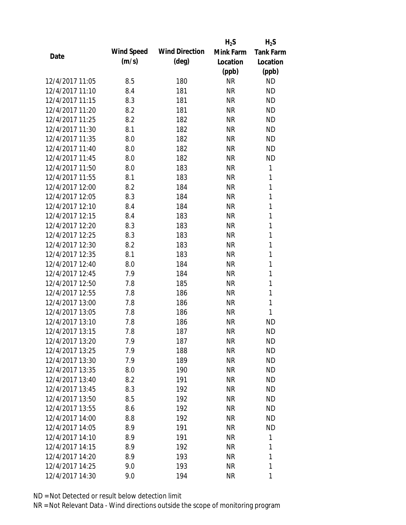|                 |            |                       | $H_2S$    | $H_2S$           |
|-----------------|------------|-----------------------|-----------|------------------|
| Date            | Wind Speed | <b>Wind Direction</b> | Mink Farm | <b>Tank Farm</b> |
|                 | (m/s)      | $(\text{deg})$        | Location  | Location         |
|                 |            |                       | (ppb)     | (ppb)            |
| 12/4/2017 11:05 | 8.5        | 180                   | <b>NR</b> | <b>ND</b>        |
| 12/4/2017 11:10 | 8.4        | 181                   | <b>NR</b> | <b>ND</b>        |
| 12/4/2017 11:15 | 8.3        | 181                   | <b>NR</b> | <b>ND</b>        |
| 12/4/2017 11:20 | 8.2        | 181                   | <b>NR</b> | <b>ND</b>        |
| 12/4/2017 11:25 | 8.2        | 182                   | <b>NR</b> | <b>ND</b>        |
| 12/4/2017 11:30 | 8.1        | 182                   | <b>NR</b> | <b>ND</b>        |
| 12/4/2017 11:35 | 8.0        | 182                   | <b>NR</b> | <b>ND</b>        |
| 12/4/2017 11:40 | 8.0        | 182                   | <b>NR</b> | <b>ND</b>        |
| 12/4/2017 11:45 | 8.0        | 182                   | <b>NR</b> | <b>ND</b>        |
| 12/4/2017 11:50 | 8.0        | 183                   | <b>NR</b> | 1                |
| 12/4/2017 11:55 | 8.1        | 183                   | <b>NR</b> | 1                |
| 12/4/2017 12:00 | 8.2        | 184                   | <b>NR</b> | $\mathbf{1}$     |
| 12/4/2017 12:05 | 8.3        | 184                   | <b>NR</b> | 1                |
| 12/4/2017 12:10 | 8.4        | 184                   | <b>NR</b> | 1                |
| 12/4/2017 12:15 | 8.4        | 183                   | <b>NR</b> | 1                |
| 12/4/2017 12:20 | 8.3        | 183                   | <b>NR</b> | 1                |
| 12/4/2017 12:25 | 8.3        | 183                   | <b>NR</b> | 1                |
| 12/4/2017 12:30 | 8.2        | 183                   | <b>NR</b> | $\mathbf{1}$     |
| 12/4/2017 12:35 | 8.1        | 183                   | <b>NR</b> | $\mathbf{1}$     |
| 12/4/2017 12:40 | 8.0        | 184                   | <b>NR</b> | 1                |
| 12/4/2017 12:45 | 7.9        | 184                   | <b>NR</b> | 1                |
| 12/4/2017 12:50 | 7.8        | 185                   | <b>NR</b> | 1                |
| 12/4/2017 12:55 | 7.8        | 186                   | <b>NR</b> | 1                |
| 12/4/2017 13:00 | 7.8        | 186                   | <b>NR</b> | $\mathbf{1}$     |
| 12/4/2017 13:05 | 7.8        | 186                   | <b>NR</b> | 1                |
| 12/4/2017 13:10 | 7.8        | 186                   | <b>NR</b> | <b>ND</b>        |
| 12/4/2017 13:15 | 7.8        | 187                   | <b>NR</b> | <b>ND</b>        |
| 12/4/2017 13:20 | 7.9        | 187                   | NR        | <b>ND</b>        |
| 12/4/2017 13:25 | 7.9        | 188                   | <b>NR</b> | <b>ND</b>        |
| 12/4/2017 13:30 | 7.9        | 189                   | <b>NR</b> | <b>ND</b>        |
| 12/4/2017 13:35 | 8.0        | 190                   | <b>NR</b> | <b>ND</b>        |
| 12/4/2017 13:40 | 8.2        | 191                   | NR        | <b>ND</b>        |
| 12/4/2017 13:45 | 8.3        | 192                   | <b>NR</b> | <b>ND</b>        |
| 12/4/2017 13:50 | 8.5        | 192                   | <b>NR</b> | <b>ND</b>        |
| 12/4/2017 13:55 | 8.6        | 192                   | <b>NR</b> | <b>ND</b>        |
| 12/4/2017 14:00 | 8.8        | 192                   | <b>NR</b> | <b>ND</b>        |
| 12/4/2017 14:05 | 8.9        | 191                   | <b>NR</b> | <b>ND</b>        |
| 12/4/2017 14:10 | 8.9        | 191                   | NR        | 1                |
| 12/4/2017 14:15 | 8.9        | 192                   | NR        | 1                |
| 12/4/2017 14:20 | 8.9        | 193                   | NR        | 1                |
| 12/4/2017 14:25 | 9.0        | 193                   | <b>NR</b> | 1                |
| 12/4/2017 14:30 | 9.0        | 194                   | <b>NR</b> | 1                |
|                 |            |                       |           |                  |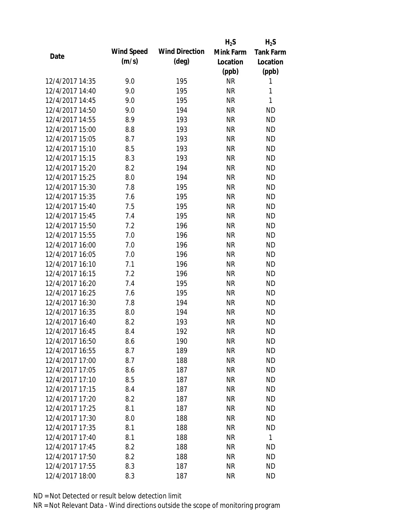|                 |            |                       | $H_2S$    | $H_2S$           |
|-----------------|------------|-----------------------|-----------|------------------|
| Date            | Wind Speed | <b>Wind Direction</b> | Mink Farm | <b>Tank Farm</b> |
|                 | (m/s)      | $(\text{deg})$        | Location  | Location         |
|                 |            |                       | (ppb)     | (ppb)            |
| 12/4/2017 14:35 | 9.0        | 195                   | <b>NR</b> | 1                |
| 12/4/2017 14:40 | 9.0        | 195                   | <b>NR</b> | 1                |
| 12/4/2017 14:45 | 9.0        | 195                   | <b>NR</b> | 1                |
| 12/4/2017 14:50 | 9.0        | 194                   | <b>NR</b> | <b>ND</b>        |
| 12/4/2017 14:55 | 8.9        | 193                   | <b>NR</b> | <b>ND</b>        |
| 12/4/2017 15:00 | 8.8        | 193                   | <b>NR</b> | <b>ND</b>        |
| 12/4/2017 15:05 | 8.7        | 193                   | <b>NR</b> | <b>ND</b>        |
| 12/4/2017 15:10 | 8.5        | 193                   | <b>NR</b> | <b>ND</b>        |
| 12/4/2017 15:15 | 8.3        | 193                   | <b>NR</b> | <b>ND</b>        |
| 12/4/2017 15:20 | 8.2        | 194                   | <b>NR</b> | <b>ND</b>        |
| 12/4/2017 15:25 | 8.0        | 194                   | <b>NR</b> | <b>ND</b>        |
| 12/4/2017 15:30 | 7.8        | 195                   | <b>NR</b> | <b>ND</b>        |
| 12/4/2017 15:35 | 7.6        | 195                   | <b>NR</b> | <b>ND</b>        |
| 12/4/2017 15:40 | 7.5        | 195                   | <b>NR</b> | <b>ND</b>        |
| 12/4/2017 15:45 | 7.4        | 195                   | <b>NR</b> | <b>ND</b>        |
| 12/4/2017 15:50 | 7.2        | 196                   | <b>NR</b> | <b>ND</b>        |
| 12/4/2017 15:55 | 7.0        | 196                   | <b>NR</b> | <b>ND</b>        |
| 12/4/2017 16:00 | 7.0        | 196                   | <b>NR</b> | <b>ND</b>        |
| 12/4/2017 16:05 | 7.0        | 196                   | <b>NR</b> | <b>ND</b>        |
| 12/4/2017 16:10 | 7.1        | 196                   | <b>NR</b> | <b>ND</b>        |
| 12/4/2017 16:15 | 7.2        | 196                   | <b>NR</b> | <b>ND</b>        |
| 12/4/2017 16:20 | 7.4        | 195                   | <b>NR</b> | <b>ND</b>        |
| 12/4/2017 16:25 | 7.6        | 195                   | <b>NR</b> | <b>ND</b>        |
| 12/4/2017 16:30 | 7.8        | 194                   | <b>NR</b> | <b>ND</b>        |
| 12/4/2017 16:35 | 8.0        | 194                   | <b>NR</b> | <b>ND</b>        |
| 12/4/2017 16:40 | 8.2        | 193                   | <b>NR</b> | <b>ND</b>        |
| 12/4/2017 16:45 | 8.4        | 192                   | <b>NR</b> | <b>ND</b>        |
| 12/4/2017 16:50 | 8.6        | 190                   | <b>NR</b> | <b>ND</b>        |
| 12/4/2017 16:55 | 8.7        | 189                   | <b>NR</b> | <b>ND</b>        |
| 12/4/2017 17:00 | 8.7        | 188                   | <b>NR</b> | <b>ND</b>        |
| 12/4/2017 17:05 | 8.6        | 187                   | <b>NR</b> | <b>ND</b>        |
| 12/4/2017 17:10 | 8.5        | 187                   | <b>NR</b> | <b>ND</b>        |
| 12/4/2017 17:15 | 8.4        | 187                   | <b>NR</b> | <b>ND</b>        |
| 12/4/2017 17:20 | 8.2        | 187                   | <b>NR</b> | <b>ND</b>        |
| 12/4/2017 17:25 | 8.1        | 187                   | <b>NR</b> | <b>ND</b>        |
| 12/4/2017 17:30 | 8.0        | 188                   | <b>NR</b> | <b>ND</b>        |
| 12/4/2017 17:35 | 8.1        | 188                   | <b>NR</b> | <b>ND</b>        |
| 12/4/2017 17:40 | 8.1        | 188                   | NR        | $\mathbf{1}$     |
| 12/4/2017 17:45 | 8.2        | 188                   | <b>NR</b> | <b>ND</b>        |
| 12/4/2017 17:50 | 8.2        | 188                   | <b>NR</b> | <b>ND</b>        |
| 12/4/2017 17:55 | 8.3        | 187                   | <b>NR</b> | <b>ND</b>        |
| 12/4/2017 18:00 | 8.3        | 187                   | <b>NR</b> | <b>ND</b>        |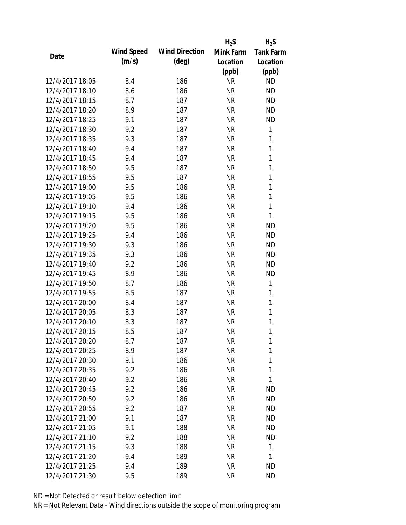|                 |            |                       | $H_2S$    | $H_2S$           |
|-----------------|------------|-----------------------|-----------|------------------|
| Date            | Wind Speed | <b>Wind Direction</b> | Mink Farm | <b>Tank Farm</b> |
|                 | (m/s)      | $(\text{deg})$        | Location  | Location         |
|                 |            |                       | (ppb)     | (ppb)            |
| 12/4/2017 18:05 | 8.4        | 186                   | <b>NR</b> | <b>ND</b>        |
| 12/4/2017 18:10 | 8.6        | 186                   | <b>NR</b> | <b>ND</b>        |
| 12/4/2017 18:15 | 8.7        | 187                   | <b>NR</b> | <b>ND</b>        |
| 12/4/2017 18:20 | 8.9        | 187                   | <b>NR</b> | <b>ND</b>        |
| 12/4/2017 18:25 | 9.1        | 187                   | <b>NR</b> | <b>ND</b>        |
| 12/4/2017 18:30 | 9.2        | 187                   | <b>NR</b> | 1                |
| 12/4/2017 18:35 | 9.3        | 187                   | <b>NR</b> | 1                |
| 12/4/2017 18:40 | 9.4        | 187                   | <b>NR</b> | $\mathbf{1}$     |
| 12/4/2017 18:45 | 9.4        | 187                   | <b>NR</b> | 1                |
| 12/4/2017 18:50 | 9.5        | 187                   | <b>NR</b> | 1                |
| 12/4/2017 18:55 | 9.5        | 187                   | <b>NR</b> | 1                |
| 12/4/2017 19:00 | 9.5        | 186                   | <b>NR</b> | 1                |
| 12/4/2017 19:05 | 9.5        | 186                   | <b>NR</b> | 1                |
| 12/4/2017 19:10 | 9.4        | 186                   | <b>NR</b> | 1                |
| 12/4/2017 19:15 | 9.5        | 186                   | <b>NR</b> | 1                |
| 12/4/2017 19:20 | 9.5        | 186                   | <b>NR</b> | <b>ND</b>        |
| 12/4/2017 19:25 | 9.4        | 186                   | <b>NR</b> | <b>ND</b>        |
| 12/4/2017 19:30 | 9.3        | 186                   | <b>NR</b> | <b>ND</b>        |
| 12/4/2017 19:35 | 9.3        | 186                   | <b>NR</b> | <b>ND</b>        |
| 12/4/2017 19:40 | 9.2        | 186                   | <b>NR</b> | <b>ND</b>        |
| 12/4/2017 19:45 | 8.9        | 186                   | <b>NR</b> | <b>ND</b>        |
| 12/4/2017 19:50 | 8.7        | 186                   | <b>NR</b> | 1                |
| 12/4/2017 19:55 | 8.5        | 187                   | <b>NR</b> | 1                |
| 12/4/2017 20:00 | 8.4        | 187                   | <b>NR</b> | 1                |
| 12/4/2017 20:05 | 8.3        | 187                   | <b>NR</b> | 1                |
| 12/4/2017 20:10 | 8.3        | 187                   | <b>NR</b> | 1                |
| 12/4/2017 20:15 | 8.5        | 187                   | <b>NR</b> | 1                |
| 12/4/2017 20:20 | 8.7        | 187                   | <b>NR</b> | 1                |
| 12/4/2017 20:25 | 8.9        | 187                   | <b>NR</b> | 1                |
| 12/4/2017 20:30 | 9.1        | 186                   | <b>NR</b> | 1                |
| 12/4/2017 20:35 | 9.2        | 186                   | <b>NR</b> | 1                |
| 12/4/2017 20:40 | 9.2        | 186                   | <b>NR</b> | 1                |
| 12/4/2017 20:45 | 9.2        | 186                   | <b>NR</b> | <b>ND</b>        |
| 12/4/2017 20:50 | 9.2        | 186                   | <b>NR</b> | <b>ND</b>        |
| 12/4/2017 20:55 | 9.2        | 187                   | <b>NR</b> | <b>ND</b>        |
| 12/4/2017 21:00 | 9.1        | 187                   | <b>NR</b> | <b>ND</b>        |
| 12/4/2017 21:05 | 9.1        | 188                   | <b>NR</b> | <b>ND</b>        |
| 12/4/2017 21:10 | 9.2        | 188                   | NR        | <b>ND</b>        |
| 12/4/2017 21:15 | 9.3        | 188                   | <b>NR</b> | $\mathbf{1}$     |
| 12/4/2017 21:20 | 9.4        | 189                   | <b>NR</b> | 1                |
| 12/4/2017 21:25 | 9.4        | 189                   | <b>NR</b> | <b>ND</b>        |
| 12/4/2017 21:30 | 9.5        | 189                   | <b>NR</b> | <b>ND</b>        |
|                 |            |                       |           |                  |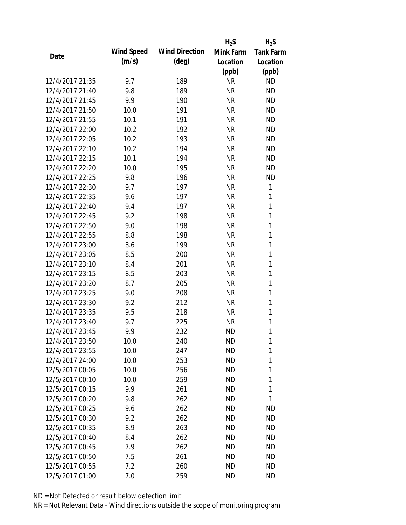|                 |            |                       | $H_2S$    | $H_2S$           |
|-----------------|------------|-----------------------|-----------|------------------|
| Date            | Wind Speed | <b>Wind Direction</b> | Mink Farm | <b>Tank Farm</b> |
|                 | (m/s)      | $(\text{deg})$        | Location  | Location         |
|                 |            |                       | (ppb)     | (ppb)            |
| 12/4/2017 21:35 | 9.7        | 189                   | <b>NR</b> | <b>ND</b>        |
| 12/4/2017 21:40 | 9.8        | 189                   | <b>NR</b> | <b>ND</b>        |
| 12/4/2017 21:45 | 9.9        | 190                   | <b>NR</b> | <b>ND</b>        |
| 12/4/2017 21:50 | 10.0       | 191                   | <b>NR</b> | <b>ND</b>        |
| 12/4/2017 21:55 | 10.1       | 191                   | <b>NR</b> | <b>ND</b>        |
| 12/4/2017 22:00 | 10.2       | 192                   | <b>NR</b> | <b>ND</b>        |
| 12/4/2017 22:05 | 10.2       | 193                   | <b>NR</b> | <b>ND</b>        |
| 12/4/2017 22:10 | 10.2       | 194                   | <b>NR</b> | <b>ND</b>        |
| 12/4/2017 22:15 | 10.1       | 194                   | <b>NR</b> | <b>ND</b>        |
| 12/4/2017 22:20 | 10.0       | 195                   | <b>NR</b> | <b>ND</b>        |
| 12/4/2017 22:25 | 9.8        | 196                   | <b>NR</b> | <b>ND</b>        |
| 12/4/2017 22:30 | 9.7        | 197                   | <b>NR</b> | 1                |
| 12/4/2017 22:35 | 9.6        | 197                   | <b>NR</b> | 1                |
| 12/4/2017 22:40 | 9.4        | 197                   | <b>NR</b> | 1                |
| 12/4/2017 22:45 | 9.2        | 198                   | <b>NR</b> | 1                |
| 12/4/2017 22:50 | 9.0        | 198                   | <b>NR</b> | 1                |
| 12/4/2017 22:55 | 8.8        | 198                   | <b>NR</b> | 1                |
| 12/4/2017 23:00 | 8.6        | 199                   | <b>NR</b> | 1                |
| 12/4/2017 23:05 | 8.5        | 200                   | <b>NR</b> | $\mathbf{1}$     |
| 12/4/2017 23:10 | 8.4        | 201                   | <b>NR</b> | 1                |
| 12/4/2017 23:15 | 8.5        | 203                   | <b>NR</b> | 1                |
| 12/4/2017 23:20 | 8.7        | 205                   | <b>NR</b> | 1                |
| 12/4/2017 23:25 | 9.0        | 208                   | <b>NR</b> | 1                |
| 12/4/2017 23:30 | 9.2        | 212                   | <b>NR</b> | 1                |
| 12/4/2017 23:35 | 9.5        | 218                   | <b>NR</b> | 1                |
| 12/4/2017 23:40 | 9.7        | 225                   | <b>NR</b> | 1                |
| 12/4/2017 23:45 | 9.9        | 232                   | <b>ND</b> | 1                |
| 12/4/2017 23:50 | 10.0       | 240                   | ND        | 1                |
| 12/4/2017 23:55 | 10.0       | 247                   | <b>ND</b> | 1                |
| 12/4/2017 24:00 | 10.0       | 253                   | <b>ND</b> | 1                |
| 12/5/2017 00:05 | 10.0       | 256                   | <b>ND</b> | 1                |
| 12/5/2017 00:10 | 10.0       | 259                   | <b>ND</b> | 1                |
| 12/5/2017 00:15 | 9.9        | 261                   | ND        | 1                |
| 12/5/2017 00:20 | 9.8        | 262                   | <b>ND</b> | 1                |
| 12/5/2017 00:25 | 9.6        | 262                   | <b>ND</b> | ND               |
| 12/5/2017 00:30 | 9.2        | 262                   | <b>ND</b> | <b>ND</b>        |
| 12/5/2017 00:35 | 8.9        | 263                   | ND        | <b>ND</b>        |
| 12/5/2017 00:40 | 8.4        | 262                   | ND        | <b>ND</b>        |
| 12/5/2017 00:45 | 7.9        | 262                   | <b>ND</b> | <b>ND</b>        |
| 12/5/2017 00:50 | 7.5        | 261                   | <b>ND</b> | <b>ND</b>        |
| 12/5/2017 00:55 | 7.2        | 260                   | <b>ND</b> | ND               |
| 12/5/2017 01:00 | 7.0        | 259                   | <b>ND</b> | <b>ND</b>        |
|                 |            |                       |           |                  |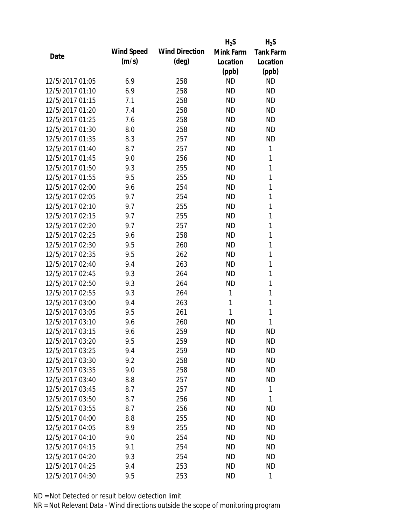|                 |                   |                       | $H_2S$    | $H_2S$           |
|-----------------|-------------------|-----------------------|-----------|------------------|
| Date            | <b>Wind Speed</b> | <b>Wind Direction</b> | Mink Farm | <b>Tank Farm</b> |
|                 | (m/s)             | $(\text{deg})$        | Location  | Location         |
|                 |                   |                       | (ppb)     | (ppb)            |
| 12/5/2017 01:05 | 6.9               | 258                   | <b>ND</b> | <b>ND</b>        |
| 12/5/2017 01:10 | 6.9               | 258                   | <b>ND</b> | <b>ND</b>        |
| 12/5/2017 01:15 | 7.1               | 258                   | <b>ND</b> | <b>ND</b>        |
| 12/5/2017 01:20 | 7.4               | 258                   | <b>ND</b> | <b>ND</b>        |
| 12/5/2017 01:25 | 7.6               | 258                   | <b>ND</b> | <b>ND</b>        |
| 12/5/2017 01:30 | 8.0               | 258                   | <b>ND</b> | <b>ND</b>        |
| 12/5/2017 01:35 | 8.3               | 257                   | <b>ND</b> | <b>ND</b>        |
| 12/5/2017 01:40 | 8.7               | 257                   | <b>ND</b> | 1                |
| 12/5/2017 01:45 | 9.0               | 256                   | <b>ND</b> | 1                |
| 12/5/2017 01:50 | 9.3               | 255                   | <b>ND</b> | 1                |
| 12/5/2017 01:55 | 9.5               | 255                   | <b>ND</b> | 1                |
| 12/5/2017 02:00 | 9.6               | 254                   | <b>ND</b> | 1                |
| 12/5/2017 02:05 | 9.7               | 254                   | <b>ND</b> | 1                |
| 12/5/2017 02:10 | 9.7               | 255                   | <b>ND</b> | 1                |
| 12/5/2017 02:15 | 9.7               | 255                   | <b>ND</b> | 1                |
| 12/5/2017 02:20 | 9.7               | 257                   | <b>ND</b> | 1                |
| 12/5/2017 02:25 | 9.6               | 258                   | <b>ND</b> | 1                |
| 12/5/2017 02:30 | 9.5               | 260                   | <b>ND</b> | 1                |
| 12/5/2017 02:35 | 9.5               | 262                   | <b>ND</b> | 1                |
| 12/5/2017 02:40 | 9.4               | 263                   | <b>ND</b> | 1                |
| 12/5/2017 02:45 | 9.3               | 264                   | <b>ND</b> | 1                |
| 12/5/2017 02:50 | 9.3               | 264                   | <b>ND</b> | 1                |
| 12/5/2017 02:55 | 9.3               | 264                   | 1         | 1                |
| 12/5/2017 03:00 | 9.4               | 263                   | 1         | 1                |
| 12/5/2017 03:05 | 9.5               | 261                   | 1         | 1                |
| 12/5/2017 03:10 | 9.6               | 260                   | <b>ND</b> | 1                |
| 12/5/2017 03:15 | 9.6               | 259                   | <b>ND</b> | <b>ND</b>        |
| 12/5/2017 03:20 | 9.5               | 259                   | ND        | <b>ND</b>        |
| 12/5/2017 03:25 | 9.4               | 259                   | <b>ND</b> | <b>ND</b>        |
| 12/5/2017 03:30 | 9.2               | 258                   | <b>ND</b> | <b>ND</b>        |
| 12/5/2017 03:35 | 9.0               | 258                   | <b>ND</b> | <b>ND</b>        |
| 12/5/2017 03:40 | 8.8               | 257                   | <b>ND</b> | <b>ND</b>        |
| 12/5/2017 03:45 | 8.7               | 257                   | <b>ND</b> | 1                |
| 12/5/2017 03:50 | 8.7               | 256                   | <b>ND</b> | 1                |
| 12/5/2017 03:55 | 8.7               | 256                   | <b>ND</b> | ND               |
| 12/5/2017 04:00 | 8.8               | 255                   | <b>ND</b> | <b>ND</b>        |
| 12/5/2017 04:05 | 8.9               | 255                   | <b>ND</b> | <b>ND</b>        |
| 12/5/2017 04:10 | 9.0               | 254                   | ND        | <b>ND</b>        |
| 12/5/2017 04:15 | 9.1               | 254                   | <b>ND</b> | <b>ND</b>        |
| 12/5/2017 04:20 | 9.3               | 254                   | <b>ND</b> | <b>ND</b>        |
| 12/5/2017 04:25 | 9.4               | 253                   | <b>ND</b> | ND               |
| 12/5/2017 04:30 | 9.5               | 253                   | <b>ND</b> | 1                |
|                 |                   |                       |           |                  |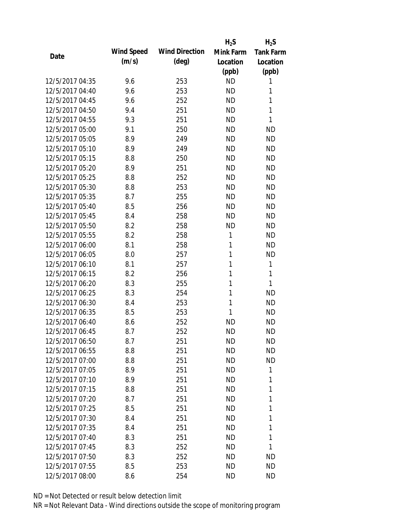|                 |            |                       | $H_2S$    | $H_2S$           |
|-----------------|------------|-----------------------|-----------|------------------|
| Date            | Wind Speed | <b>Wind Direction</b> | Mink Farm | <b>Tank Farm</b> |
|                 | (m/s)      | $(\text{deg})$        | Location  | Location         |
|                 |            |                       | (ppb)     | (ppb)            |
| 12/5/2017 04:35 | 9.6        | 253                   | <b>ND</b> | 1                |
| 12/5/2017 04:40 | 9.6        | 253                   | <b>ND</b> | 1                |
| 12/5/2017 04:45 | 9.6        | 252                   | <b>ND</b> | 1                |
| 12/5/2017 04:50 | 9.4        | 251                   | <b>ND</b> | 1                |
| 12/5/2017 04:55 | 9.3        | 251                   | <b>ND</b> | 1                |
| 12/5/2017 05:00 | 9.1        | 250                   | <b>ND</b> | <b>ND</b>        |
| 12/5/2017 05:05 | 8.9        | 249                   | <b>ND</b> | <b>ND</b>        |
| 12/5/2017 05:10 | 8.9        | 249                   | <b>ND</b> | <b>ND</b>        |
| 12/5/2017 05:15 | 8.8        | 250                   | <b>ND</b> | <b>ND</b>        |
| 12/5/2017 05:20 | 8.9        | 251                   | <b>ND</b> | <b>ND</b>        |
| 12/5/2017 05:25 | 8.8        | 252                   | <b>ND</b> | <b>ND</b>        |
| 12/5/2017 05:30 | 8.8        | 253                   | <b>ND</b> | <b>ND</b>        |
| 12/5/2017 05:35 | 8.7        | 255                   | <b>ND</b> | <b>ND</b>        |
| 12/5/2017 05:40 | 8.5        | 256                   | <b>ND</b> | <b>ND</b>        |
| 12/5/2017 05:45 | 8.4        | 258                   | <b>ND</b> | <b>ND</b>        |
| 12/5/2017 05:50 | 8.2        | 258                   | <b>ND</b> | <b>ND</b>        |
| 12/5/2017 05:55 | 8.2        | 258                   | 1         | <b>ND</b>        |
| 12/5/2017 06:00 | 8.1        | 258                   | 1         | <b>ND</b>        |
| 12/5/2017 06:05 | 8.0        | 257                   | 1         | <b>ND</b>        |
| 12/5/2017 06:10 | 8.1        | 257                   | 1         | 1                |
| 12/5/2017 06:15 | 8.2        | 256                   | 1         | 1                |
| 12/5/2017 06:20 | 8.3        | 255                   | 1         | 1                |
| 12/5/2017 06:25 | 8.3        | 254                   | 1         | <b>ND</b>        |
| 12/5/2017 06:30 | 8.4        | 253                   | 1         | <b>ND</b>        |
| 12/5/2017 06:35 | 8.5        | 253                   | 1         | <b>ND</b>        |
| 12/5/2017 06:40 | 8.6        | 252                   | <b>ND</b> | <b>ND</b>        |
| 12/5/2017 06:45 | 8.7        | 252                   | <b>ND</b> | <b>ND</b>        |
| 12/5/2017 06:50 | 8.7        | 251                   | <b>ND</b> | <b>ND</b>        |
| 12/5/2017 06:55 | 8.8        | 251                   | <b>ND</b> | <b>ND</b>        |
| 12/5/2017 07:00 | 8.8        | 251                   | <b>ND</b> | <b>ND</b>        |
| 12/5/2017 07:05 | 8.9        | 251                   | <b>ND</b> | 1                |
| 12/5/2017 07:10 | 8.9        | 251                   | <b>ND</b> | 1                |
| 12/5/2017 07:15 | 8.8        | 251                   | ND        | 1                |
| 12/5/2017 07:20 | 8.7        | 251                   | <b>ND</b> | 1                |
| 12/5/2017 07:25 | 8.5        | 251                   | ND        | 1                |
| 12/5/2017 07:30 | 8.4        | 251                   | ND        | 1                |
| 12/5/2017 07:35 | 8.4        | 251                   | <b>ND</b> | 1                |
| 12/5/2017 07:40 | 8.3        | 251                   | <b>ND</b> | 1                |
| 12/5/2017 07:45 | 8.3        | 252                   | <b>ND</b> | 1                |
| 12/5/2017 07:50 | 8.3        | 252                   | ND        | ND               |
| 12/5/2017 07:55 |            |                       | <b>ND</b> | <b>ND</b>        |
|                 | 8.5        | 253                   |           |                  |
| 12/5/2017 08:00 | 8.6        | 254                   | <b>ND</b> | <b>ND</b>        |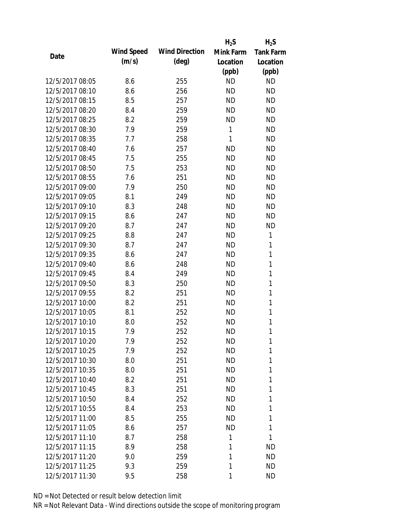|                 |            |                       | $H_2S$    | $H_2S$           |
|-----------------|------------|-----------------------|-----------|------------------|
|                 | Wind Speed | <b>Wind Direction</b> | Mink Farm | <b>Tank Farm</b> |
| Date            | (m/s)      | $(\text{deg})$        | Location  | Location         |
|                 |            |                       | (ppb)     | (ppb)            |
| 12/5/2017 08:05 | 8.6        | 255                   | <b>ND</b> | <b>ND</b>        |
| 12/5/2017 08:10 | 8.6        | 256                   | <b>ND</b> | <b>ND</b>        |
| 12/5/2017 08:15 | 8.5        | 257                   | <b>ND</b> | <b>ND</b>        |
| 12/5/2017 08:20 | 8.4        | 259                   | <b>ND</b> | <b>ND</b>        |
| 12/5/2017 08:25 | 8.2        | 259                   | <b>ND</b> | <b>ND</b>        |
| 12/5/2017 08:30 | 7.9        | 259                   | 1         | <b>ND</b>        |
| 12/5/2017 08:35 | 7.7        | 258                   | 1         | <b>ND</b>        |
| 12/5/2017 08:40 | 7.6        | 257                   | <b>ND</b> | <b>ND</b>        |
| 12/5/2017 08:45 | 7.5        | 255                   | <b>ND</b> | <b>ND</b>        |
| 12/5/2017 08:50 | 7.5        | 253                   | <b>ND</b> | <b>ND</b>        |
| 12/5/2017 08:55 | 7.6        | 251                   | <b>ND</b> | <b>ND</b>        |
| 12/5/2017 09:00 | 7.9        | 250                   | <b>ND</b> | <b>ND</b>        |
| 12/5/2017 09:05 | 8.1        | 249                   | <b>ND</b> | <b>ND</b>        |
| 12/5/2017 09:10 | 8.3        | 248                   | <b>ND</b> | <b>ND</b>        |
| 12/5/2017 09:15 | 8.6        | 247                   | <b>ND</b> | <b>ND</b>        |
| 12/5/2017 09:20 | 8.7        | 247                   | <b>ND</b> | <b>ND</b>        |
| 12/5/2017 09:25 | 8.8        | 247                   | <b>ND</b> | 1                |
| 12/5/2017 09:30 | 8.7        | 247                   | <b>ND</b> | 1                |
| 12/5/2017 09:35 | 8.6        | 247                   | <b>ND</b> | 1                |
| 12/5/2017 09:40 | 8.6        | 248                   | <b>ND</b> | 1                |
| 12/5/2017 09:45 | 8.4        | 249                   | <b>ND</b> | 1                |
| 12/5/2017 09:50 | 8.3        | 250                   | <b>ND</b> | 1                |
| 12/5/2017 09:55 | 8.2        | 251                   | <b>ND</b> | 1                |
| 12/5/2017 10:00 | 8.2        | 251                   | <b>ND</b> | 1                |
| 12/5/2017 10:05 | 8.1        | 252                   | <b>ND</b> | 1                |
| 12/5/2017 10:10 | 8.0        | 252                   | <b>ND</b> | $\mathbf{1}$     |
| 12/5/2017 10:15 | 7.9        | 252                   | <b>ND</b> | 1                |
| 12/5/2017 10:20 | 7.9        | 252                   | ND        | 1                |
| 12/5/2017 10:25 | 7.9        | 252                   | <b>ND</b> | 1                |
| 12/5/2017 10:30 | 8.0        | 251                   | <b>ND</b> | 1                |
| 12/5/2017 10:35 | 8.0        | 251                   | <b>ND</b> | 1                |
| 12/5/2017 10:40 | 8.2        | 251                   | <b>ND</b> | 1                |
| 12/5/2017 10:45 | 8.3        | 251                   | <b>ND</b> | 1                |
| 12/5/2017 10:50 | 8.4        | 252                   | <b>ND</b> | 1                |
| 12/5/2017 10:55 | 8.4        | 253                   | <b>ND</b> | 1                |
| 12/5/2017 11:00 | 8.5        | 255                   | <b>ND</b> | 1                |
| 12/5/2017 11:05 | 8.6        | 257                   | ND        | 1                |
| 12/5/2017 11:10 | 8.7        | 258                   | 1         | 1                |
| 12/5/2017 11:15 | 8.9        | 258                   | 1         | <b>ND</b>        |
| 12/5/2017 11:20 | 9.0        | 259                   | 1         | <b>ND</b>        |
| 12/5/2017 11:25 | 9.3        | 259                   | 1         | <b>ND</b>        |
| 12/5/2017 11:30 | 9.5        | 258                   | 1         | <b>ND</b>        |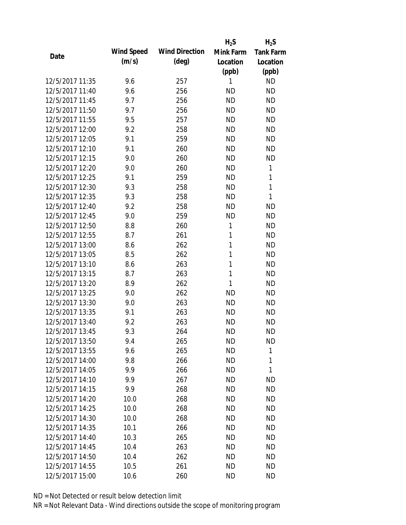|                 |            |                       | $H_2S$    | $H_2S$           |
|-----------------|------------|-----------------------|-----------|------------------|
|                 | Wind Speed | <b>Wind Direction</b> | Mink Farm | <b>Tank Farm</b> |
| Date            | (m/s)      | $(\text{deg})$        | Location  | Location         |
|                 |            |                       | (ppb)     | (ppb)            |
| 12/5/2017 11:35 | 9.6        | 257                   | 1         | <b>ND</b>        |
| 12/5/2017 11:40 | 9.6        | 256                   | <b>ND</b> | <b>ND</b>        |
| 12/5/2017 11:45 | 9.7        | 256                   | <b>ND</b> | <b>ND</b>        |
| 12/5/2017 11:50 | 9.7        | 256                   | <b>ND</b> | <b>ND</b>        |
| 12/5/2017 11:55 | 9.5        | 257                   | <b>ND</b> | <b>ND</b>        |
| 12/5/2017 12:00 | 9.2        | 258                   | <b>ND</b> | <b>ND</b>        |
| 12/5/2017 12:05 | 9.1        | 259                   | <b>ND</b> | <b>ND</b>        |
| 12/5/2017 12:10 | 9.1        | 260                   | <b>ND</b> | <b>ND</b>        |
| 12/5/2017 12:15 | 9.0        | 260                   | <b>ND</b> | <b>ND</b>        |
| 12/5/2017 12:20 | 9.0        | 260                   | <b>ND</b> | 1                |
| 12/5/2017 12:25 | 9.1        | 259                   | <b>ND</b> | 1                |
| 12/5/2017 12:30 | 9.3        | 258                   | <b>ND</b> | $\mathbf{1}$     |
| 12/5/2017 12:35 | 9.3        | 258                   | <b>ND</b> | 1                |
| 12/5/2017 12:40 | 9.2        | 258                   | <b>ND</b> | <b>ND</b>        |
| 12/5/2017 12:45 | 9.0        | 259                   | <b>ND</b> | <b>ND</b>        |
| 12/5/2017 12:50 | 8.8        | 260                   | 1         | <b>ND</b>        |
| 12/5/2017 12:55 | 8.7        | 261                   | 1         | <b>ND</b>        |
| 12/5/2017 13:00 | 8.6        | 262                   | 1         | <b>ND</b>        |
| 12/5/2017 13:05 | 8.5        | 262                   | 1         | <b>ND</b>        |
| 12/5/2017 13:10 | 8.6        | 263                   | 1         | <b>ND</b>        |
| 12/5/2017 13:15 | 8.7        | 263                   | 1         | <b>ND</b>        |
| 12/5/2017 13:20 | 8.9        | 262                   | 1         | <b>ND</b>        |
| 12/5/2017 13:25 | 9.0        | 262                   | <b>ND</b> | <b>ND</b>        |
| 12/5/2017 13:30 | 9.0        | 263                   | <b>ND</b> | <b>ND</b>        |
| 12/5/2017 13:35 | 9.1        | 263                   | <b>ND</b> | <b>ND</b>        |
| 12/5/2017 13:40 | 9.2        | 263                   | <b>ND</b> | <b>ND</b>        |
| 12/5/2017 13:45 | 9.3        | 264                   | <b>ND</b> | <b>ND</b>        |
| 12/5/2017 13:50 | 9.4        | 265                   | ND        | ND               |
| 12/5/2017 13:55 | 9.6        | 265                   | <b>ND</b> | 1                |
| 12/5/2017 14:00 | 9.8        | 266                   | <b>ND</b> | 1                |
| 12/5/2017 14:05 | 9.9        | 266                   | <b>ND</b> | 1                |
| 12/5/2017 14:10 | 9.9        | 267                   | <b>ND</b> | <b>ND</b>        |
| 12/5/2017 14:15 | 9.9        | 268                   | ND        | <b>ND</b>        |
| 12/5/2017 14:20 | 10.0       | 268                   | <b>ND</b> | <b>ND</b>        |
| 12/5/2017 14:25 | 10.0       | 268                   | <b>ND</b> | <b>ND</b>        |
| 12/5/2017 14:30 | 10.0       | 268                   | <b>ND</b> | <b>ND</b>        |
| 12/5/2017 14:35 | 10.1       | 266                   | ND        | <b>ND</b>        |
| 12/5/2017 14:40 | 10.3       | 265                   | ND        | <b>ND</b>        |
| 12/5/2017 14:45 | 10.4       | 263                   | <b>ND</b> | <b>ND</b>        |
| 12/5/2017 14:50 | 10.4       | 262                   | ND        | <b>ND</b>        |
| 12/5/2017 14:55 | 10.5       | 261                   | <b>ND</b> | <b>ND</b>        |
| 12/5/2017 15:00 | 10.6       | 260                   | <b>ND</b> | <b>ND</b>        |
|                 |            |                       |           |                  |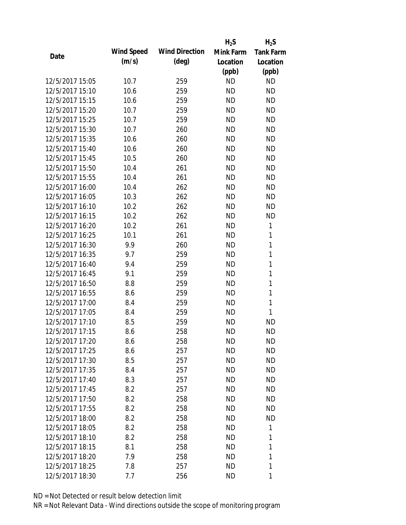|                 |                   |                       | $H_2S$    | $H_2S$           |
|-----------------|-------------------|-----------------------|-----------|------------------|
| Date            | <b>Wind Speed</b> | <b>Wind Direction</b> | Mink Farm | <b>Tank Farm</b> |
|                 | (m/s)             | $(\text{deg})$        | Location  | Location         |
|                 |                   |                       | (ppb)     | (ppb)            |
| 12/5/2017 15:05 | 10.7              | 259                   | <b>ND</b> | <b>ND</b>        |
| 12/5/2017 15:10 | 10.6              | 259                   | <b>ND</b> | <b>ND</b>        |
| 12/5/2017 15:15 | 10.6              | 259                   | <b>ND</b> | <b>ND</b>        |
| 12/5/2017 15:20 | 10.7              | 259                   | <b>ND</b> | <b>ND</b>        |
| 12/5/2017 15:25 | 10.7              | 259                   | <b>ND</b> | <b>ND</b>        |
| 12/5/2017 15:30 | 10.7              | 260                   | <b>ND</b> | <b>ND</b>        |
| 12/5/2017 15:35 | 10.6              | 260                   | <b>ND</b> | <b>ND</b>        |
| 12/5/2017 15:40 | 10.6              | 260                   | <b>ND</b> | <b>ND</b>        |
| 12/5/2017 15:45 | 10.5              | 260                   | <b>ND</b> | <b>ND</b>        |
| 12/5/2017 15:50 | 10.4              | 261                   | <b>ND</b> | <b>ND</b>        |
| 12/5/2017 15:55 | 10.4              | 261                   | <b>ND</b> | <b>ND</b>        |
| 12/5/2017 16:00 | 10.4              | 262                   | <b>ND</b> | <b>ND</b>        |
| 12/5/2017 16:05 | 10.3              | 262                   | <b>ND</b> | <b>ND</b>        |
| 12/5/2017 16:10 | 10.2              | 262                   | <b>ND</b> | <b>ND</b>        |
| 12/5/2017 16:15 | 10.2              | 262                   | <b>ND</b> | <b>ND</b>        |
| 12/5/2017 16:20 | 10.2              | 261                   | <b>ND</b> | 1                |
| 12/5/2017 16:25 | 10.1              | 261                   | <b>ND</b> | 1                |
| 12/5/2017 16:30 | 9.9               | 260                   | <b>ND</b> | $\mathbf{1}$     |
| 12/5/2017 16:35 | 9.7               | 259                   | <b>ND</b> | $\mathbf{1}$     |
| 12/5/2017 16:40 | 9.4               | 259                   | <b>ND</b> | 1                |
| 12/5/2017 16:45 | 9.1               | 259                   | <b>ND</b> | 1                |
| 12/5/2017 16:50 | 8.8               | 259                   | <b>ND</b> | 1                |
| 12/5/2017 16:55 | 8.6               | 259                   | <b>ND</b> | 1                |
| 12/5/2017 17:00 | 8.4               | 259                   | <b>ND</b> | $\mathbf{1}$     |
| 12/5/2017 17:05 | 8.4               | 259                   | <b>ND</b> | 1                |
| 12/5/2017 17:10 | 8.5               | 259                   | <b>ND</b> | <b>ND</b>        |
| 12/5/2017 17:15 | 8.6               | 258                   | <b>ND</b> | <b>ND</b>        |
| 12/5/2017 17:20 | 8.6               | 258                   | ND        | <b>ND</b>        |
| 12/5/2017 17:25 | 8.6               | 257                   | <b>ND</b> | <b>ND</b>        |
| 12/5/2017 17:30 | 8.5               | 257                   | ND        | <b>ND</b>        |
| 12/5/2017 17:35 | 8.4               | 257                   | <b>ND</b> | <b>ND</b>        |
| 12/5/2017 17:40 | 8.3               | 257                   | <b>ND</b> | <b>ND</b>        |
| 12/5/2017 17:45 | 8.2               | 257                   | ND        | <b>ND</b>        |
| 12/5/2017 17:50 | 8.2               | 258                   | <b>ND</b> | <b>ND</b>        |
| 12/5/2017 17:55 | 8.2               | 258                   | <b>ND</b> | <b>ND</b>        |
| 12/5/2017 18:00 | 8.2               | 258                   | <b>ND</b> | ND               |
| 12/5/2017 18:05 | 8.2               | 258                   | <b>ND</b> | 1                |
| 12/5/2017 18:10 | 8.2               | 258                   | ND        | 1                |
| 12/5/2017 18:15 | 8.1               | 258                   | <b>ND</b> | 1                |
| 12/5/2017 18:20 | 7.9               | 258                   | ND        | 1                |
| 12/5/2017 18:25 | 7.8               | 257                   | <b>ND</b> | 1                |
| 12/5/2017 18:30 | 7.7               | 256                   | <b>ND</b> | 1                |
|                 |                   |                       |           |                  |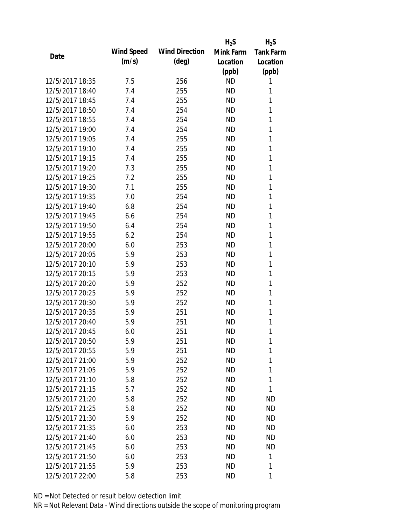|                 |                   |                       | $H_2S$    | $H_2S$           |
|-----------------|-------------------|-----------------------|-----------|------------------|
|                 | <b>Wind Speed</b> | <b>Wind Direction</b> | Mink Farm | <b>Tank Farm</b> |
| Date            | (m/s)             | $(\text{deg})$        | Location  | Location         |
|                 |                   |                       | (ppb)     | (ppb)            |
| 12/5/2017 18:35 | 7.5               | 256                   | <b>ND</b> | 1                |
| 12/5/2017 18:40 | 7.4               | 255                   | <b>ND</b> | 1                |
| 12/5/2017 18:45 | 7.4               | 255                   | <b>ND</b> | 1                |
| 12/5/2017 18:50 | 7.4               | 254                   | <b>ND</b> | 1                |
| 12/5/2017 18:55 | 7.4               | 254                   | <b>ND</b> | 1                |
| 12/5/2017 19:00 | 7.4               | 254                   | <b>ND</b> | 1                |
| 12/5/2017 19:05 | 7.4               | 255                   | <b>ND</b> | 1                |
| 12/5/2017 19:10 | 7.4               | 255                   | <b>ND</b> | 1                |
| 12/5/2017 19:15 | 7.4               | 255                   | <b>ND</b> | 1                |
| 12/5/2017 19:20 | 7.3               | 255                   | <b>ND</b> | 1                |
| 12/5/2017 19:25 | 7.2               | 255                   | <b>ND</b> | 1                |
| 12/5/2017 19:30 | 7.1               | 255                   | <b>ND</b> | 1                |
| 12/5/2017 19:35 | 7.0               | 254                   | <b>ND</b> | 1                |
| 12/5/2017 19:40 | 6.8               | 254                   | <b>ND</b> | 1                |
| 12/5/2017 19:45 | 6.6               | 254                   | <b>ND</b> | 1                |
| 12/5/2017 19:50 | 6.4               | 254                   | <b>ND</b> | 1                |
| 12/5/2017 19:55 | 6.2               | 254                   | <b>ND</b> | 1                |
| 12/5/2017 20:00 | 6.0               | 253                   | <b>ND</b> | 1                |
| 12/5/2017 20:05 | 5.9               | 253                   | <b>ND</b> | 1                |
| 12/5/2017 20:10 | 5.9               | 253                   | <b>ND</b> | 1                |
| 12/5/2017 20:15 | 5.9               | 253                   | <b>ND</b> | 1                |
| 12/5/2017 20:20 | 5.9               | 252                   | <b>ND</b> | 1                |
| 12/5/2017 20:25 | 5.9               | 252                   | <b>ND</b> | 1                |
| 12/5/2017 20:30 | 5.9               | 252                   | <b>ND</b> | 1                |
| 12/5/2017 20:35 | 5.9               | 251                   | <b>ND</b> | 1                |
| 12/5/2017 20:40 | 5.9               | 251                   | ND        | 1                |
| 12/5/2017 20:45 | 6.0               | 251                   | <b>ND</b> | 1                |
| 12/5/2017 20:50 | 5.9               | 251                   | ND        | 1                |
| 12/5/2017 20:55 | 5.9               | 251                   | <b>ND</b> | 1                |
| 12/5/2017 21:00 | 5.9               | 252                   | ND        | 1                |
| 12/5/2017 21:05 | 5.9               | 252                   | <b>ND</b> | 1                |
| 12/5/2017 21:10 | 5.8               | 252                   | <b>ND</b> | 1                |
| 12/5/2017 21:15 | 5.7               | 252                   | ND        | 1                |
| 12/5/2017 21:20 | 5.8               | 252                   | <b>ND</b> | <b>ND</b>        |
| 12/5/2017 21:25 | 5.8               | 252                   | ND        | ND               |
| 12/5/2017 21:30 | 5.9               | 252                   | <b>ND</b> | ND               |
| 12/5/2017 21:35 | 6.0               | 253                   | ND.       | <b>ND</b>        |
| 12/5/2017 21:40 | 6.0               | 253                   | ND        | ND               |
| 12/5/2017 21:45 | 6.0               | 253                   | <b>ND</b> | <b>ND</b>        |
| 12/5/2017 21:50 | 6.0               | 253                   | ND        | 1                |
| 12/5/2017 21:55 | 5.9               | 253                   | <b>ND</b> | 1                |
| 12/5/2017 22:00 | 5.8               | 253                   | <b>ND</b> | 1                |
|                 |                   |                       |           |                  |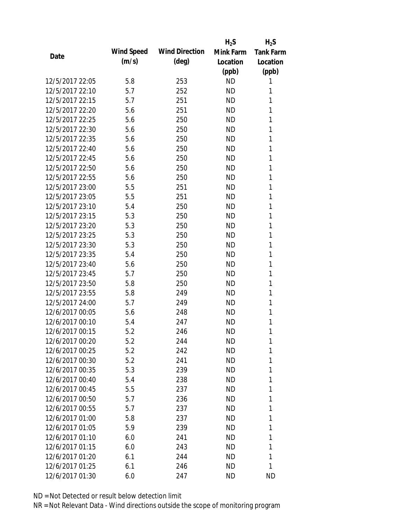|                 |            |                       | $H_2S$    | $H_2S$           |
|-----------------|------------|-----------------------|-----------|------------------|
|                 | Wind Speed | <b>Wind Direction</b> | Mink Farm | <b>Tank Farm</b> |
| Date            | (m/s)      | $(\text{deg})$        | Location  | Location         |
|                 |            |                       | (ppb)     | (ppb)            |
| 12/5/2017 22:05 | 5.8        | 253                   | <b>ND</b> | 1                |
| 12/5/2017 22:10 | 5.7        | 252                   | <b>ND</b> | 1                |
| 12/5/2017 22:15 | 5.7        | 251                   | <b>ND</b> | 1                |
| 12/5/2017 22:20 | 5.6        | 251                   | <b>ND</b> | 1                |
| 12/5/2017 22:25 | 5.6        | 250                   | <b>ND</b> | 1                |
| 12/5/2017 22:30 | 5.6        | 250                   | <b>ND</b> | 1                |
| 12/5/2017 22:35 | 5.6        | 250                   | <b>ND</b> | 1                |
| 12/5/2017 22:40 | 5.6        | 250                   | <b>ND</b> | 1                |
| 12/5/2017 22:45 | 5.6        | 250                   | <b>ND</b> | 1                |
| 12/5/2017 22:50 | 5.6        | 250                   | <b>ND</b> | 1                |
| 12/5/2017 22:55 | 5.6        | 250                   | <b>ND</b> | 1                |
| 12/5/2017 23:00 | 5.5        | 251                   | <b>ND</b> | 1                |
| 12/5/2017 23:05 | 5.5        | 251                   | <b>ND</b> | 1                |
| 12/5/2017 23:10 | 5.4        | 250                   | <b>ND</b> | 1                |
| 12/5/2017 23:15 | 5.3        | 250                   | <b>ND</b> | 1                |
| 12/5/2017 23:20 | 5.3        | 250                   | <b>ND</b> | 1                |
| 12/5/2017 23:25 | 5.3        | 250                   | <b>ND</b> | 1                |
| 12/5/2017 23:30 | 5.3        | 250                   | <b>ND</b> | 1                |
| 12/5/2017 23:35 | 5.4        | 250                   | <b>ND</b> | 1                |
| 12/5/2017 23:40 | 5.6        | 250                   | <b>ND</b> | 1                |
| 12/5/2017 23:45 | 5.7        | 250                   | <b>ND</b> | 1                |
| 12/5/2017 23:50 | 5.8        | 250                   | <b>ND</b> | 1                |
| 12/5/2017 23:55 | 5.8        | 249                   | <b>ND</b> | 1                |
| 12/5/2017 24:00 | 5.7        | 249                   | <b>ND</b> | 1                |
| 12/6/2017 00:05 | 5.6        | 248                   | <b>ND</b> | 1                |
| 12/6/2017 00:10 | 5.4        | 247                   | <b>ND</b> | 1                |
| 12/6/2017 00:15 | 5.2        | 246                   | <b>ND</b> | 1                |
| 12/6/2017 00:20 | 5.2        | 244                   | <b>ND</b> | 1                |
| 12/6/2017 00:25 | 5.2        | 242                   | <b>ND</b> | 1                |
| 12/6/2017 00:30 | 5.2        | 241                   | ND.       | 1                |
| 12/6/2017 00:35 | 5.3        | 239                   | ND        | 1                |
| 12/6/2017 00:40 | 5.4        | 238                   | <b>ND</b> | 1                |
| 12/6/2017 00:45 | 5.5        | 237                   | ND        | 1                |
| 12/6/2017 00:50 | 5.7        | 236                   | <b>ND</b> | 1                |
| 12/6/2017 00:55 | 5.7        | 237                   | ND        | 1                |
| 12/6/2017 01:00 | 5.8        | 237                   | ND        | 1                |
| 12/6/2017 01:05 | 5.9        | 239                   | ND.       | 1                |
| 12/6/2017 01:10 | 6.0        | 241                   | ND        | 1                |
| 12/6/2017 01:15 | 6.0        | 243                   | <b>ND</b> | 1                |
| 12/6/2017 01:20 | 6.1        | 244                   | ND        | 1                |
| 12/6/2017 01:25 | 6.1        | 246                   | ND        | 1                |
| 12/6/2017 01:30 | 6.0        | 247                   | ND        | <b>ND</b>        |
|                 |            |                       |           |                  |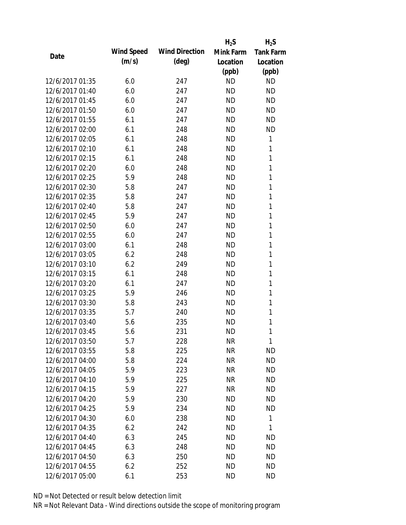|                 |                   |                       | $H_2S$    | $H_2S$           |
|-----------------|-------------------|-----------------------|-----------|------------------|
| Date            | <b>Wind Speed</b> | <b>Wind Direction</b> | Mink Farm | <b>Tank Farm</b> |
|                 | (m/s)             | $(\text{deg})$        | Location  | Location         |
|                 |                   |                       | (ppb)     | (ppb)            |
| 12/6/2017 01:35 | 6.0               | 247                   | <b>ND</b> | <b>ND</b>        |
| 12/6/2017 01:40 | 6.0               | 247                   | <b>ND</b> | <b>ND</b>        |
| 12/6/2017 01:45 | 6.0               | 247                   | <b>ND</b> | <b>ND</b>        |
| 12/6/2017 01:50 | 6.0               | 247                   | <b>ND</b> | <b>ND</b>        |
| 12/6/2017 01:55 | 6.1               | 247                   | <b>ND</b> | <b>ND</b>        |
| 12/6/2017 02:00 | 6.1               | 248                   | <b>ND</b> | <b>ND</b>        |
| 12/6/2017 02:05 | 6.1               | 248                   | <b>ND</b> | 1                |
| 12/6/2017 02:10 | 6.1               | 248                   | <b>ND</b> | 1                |
| 12/6/2017 02:15 | 6.1               | 248                   | <b>ND</b> | 1                |
| 12/6/2017 02:20 | 6.0               | 248                   | <b>ND</b> | 1                |
| 12/6/2017 02:25 | 5.9               | 248                   | <b>ND</b> | 1                |
| 12/6/2017 02:30 | 5.8               | 247                   | <b>ND</b> | 1                |
| 12/6/2017 02:35 | 5.8               | 247                   | <b>ND</b> | 1                |
| 12/6/2017 02:40 | 5.8               | 247                   | <b>ND</b> | 1                |
| 12/6/2017 02:45 | 5.9               | 247                   | <b>ND</b> | 1                |
| 12/6/2017 02:50 | 6.0               | 247                   | <b>ND</b> | 1                |
| 12/6/2017 02:55 | 6.0               | 247                   | <b>ND</b> | 1                |
| 12/6/2017 03:00 | 6.1               | 248                   | <b>ND</b> | 1                |
| 12/6/2017 03:05 | 6.2               | 248                   | <b>ND</b> | 1                |
| 12/6/2017 03:10 | 6.2               | 249                   | <b>ND</b> | 1                |
| 12/6/2017 03:15 | 6.1               | 248                   | <b>ND</b> | 1                |
| 12/6/2017 03:20 | 6.1               | 247                   | <b>ND</b> | 1                |
| 12/6/2017 03:25 | 5.9               | 246                   | <b>ND</b> | 1                |
| 12/6/2017 03:30 | 5.8               | 243                   | <b>ND</b> | 1                |
| 12/6/2017 03:35 | 5.7               | 240                   | <b>ND</b> | 1                |
| 12/6/2017 03:40 | 5.6               | 235                   | <b>ND</b> | 1                |
| 12/6/2017 03:45 | 5.6               | 231                   | <b>ND</b> | 1                |
| 12/6/2017 03:50 | 5.7               | 228                   | <b>NR</b> | 1                |
| 12/6/2017 03:55 | 5.8               | 225                   | <b>NR</b> | <b>ND</b>        |
| 12/6/2017 04:00 | 5.8               | 224                   | <b>NR</b> | ND               |
| 12/6/2017 04:05 | 5.9               | 223                   | <b>NR</b> | <b>ND</b>        |
| 12/6/2017 04:10 | 5.9               | 225                   | <b>NR</b> | ND               |
| 12/6/2017 04:15 | 5.9               | 227                   | <b>NR</b> | <b>ND</b>        |
| 12/6/2017 04:20 | 5.9               | 230                   | <b>ND</b> | <b>ND</b>        |
| 12/6/2017 04:25 | 5.9               | 234                   | ND        | <b>ND</b>        |
| 12/6/2017 04:30 | 6.0               | 238                   | <b>ND</b> | 1                |
| 12/6/2017 04:35 | 6.2               | 242                   | ND        | 1                |
| 12/6/2017 04:40 | 6.3               | 245                   | ND        | <b>ND</b>        |
| 12/6/2017 04:45 | 6.3               | 248                   | <b>ND</b> | <b>ND</b>        |
| 12/6/2017 04:50 | 6.3               | 250                   | <b>ND</b> | ND               |
| 12/6/2017 04:55 | 6.2               | 252                   | <b>ND</b> | <b>ND</b>        |
| 12/6/2017 05:00 | 6.1               | 253                   | <b>ND</b> | <b>ND</b>        |
|                 |                   |                       |           |                  |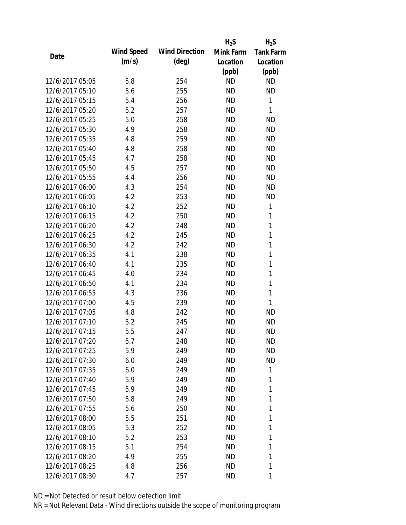|                 |                   |                       | $H_2S$    | $H_2S$           |
|-----------------|-------------------|-----------------------|-----------|------------------|
| Date            | <b>Wind Speed</b> | <b>Wind Direction</b> | Mink Farm | <b>Tank Farm</b> |
|                 | (m/s)             | $(\text{deg})$        | Location  | Location         |
|                 |                   |                       | (ppb)     | (ppb)            |
| 12/6/2017 05:05 | 5.8               | 254                   | <b>ND</b> | <b>ND</b>        |
| 12/6/2017 05:10 | 5.6               | 255                   | <b>ND</b> | <b>ND</b>        |
| 12/6/2017 05:15 | 5.4               | 256                   | <b>ND</b> | 1                |
| 12/6/2017 05:20 | 5.2               | 257                   | <b>ND</b> | 1                |
| 12/6/2017 05:25 | 5.0               | 258                   | <b>ND</b> | <b>ND</b>        |
| 12/6/2017 05:30 | 4.9               | 258                   | <b>ND</b> | <b>ND</b>        |
| 12/6/2017 05:35 | 4.8               | 259                   | <b>ND</b> | <b>ND</b>        |
| 12/6/2017 05:40 | 4.8               | 258                   | <b>ND</b> | <b>ND</b>        |
| 12/6/2017 05:45 | 4.7               | 258                   | <b>ND</b> | <b>ND</b>        |
| 12/6/2017 05:50 | 4.5               | 257                   | <b>ND</b> | <b>ND</b>        |
| 12/6/2017 05:55 | 4.4               | 256                   | <b>ND</b> | <b>ND</b>        |
| 12/6/2017 06:00 | 4.3               | 254                   | <b>ND</b> | <b>ND</b>        |
| 12/6/2017 06:05 | 4.2               | 253                   | <b>ND</b> | <b>ND</b>        |
| 12/6/2017 06:10 | 4.2               | 252                   | <b>ND</b> | 1                |
| 12/6/2017 06:15 | 4.2               | 250                   | <b>ND</b> | 1                |
| 12/6/2017 06:20 | 4.2               | 248                   | <b>ND</b> | 1                |
| 12/6/2017 06:25 | 4.2               | 245                   | <b>ND</b> | 1                |
| 12/6/2017 06:30 | 4.2               | 242                   | <b>ND</b> | 1                |
| 12/6/2017 06:35 | 4.1               | 238                   | <b>ND</b> | $\mathbf{1}$     |
| 12/6/2017 06:40 | 4.1               | 235                   | <b>ND</b> | 1                |
| 12/6/2017 06:45 | 4.0               | 234                   | <b>ND</b> | 1                |
| 12/6/2017 06:50 | 4.1               | 234                   | <b>ND</b> | 1                |
| 12/6/2017 06:55 | 4.3               | 236                   | <b>ND</b> | 1                |
| 12/6/2017 07:00 | 4.5               | 239                   | <b>ND</b> | 1                |
| 12/6/2017 07:05 | 4.8               | 242                   | <b>ND</b> | <b>ND</b>        |
| 12/6/2017 07:10 | 5.2               | 245                   | <b>ND</b> | <b>ND</b>        |
| 12/6/2017 07:15 | 5.5               | 247                   | <b>ND</b> | <b>ND</b>        |
| 12/6/2017 07:20 | 5.7               | 248                   | ND        | ND               |
| 12/6/2017 07:25 | 5.9               | 249                   | <b>ND</b> | <b>ND</b>        |
| 12/6/2017 07:30 | 6.0               | 249                   | ND        | <b>ND</b>        |
| 12/6/2017 07:35 | 6.0               | 249                   | ND        | 1                |
| 12/6/2017 07:40 | 5.9               | 249                   | <b>ND</b> | 1                |
| 12/6/2017 07:45 | 5.9               | 249                   | ND        | 1                |
| 12/6/2017 07:50 | 5.8               | 249                   | <b>ND</b> | 1                |
| 12/6/2017 07:55 | 5.6               | 250                   | ND        | 1                |
| 12/6/2017 08:00 | 5.5               | 251                   | ΝD        | 1                |
| 12/6/2017 08:05 | 5.3               | 252                   | ΝD        | 1                |
| 12/6/2017 08:10 | 5.2               | 253                   | ΝD        | 1                |
| 12/6/2017 08:15 | 5.1               | 254                   | <b>ND</b> | 1                |
| 12/6/2017 08:20 | 4.9               | 255                   | ΝD        | 1                |
| 12/6/2017 08:25 | 4.8               | 256                   | ΝD        | 1                |
| 12/6/2017 08:30 | 4.7               | 257                   | ND        | 1                |
|                 |                   |                       |           |                  |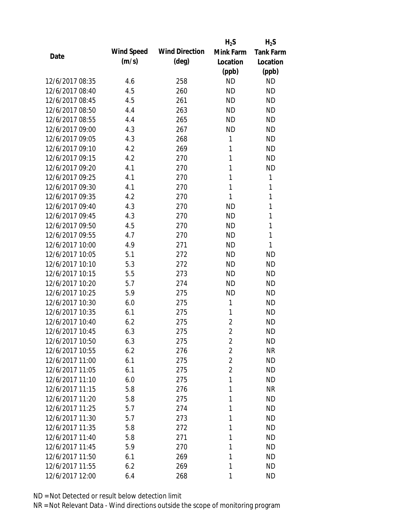|                 |            |                       | $H_2S$         | $H_2S$           |
|-----------------|------------|-----------------------|----------------|------------------|
| Date            | Wind Speed | <b>Wind Direction</b> | Mink Farm      | <b>Tank Farm</b> |
|                 | (m/s)      | $(\text{deg})$        | Location       | Location         |
|                 |            |                       | (ppb)          | (ppb)            |
| 12/6/2017 08:35 | 4.6        | 258                   | <b>ND</b>      | <b>ND</b>        |
| 12/6/2017 08:40 | 4.5        | 260                   | <b>ND</b>      | <b>ND</b>        |
| 12/6/2017 08:45 | 4.5        | 261                   | <b>ND</b>      | <b>ND</b>        |
| 12/6/2017 08:50 | 4.4        | 263                   | <b>ND</b>      | <b>ND</b>        |
| 12/6/2017 08:55 | 4.4        | 265                   | <b>ND</b>      | <b>ND</b>        |
| 12/6/2017 09:00 | 4.3        | 267                   | <b>ND</b>      | <b>ND</b>        |
| 12/6/2017 09:05 | 4.3        | 268                   | 1              | <b>ND</b>        |
| 12/6/2017 09:10 | 4.2        | 269                   | 1              | <b>ND</b>        |
| 12/6/2017 09:15 | 4.2        | 270                   | 1              | <b>ND</b>        |
| 12/6/2017 09:20 | 4.1        | 270                   | 1              | <b>ND</b>        |
| 12/6/2017 09:25 | 4.1        | 270                   | 1              | 1                |
| 12/6/2017 09:30 | 4.1        | 270                   | 1              | 1                |
| 12/6/2017 09:35 | 4.2        | 270                   | 1              | $\mathbf{1}$     |
| 12/6/2017 09:40 | 4.3        | 270                   | <b>ND</b>      | 1                |
| 12/6/2017 09:45 | 4.3        | 270                   | <b>ND</b>      | 1                |
| 12/6/2017 09:50 | 4.5        | 270                   | <b>ND</b>      | 1                |
| 12/6/2017 09:55 | 4.7        | 270                   | <b>ND</b>      | 1                |
| 12/6/2017 10:00 | 4.9        | 271                   | <b>ND</b>      | 1                |
| 12/6/2017 10:05 | 5.1        | 272                   | <b>ND</b>      | <b>ND</b>        |
| 12/6/2017 10:10 | 5.3        | 272                   | <b>ND</b>      | <b>ND</b>        |
| 12/6/2017 10:15 | 5.5        | 273                   | <b>ND</b>      | <b>ND</b>        |
| 12/6/2017 10:20 | 5.7        | 274                   | <b>ND</b>      | <b>ND</b>        |
| 12/6/2017 10:25 | 5.9        | 275                   | <b>ND</b>      | <b>ND</b>        |
| 12/6/2017 10:30 | 6.0        | 275                   | 1              | <b>ND</b>        |
| 12/6/2017 10:35 | 6.1        | 275                   | 1              | <b>ND</b>        |
| 12/6/2017 10:40 | 6.2        | 275                   | $\overline{2}$ | <b>ND</b>        |
| 12/6/2017 10:45 | 6.3        | 275                   | $\overline{2}$ | <b>ND</b>        |
| 12/6/2017 10:50 | 6.3        | 275                   | 2              | <b>ND</b>        |
| 12/6/2017 10:55 | 6.2        | 276                   | $\overline{2}$ | <b>NR</b>        |
| 12/6/2017 11:00 | 6.1        | 275                   | 2              | <b>ND</b>        |
| 12/6/2017 11:05 | 6.1        | 275                   | 2              | <b>ND</b>        |
| 12/6/2017 11:10 | 6.0        | 275                   | 1              | <b>ND</b>        |
| 12/6/2017 11:15 | 5.8        | 276                   | 1              | <b>NR</b>        |
| 12/6/2017 11:20 | 5.8        | 275                   | 1              | <b>ND</b>        |
| 12/6/2017 11:25 | 5.7        | 274                   | 1              | <b>ND</b>        |
| 12/6/2017 11:30 | 5.7        | 273                   | 1              | <b>ND</b>        |
| 12/6/2017 11:35 | 5.8        | 272                   | 1              | <b>ND</b>        |
| 12/6/2017 11:40 | 5.8        | 271                   | 1              | <b>ND</b>        |
| 12/6/2017 11:45 | 5.9        | 270                   | 1              | <b>ND</b>        |
| 12/6/2017 11:50 | 6.1        | 269                   | 1              | <b>ND</b>        |
| 12/6/2017 11:55 | 6.2        | 269                   | 1              | <b>ND</b>        |
| 12/6/2017 12:00 | 6.4        | 268                   | 1              | <b>ND</b>        |
|                 |            |                       |                |                  |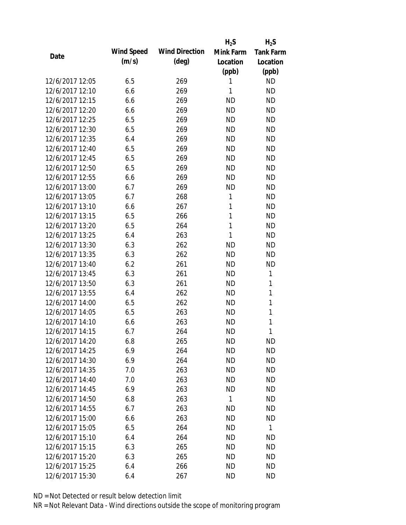|                 |            |                       | $H_2S$       | $H_2S$           |
|-----------------|------------|-----------------------|--------------|------------------|
| Date            | Wind Speed | <b>Wind Direction</b> | Mink Farm    | <b>Tank Farm</b> |
|                 | (m/s)      | $(\text{deg})$        | Location     | Location         |
|                 |            |                       | (ppb)        | (ppb)            |
| 12/6/2017 12:05 | 6.5        | 269                   | 1            | <b>ND</b>        |
| 12/6/2017 12:10 | 6.6        | 269                   | 1            | <b>ND</b>        |
| 12/6/2017 12:15 | 6.6        | 269                   | <b>ND</b>    | <b>ND</b>        |
| 12/6/2017 12:20 | 6.6        | 269                   | <b>ND</b>    | <b>ND</b>        |
| 12/6/2017 12:25 | 6.5        | 269                   | <b>ND</b>    | <b>ND</b>        |
| 12/6/2017 12:30 | 6.5        | 269                   | <b>ND</b>    | <b>ND</b>        |
| 12/6/2017 12:35 | 6.4        | 269                   | <b>ND</b>    | <b>ND</b>        |
| 12/6/2017 12:40 | 6.5        | 269                   | <b>ND</b>    | <b>ND</b>        |
| 12/6/2017 12:45 | 6.5        | 269                   | <b>ND</b>    | <b>ND</b>        |
| 12/6/2017 12:50 | 6.5        | 269                   | <b>ND</b>    | <b>ND</b>        |
| 12/6/2017 12:55 | 6.6        | 269                   | <b>ND</b>    | <b>ND</b>        |
| 12/6/2017 13:00 | 6.7        | 269                   | <b>ND</b>    | <b>ND</b>        |
| 12/6/2017 13:05 | 6.7        | 268                   | 1            | <b>ND</b>        |
| 12/6/2017 13:10 | 6.6        | 267                   | 1            | <b>ND</b>        |
| 12/6/2017 13:15 | 6.5        | 266                   | 1            | <b>ND</b>        |
| 12/6/2017 13:20 | 6.5        | 264                   | 1            | <b>ND</b>        |
| 12/6/2017 13:25 | 6.4        | 263                   | 1            | <b>ND</b>        |
| 12/6/2017 13:30 | 6.3        | 262                   | <b>ND</b>    | <b>ND</b>        |
| 12/6/2017 13:35 | 6.3        | 262                   | <b>ND</b>    | <b>ND</b>        |
| 12/6/2017 13:40 | 6.2        | 261                   | <b>ND</b>    | <b>ND</b>        |
| 12/6/2017 13:45 | 6.3        | 261                   | <b>ND</b>    | 1                |
| 12/6/2017 13:50 | 6.3        | 261                   | <b>ND</b>    | 1                |
| 12/6/2017 13:55 | 6.4        | 262                   | <b>ND</b>    | 1                |
| 12/6/2017 14:00 | 6.5        | 262                   | <b>ND</b>    | 1                |
| 12/6/2017 14:05 | 6.5        | 263                   | <b>ND</b>    | 1                |
| 12/6/2017 14:10 | 6.6        | 263                   | <b>ND</b>    | 1                |
| 12/6/2017 14:15 | 6.7        | 264                   | <b>ND</b>    | 1                |
| 12/6/2017 14:20 | 6.8        | 265                   | <b>ND</b>    | <b>ND</b>        |
| 12/6/2017 14:25 | 6.9        | 264                   | <b>ND</b>    | <b>ND</b>        |
| 12/6/2017 14:30 | 6.9        | 264                   | ND           | <b>ND</b>        |
| 12/6/2017 14:35 | 7.0        | 263                   | <b>ND</b>    | <b>ND</b>        |
| 12/6/2017 14:40 | 7.0        | 263                   | <b>ND</b>    | <b>ND</b>        |
| 12/6/2017 14:45 | 6.9        | 263                   | ND           | <b>ND</b>        |
| 12/6/2017 14:50 | 6.8        | 263                   | $\mathbf{1}$ | <b>ND</b>        |
| 12/6/2017 14:55 | 6.7        | 263                   | <b>ND</b>    | <b>ND</b>        |
| 12/6/2017 15:00 | 6.6        | 263                   | <b>ND</b>    | <b>ND</b>        |
| 12/6/2017 15:05 | 6.5        | 264                   | ND           | $\mathbf{1}$     |
| 12/6/2017 15:10 | 6.4        | 264                   | ND           | <b>ND</b>        |
| 12/6/2017 15:15 | 6.3        | 265                   | <b>ND</b>    | <b>ND</b>        |
| 12/6/2017 15:20 | 6.3        | 265                   | ND           | <b>ND</b>        |
| 12/6/2017 15:25 | 6.4        | 266                   | <b>ND</b>    | <b>ND</b>        |
| 12/6/2017 15:30 | 6.4        | 267                   | <b>ND</b>    | <b>ND</b>        |
|                 |            |                       |              |                  |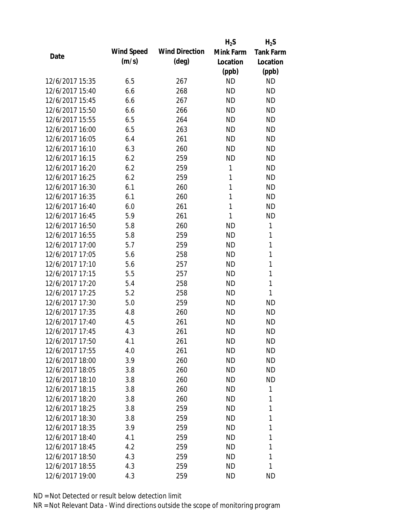|                 |                   |                       | $H_2S$    | $H_2S$           |
|-----------------|-------------------|-----------------------|-----------|------------------|
| Date            | <b>Wind Speed</b> | <b>Wind Direction</b> | Mink Farm | <b>Tank Farm</b> |
|                 | (m/s)             | $(\text{deg})$        | Location  | Location         |
|                 |                   |                       | (ppb)     | (ppb)            |
| 12/6/2017 15:35 | 6.5               | 267                   | <b>ND</b> | <b>ND</b>        |
| 12/6/2017 15:40 | 6.6               | 268                   | <b>ND</b> | <b>ND</b>        |
| 12/6/2017 15:45 | 6.6               | 267                   | <b>ND</b> | <b>ND</b>        |
| 12/6/2017 15:50 | 6.6               | 266                   | <b>ND</b> | <b>ND</b>        |
| 12/6/2017 15:55 | 6.5               | 264                   | <b>ND</b> | <b>ND</b>        |
| 12/6/2017 16:00 | 6.5               | 263                   | <b>ND</b> | <b>ND</b>        |
| 12/6/2017 16:05 | 6.4               | 261                   | <b>ND</b> | <b>ND</b>        |
| 12/6/2017 16:10 | 6.3               | 260                   | <b>ND</b> | <b>ND</b>        |
| 12/6/2017 16:15 | 6.2               | 259                   | <b>ND</b> | <b>ND</b>        |
| 12/6/2017 16:20 | 6.2               | 259                   | 1         | <b>ND</b>        |
| 12/6/2017 16:25 | 6.2               | 259                   | 1         | <b>ND</b>        |
| 12/6/2017 16:30 | 6.1               | 260                   | 1         | <b>ND</b>        |
| 12/6/2017 16:35 | 6.1               | 260                   | 1         | <b>ND</b>        |
| 12/6/2017 16:40 | 6.0               | 261                   | 1         | <b>ND</b>        |
| 12/6/2017 16:45 | 5.9               | 261                   | 1         | <b>ND</b>        |
| 12/6/2017 16:50 | 5.8               | 260                   | <b>ND</b> | 1                |
| 12/6/2017 16:55 | 5.8               | 259                   | <b>ND</b> | 1                |
| 12/6/2017 17:00 | 5.7               | 259                   | <b>ND</b> | $\mathbf{1}$     |
| 12/6/2017 17:05 | 5.6               | 258                   | <b>ND</b> | $\mathbf{1}$     |
| 12/6/2017 17:10 | 5.6               | 257                   | <b>ND</b> | 1                |
| 12/6/2017 17:15 | 5.5               | 257                   | <b>ND</b> | 1                |
| 12/6/2017 17:20 | 5.4               | 258                   | <b>ND</b> | 1                |
| 12/6/2017 17:25 | 5.2               | 258                   | <b>ND</b> | 1                |
| 12/6/2017 17:30 | 5.0               | 259                   | <b>ND</b> | <b>ND</b>        |
| 12/6/2017 17:35 | 4.8               | 260                   | <b>ND</b> | <b>ND</b>        |
| 12/6/2017 17:40 | 4.5               | 261                   | <b>ND</b> | <b>ND</b>        |
| 12/6/2017 17:45 | 4.3               | 261                   | <b>ND</b> | <b>ND</b>        |
| 12/6/2017 17:50 | 4.1               | 261                   | ND        | <b>ND</b>        |
| 12/6/2017 17:55 | 4.0               | 261                   | <b>ND</b> | <b>ND</b>        |
| 12/6/2017 18:00 | 3.9               | 260                   | ND        | ND               |
| 12/6/2017 18:05 | 3.8               | 260                   | ND        | <b>ND</b>        |
| 12/6/2017 18:10 | 3.8               | 260                   | <b>ND</b> | ND               |
| 12/6/2017 18:15 | 3.8               | 260                   | ND        | 1                |
| 12/6/2017 18:20 | 3.8               | 260                   | <b>ND</b> | 1                |
| 12/6/2017 18:25 | 3.8               | 259                   | <b>ND</b> | 1                |
| 12/6/2017 18:30 | 3.8               | 259                   | ND        | 1                |
| 12/6/2017 18:35 | 3.9               | 259                   | ND        | 1                |
| 12/6/2017 18:40 | 4.1               | 259                   | ND        | 1                |
| 12/6/2017 18:45 | 4.2               | 259                   | <b>ND</b> | 1                |
| 12/6/2017 18:50 | 4.3               | 259                   | <b>ND</b> | 1                |
| 12/6/2017 18:55 | 4.3               | 259                   | <b>ND</b> | 1                |
| 12/6/2017 19:00 | 4.3               | 259                   | <b>ND</b> | <b>ND</b>        |
|                 |                   |                       |           |                  |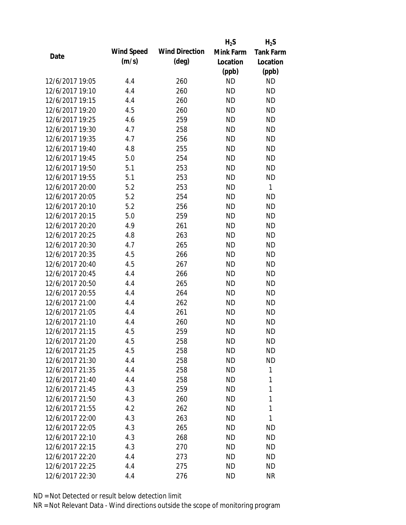|                 |                   |                       | $H_2S$    | $H_2S$           |
|-----------------|-------------------|-----------------------|-----------|------------------|
| Date            | <b>Wind Speed</b> | <b>Wind Direction</b> | Mink Farm | <b>Tank Farm</b> |
|                 | (m/s)             | $(\text{deg})$        | Location  | Location         |
|                 |                   |                       | (ppb)     | (ppb)            |
| 12/6/2017 19:05 | 4.4               | 260                   | <b>ND</b> | <b>ND</b>        |
| 12/6/2017 19:10 | 4.4               | 260                   | <b>ND</b> | <b>ND</b>        |
| 12/6/2017 19:15 | 4.4               | 260                   | <b>ND</b> | <b>ND</b>        |
| 12/6/2017 19:20 | 4.5               | 260                   | <b>ND</b> | <b>ND</b>        |
| 12/6/2017 19:25 | 4.6               | 259                   | <b>ND</b> | <b>ND</b>        |
| 12/6/2017 19:30 | 4.7               | 258                   | <b>ND</b> | <b>ND</b>        |
| 12/6/2017 19:35 | 4.7               | 256                   | <b>ND</b> | <b>ND</b>        |
| 12/6/2017 19:40 | 4.8               | 255                   | <b>ND</b> | <b>ND</b>        |
| 12/6/2017 19:45 | 5.0               | 254                   | <b>ND</b> | <b>ND</b>        |
| 12/6/2017 19:50 | 5.1               | 253                   | <b>ND</b> | <b>ND</b>        |
| 12/6/2017 19:55 | 5.1               | 253                   | <b>ND</b> | <b>ND</b>        |
| 12/6/2017 20:00 | 5.2               | 253                   | <b>ND</b> | $\mathbf{1}$     |
| 12/6/2017 20:05 | 5.2               | 254                   | <b>ND</b> | <b>ND</b>        |
| 12/6/2017 20:10 | 5.2               | 256                   | <b>ND</b> | <b>ND</b>        |
| 12/6/2017 20:15 | 5.0               | 259                   | <b>ND</b> | <b>ND</b>        |
| 12/6/2017 20:20 | 4.9               | 261                   | <b>ND</b> | <b>ND</b>        |
| 12/6/2017 20:25 | 4.8               | 263                   | <b>ND</b> | <b>ND</b>        |
| 12/6/2017 20:30 | 4.7               | 265                   | <b>ND</b> | <b>ND</b>        |
| 12/6/2017 20:35 | 4.5               | 266                   | <b>ND</b> | <b>ND</b>        |
| 12/6/2017 20:40 | 4.5               | 267                   | <b>ND</b> | <b>ND</b>        |
| 12/6/2017 20:45 | 4.4               | 266                   | <b>ND</b> | <b>ND</b>        |
| 12/6/2017 20:50 | 4.4               | 265                   | <b>ND</b> | <b>ND</b>        |
| 12/6/2017 20:55 | 4.4               | 264                   | <b>ND</b> | <b>ND</b>        |
| 12/6/2017 21:00 | 4.4               | 262                   | <b>ND</b> | <b>ND</b>        |
| 12/6/2017 21:05 | 4.4               | 261                   | <b>ND</b> | <b>ND</b>        |
| 12/6/2017 21:10 | 4.4               | 260                   | <b>ND</b> | <b>ND</b>        |
| 12/6/2017 21:15 | 4.5               | 259                   | <b>ND</b> | <b>ND</b>        |
| 12/6/2017 21:20 | 4.5               | 258                   | ND        | <b>ND</b>        |
| 12/6/2017 21:25 | 4.5               | 258                   | <b>ND</b> | <b>ND</b>        |
| 12/6/2017 21:30 | 4.4               | 258                   | <b>ND</b> | ND               |
| 12/6/2017 21:35 | 4.4               | 258                   | ND        | 1                |
| 12/6/2017 21:40 | 4.4               | 258                   | <b>ND</b> | 1                |
| 12/6/2017 21:45 | 4.3               | 259                   | ND        | 1                |
| 12/6/2017 21:50 | 4.3               | 260                   | <b>ND</b> | 1                |
| 12/6/2017 21:55 | 4.2               | 262                   | ND        | 1                |
| 12/6/2017 22:00 | 4.3               | 263                   | ND        | 1                |
| 12/6/2017 22:05 | 4.3               | 265                   | ND        | ND               |
| 12/6/2017 22:10 | 4.3               | 268                   | ND        | <b>ND</b>        |
| 12/6/2017 22:15 | 4.3               | 270                   | <b>ND</b> | <b>ND</b>        |
| 12/6/2017 22:20 | 4.4               | 273                   | ND        | ND               |
| 12/6/2017 22:25 | 4.4               | 275                   | <b>ND</b> | ND               |
| 12/6/2017 22:30 | 4.4               | 276                   | <b>ND</b> | <b>NR</b>        |
|                 |                   |                       |           |                  |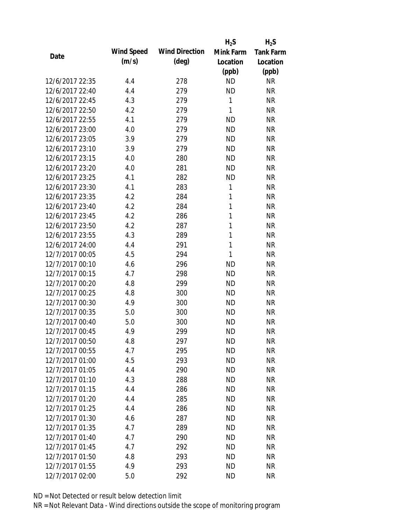|                 |            |                       | $H_2S$       | $H_2S$           |
|-----------------|------------|-----------------------|--------------|------------------|
| Date            | Wind Speed | <b>Wind Direction</b> | Mink Farm    | <b>Tank Farm</b> |
|                 | (m/s)      | $(\text{deg})$        | Location     | Location         |
|                 |            |                       | (ppb)        | (ppb)            |
| 12/6/2017 22:35 | 4.4        | 278                   | <b>ND</b>    | <b>NR</b>        |
| 12/6/2017 22:40 | 4.4        | 279                   | <b>ND</b>    | <b>NR</b>        |
| 12/6/2017 22:45 | 4.3        | 279                   | $\mathbf{1}$ | <b>NR</b>        |
| 12/6/2017 22:50 | 4.2        | 279                   | 1            | <b>NR</b>        |
| 12/6/2017 22:55 | 4.1        | 279                   | <b>ND</b>    | <b>NR</b>        |
| 12/6/2017 23:00 | 4.0        | 279                   | <b>ND</b>    | <b>NR</b>        |
| 12/6/2017 23:05 | 3.9        | 279                   | <b>ND</b>    | <b>NR</b>        |
| 12/6/2017 23:10 | 3.9        | 279                   | <b>ND</b>    | <b>NR</b>        |
| 12/6/2017 23:15 | 4.0        | 280                   | <b>ND</b>    | <b>NR</b>        |
| 12/6/2017 23:20 | 4.0        | 281                   | <b>ND</b>    | <b>NR</b>        |
| 12/6/2017 23:25 | 4.1        | 282                   | <b>ND</b>    | <b>NR</b>        |
| 12/6/2017 23:30 | 4.1        | 283                   | 1            | <b>NR</b>        |
| 12/6/2017 23:35 | 4.2        | 284                   | $\mathbf{1}$ | <b>NR</b>        |
| 12/6/2017 23:40 | 4.2        | 284                   | 1            | <b>NR</b>        |
| 12/6/2017 23:45 | 4.2        | 286                   | 1            | <b>NR</b>        |
| 12/6/2017 23:50 | 4.2        | 287                   | 1            | <b>NR</b>        |
| 12/6/2017 23:55 | 4.3        | 289                   | 1            | <b>NR</b>        |
| 12/6/2017 24:00 | 4.4        | 291                   | $\mathbf{1}$ | <b>NR</b>        |
| 12/7/2017 00:05 | 4.5        | 294                   | 1            | <b>NR</b>        |
| 12/7/2017 00:10 | 4.6        | 296                   | <b>ND</b>    | <b>NR</b>        |
| 12/7/2017 00:15 | 4.7        | 298                   | <b>ND</b>    | <b>NR</b>        |
| 12/7/2017 00:20 | 4.8        | 299                   | <b>ND</b>    | <b>NR</b>        |
| 12/7/2017 00:25 | 4.8        | 300                   | <b>ND</b>    | <b>NR</b>        |
| 12/7/2017 00:30 | 4.9        | 300                   | <b>ND</b>    | <b>NR</b>        |
| 12/7/2017 00:35 | 5.0        | 300                   | <b>ND</b>    | <b>NR</b>        |
| 12/7/2017 00:40 | 5.0        | 300                   | <b>ND</b>    | <b>NR</b>        |
| 12/7/2017 00:45 | 4.9        | 299                   | <b>ND</b>    | <b>NR</b>        |
| 12/7/2017 00:50 | 4.8        | 297                   | <b>ND</b>    | NR               |
| 12/7/2017 00:55 | 4.7        | 295                   | <b>ND</b>    | <b>NR</b>        |
| 12/7/2017 01:00 | 4.5        | 293                   | <b>ND</b>    | <b>NR</b>        |
| 12/7/2017 01:05 | 4.4        | 290                   | <b>ND</b>    | <b>NR</b>        |
| 12/7/2017 01:10 | 4.3        | 288                   | <b>ND</b>    | <b>NR</b>        |
| 12/7/2017 01:15 | 4.4        | 286                   | <b>ND</b>    | <b>NR</b>        |
| 12/7/2017 01:20 | 4.4        | 285                   | <b>ND</b>    | <b>NR</b>        |
| 12/7/2017 01:25 | 4.4        | 286                   | <b>ND</b>    | <b>NR</b>        |
| 12/7/2017 01:30 | 4.6        | 287                   | <b>ND</b>    | <b>NR</b>        |
| 12/7/2017 01:35 | 4.7        | 289                   | <b>ND</b>    | <b>NR</b>        |
| 12/7/2017 01:40 | 4.7        | 290                   | <b>ND</b>    | <b>NR</b>        |
| 12/7/2017 01:45 | 4.7        | 292                   | <b>ND</b>    | <b>NR</b>        |
| 12/7/2017 01:50 | 4.8        | 293                   | <b>ND</b>    | <b>NR</b>        |
| 12/7/2017 01:55 | 4.9        | 293                   | <b>ND</b>    | <b>NR</b>        |
| 12/7/2017 02:00 | 5.0        | 292                   | <b>ND</b>    | <b>NR</b>        |
|                 |            |                       |              |                  |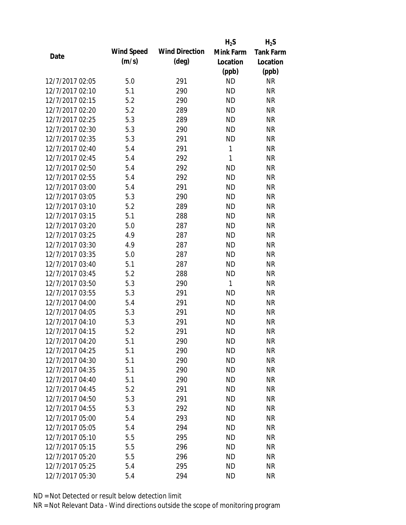|                 |            |                       | $H_2S$       | $H_2S$           |
|-----------------|------------|-----------------------|--------------|------------------|
| Date            | Wind Speed | <b>Wind Direction</b> | Mink Farm    | <b>Tank Farm</b> |
|                 | (m/s)      | (deg)                 | Location     | Location         |
|                 |            |                       | (ppb)        | (ppb)            |
| 12/7/2017 02:05 | 5.0        | 291                   | <b>ND</b>    | <b>NR</b>        |
| 12/7/2017 02:10 | 5.1        | 290                   | <b>ND</b>    | <b>NR</b>        |
| 12/7/2017 02:15 | 5.2        | 290                   | <b>ND</b>    | <b>NR</b>        |
| 12/7/2017 02:20 | 5.2        | 289                   | <b>ND</b>    | <b>NR</b>        |
| 12/7/2017 02:25 | 5.3        | 289                   | <b>ND</b>    | <b>NR</b>        |
| 12/7/2017 02:30 | 5.3        | 290                   | <b>ND</b>    | <b>NR</b>        |
| 12/7/2017 02:35 | 5.3        | 291                   | <b>ND</b>    | <b>NR</b>        |
| 12/7/2017 02:40 | 5.4        | 291                   | 1            | <b>NR</b>        |
| 12/7/2017 02:45 | 5.4        | 292                   | 1            | <b>NR</b>        |
| 12/7/2017 02:50 | 5.4        | 292                   | <b>ND</b>    | <b>NR</b>        |
| 12/7/2017 02:55 | 5.4        | 292                   | <b>ND</b>    | <b>NR</b>        |
| 12/7/2017 03:00 | 5.4        | 291                   | <b>ND</b>    | <b>NR</b>        |
| 12/7/2017 03:05 | 5.3        | 290                   | <b>ND</b>    | <b>NR</b>        |
| 12/7/2017 03:10 | 5.2        | 289                   | <b>ND</b>    | <b>NR</b>        |
| 12/7/2017 03:15 | 5.1        | 288                   | <b>ND</b>    | <b>NR</b>        |
| 12/7/2017 03:20 | 5.0        | 287                   | <b>ND</b>    | <b>NR</b>        |
| 12/7/2017 03:25 | 4.9        | 287                   | <b>ND</b>    | <b>NR</b>        |
| 12/7/2017 03:30 | 4.9        | 287                   | <b>ND</b>    | <b>NR</b>        |
| 12/7/2017 03:35 | 5.0        | 287                   | <b>ND</b>    | <b>NR</b>        |
| 12/7/2017 03:40 | 5.1        | 287                   | <b>ND</b>    | <b>NR</b>        |
| 12/7/2017 03:45 | 5.2        | 288                   | <b>ND</b>    | <b>NR</b>        |
| 12/7/2017 03:50 | 5.3        | 290                   | $\mathbf{1}$ | <b>NR</b>        |
| 12/7/2017 03:55 | 5.3        | 291                   | <b>ND</b>    | <b>NR</b>        |
| 12/7/2017 04:00 | 5.4        | 291                   | <b>ND</b>    | <b>NR</b>        |
| 12/7/2017 04:05 | 5.3        | 291                   | <b>ND</b>    | <b>NR</b>        |
| 12/7/2017 04:10 | 5.3        | 291                   | <b>ND</b>    | <b>NR</b>        |
| 12/7/2017 04:15 | 5.2        | 291                   | <b>ND</b>    | <b>NR</b>        |
| 12/7/2017 04:20 | 5.1        | 290                   | ND           | <b>NR</b>        |
| 12/7/2017 04:25 | 5.1        | 290                   | <b>ND</b>    | <b>NR</b>        |
| 12/7/2017 04:30 | 5.1        | 290                   | <b>ND</b>    | <b>NR</b>        |
| 12/7/2017 04:35 | 5.1        | 290                   | <b>ND</b>    | <b>NR</b>        |
| 12/7/2017 04:40 | 5.1        | 290                   | <b>ND</b>    | <b>NR</b>        |
| 12/7/2017 04:45 | 5.2        | 291                   | <b>ND</b>    | <b>NR</b>        |
| 12/7/2017 04:50 | 5.3        | 291                   | <b>ND</b>    | <b>NR</b>        |
| 12/7/2017 04:55 | 5.3        | 292                   | <b>ND</b>    | <b>NR</b>        |
| 12/7/2017 05:00 | 5.4        | 293                   | <b>ND</b>    | <b>NR</b>        |
| 12/7/2017 05:05 | 5.4        | 294                   | <b>ND</b>    | <b>NR</b>        |
| 12/7/2017 05:10 | 5.5        | 295                   | <b>ND</b>    | <b>NR</b>        |
| 12/7/2017 05:15 | 5.5        | 296                   | <b>ND</b>    | <b>NR</b>        |
| 12/7/2017 05:20 | 5.5        | 296                   | <b>ND</b>    | <b>NR</b>        |
| 12/7/2017 05:25 | 5.4        | 295                   | <b>ND</b>    | <b>NR</b>        |
| 12/7/2017 05:30 | 5.4        | 294                   | <b>ND</b>    | <b>NR</b>        |
|                 |            |                       |              |                  |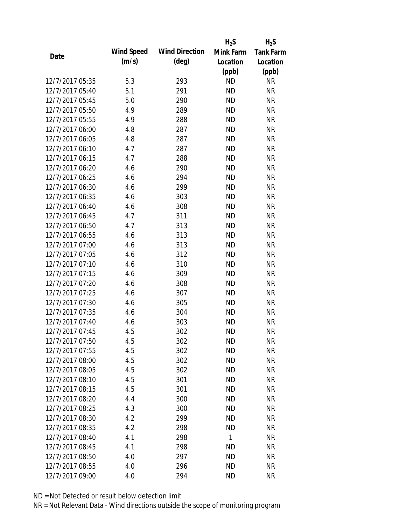|                 |            |                       | $H_2S$    | $H_2S$           |
|-----------------|------------|-----------------------|-----------|------------------|
|                 | Wind Speed | <b>Wind Direction</b> | Mink Farm | <b>Tank Farm</b> |
| Date            | (m/s)      | $(\text{deg})$        | Location  | Location         |
|                 |            |                       | (ppb)     | (ppb)            |
| 12/7/2017 05:35 | 5.3        | 293                   | <b>ND</b> | <b>NR</b>        |
| 12/7/2017 05:40 | 5.1        | 291                   | <b>ND</b> | <b>NR</b>        |
| 12/7/2017 05:45 | 5.0        | 290                   | <b>ND</b> | <b>NR</b>        |
| 12/7/2017 05:50 | 4.9        | 289                   | <b>ND</b> | <b>NR</b>        |
| 12/7/2017 05:55 | 4.9        | 288                   | <b>ND</b> | <b>NR</b>        |
| 12/7/2017 06:00 | 4.8        | 287                   | <b>ND</b> | <b>NR</b>        |
| 12/7/2017 06:05 | 4.8        | 287                   | <b>ND</b> | <b>NR</b>        |
| 12/7/2017 06:10 | 4.7        | 287                   | <b>ND</b> | <b>NR</b>        |
| 12/7/2017 06:15 | 4.7        | 288                   | <b>ND</b> | <b>NR</b>        |
| 12/7/2017 06:20 | 4.6        | 290                   | <b>ND</b> | <b>NR</b>        |
| 12/7/2017 06:25 | 4.6        | 294                   | <b>ND</b> | <b>NR</b>        |
| 12/7/2017 06:30 | 4.6        | 299                   | <b>ND</b> | <b>NR</b>        |
| 12/7/2017 06:35 | 4.6        | 303                   | <b>ND</b> | <b>NR</b>        |
| 12/7/2017 06:40 | 4.6        | 308                   | <b>ND</b> | <b>NR</b>        |
| 12/7/2017 06:45 | 4.7        | 311                   | <b>ND</b> | <b>NR</b>        |
| 12/7/2017 06:50 | 4.7        | 313                   | <b>ND</b> | <b>NR</b>        |
| 12/7/2017 06:55 | 4.6        | 313                   | <b>ND</b> | <b>NR</b>        |
| 12/7/2017 07:00 | 4.6        | 313                   | <b>ND</b> | <b>NR</b>        |
| 12/7/2017 07:05 | 4.6        | 312                   | ND        | <b>NR</b>        |
| 12/7/2017 07:10 | 4.6        | 310                   | <b>ND</b> | <b>NR</b>        |
| 12/7/2017 07:15 | 4.6        | 309                   | <b>ND</b> | <b>NR</b>        |
| 12/7/2017 07:20 | 4.6        | 308                   | <b>ND</b> | <b>NR</b>        |
| 12/7/2017 07:25 | 4.6        | 307                   | <b>ND</b> | <b>NR</b>        |
| 12/7/2017 07:30 | 4.6        | 305                   | <b>ND</b> | <b>NR</b>        |
| 12/7/2017 07:35 | 4.6        | 304                   | <b>ND</b> | <b>NR</b>        |
| 12/7/2017 07:40 | 4.6        | 303                   | <b>ND</b> | <b>NR</b>        |
| 12/7/2017 07:45 | 4.5        | 302                   | <b>ND</b> | <b>NR</b>        |
| 12/7/2017 07:50 | 4.5        | 302                   | <b>ND</b> | <b>NR</b>        |
| 12/7/2017 07:55 | 4.5        | 302                   | <b>ND</b> | <b>NR</b>        |
| 12/7/2017 08:00 | 4.5        | 302                   | <b>ND</b> | <b>NR</b>        |
| 12/7/2017 08:05 | 4.5        | 302                   | <b>ND</b> | <b>NR</b>        |
| 12/7/2017 08:10 | 4.5        | 301                   | <b>ND</b> | <b>NR</b>        |
| 12/7/2017 08:15 | 4.5        | 301                   | <b>ND</b> | <b>NR</b>        |
| 12/7/2017 08:20 | 4.4        | 300                   | <b>ND</b> | <b>NR</b>        |
| 12/7/2017 08:25 | 4.3        | 300                   | <b>ND</b> | <b>NR</b>        |
| 12/7/2017 08:30 | 4.2        | 299                   | <b>ND</b> | <b>NR</b>        |
| 12/7/2017 08:35 | 4.2        | 298                   | <b>ND</b> | <b>NR</b>        |
| 12/7/2017 08:40 | 4.1        | 298                   | 1         | <b>NR</b>        |
| 12/7/2017 08:45 | 4.1        | 298                   | <b>ND</b> | <b>NR</b>        |
| 12/7/2017 08:50 | 4.0        | 297                   | <b>ND</b> | NR               |
| 12/7/2017 08:55 | 4.0        | 296                   | <b>ND</b> | <b>NR</b>        |
| 12/7/2017 09:00 | 4.0        | 294                   | <b>ND</b> | <b>NR</b>        |
|                 |            |                       |           |                  |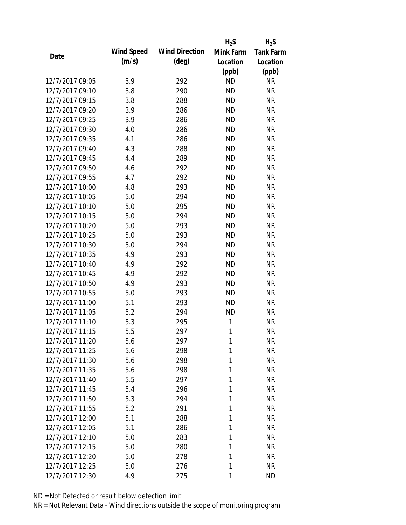|                 |            |                       | $H_2S$    | $H_2S$           |
|-----------------|------------|-----------------------|-----------|------------------|
| Date            | Wind Speed | <b>Wind Direction</b> | Mink Farm | <b>Tank Farm</b> |
|                 | (m/s)      | $(\text{deg})$        | Location  | Location         |
|                 |            |                       | (ppb)     | (ppb)            |
| 12/7/2017 09:05 | 3.9        | 292                   | <b>ND</b> | <b>NR</b>        |
| 12/7/2017 09:10 | 3.8        | 290                   | <b>ND</b> | <b>NR</b>        |
| 12/7/2017 09:15 | 3.8        | 288                   | <b>ND</b> | <b>NR</b>        |
| 12/7/2017 09:20 | 3.9        | 286                   | <b>ND</b> | <b>NR</b>        |
| 12/7/2017 09:25 | 3.9        | 286                   | <b>ND</b> | <b>NR</b>        |
| 12/7/2017 09:30 | 4.0        | 286                   | <b>ND</b> | <b>NR</b>        |
| 12/7/2017 09:35 | 4.1        | 286                   | <b>ND</b> | <b>NR</b>        |
| 12/7/2017 09:40 | 4.3        | 288                   | <b>ND</b> | <b>NR</b>        |
| 12/7/2017 09:45 | 4.4        | 289                   | <b>ND</b> | <b>NR</b>        |
| 12/7/2017 09:50 | 4.6        | 292                   | <b>ND</b> | <b>NR</b>        |
| 12/7/2017 09:55 | 4.7        | 292                   | <b>ND</b> | <b>NR</b>        |
| 12/7/2017 10:00 | 4.8        | 293                   | <b>ND</b> | <b>NR</b>        |
| 12/7/2017 10:05 | 5.0        | 294                   | <b>ND</b> | <b>NR</b>        |
| 12/7/2017 10:10 | 5.0        | 295                   | <b>ND</b> | <b>NR</b>        |
| 12/7/2017 10:15 | 5.0        | 294                   | <b>ND</b> | <b>NR</b>        |
| 12/7/2017 10:20 | 5.0        | 293                   | <b>ND</b> | <b>NR</b>        |
| 12/7/2017 10:25 | 5.0        | 293                   | <b>ND</b> | <b>NR</b>        |
| 12/7/2017 10:30 | 5.0        | 294                   | <b>ND</b> | <b>NR</b>        |
| 12/7/2017 10:35 | 4.9        | 293                   | <b>ND</b> | <b>NR</b>        |
| 12/7/2017 10:40 | 4.9        | 292                   | <b>ND</b> | <b>NR</b>        |
| 12/7/2017 10:45 | 4.9        | 292                   | <b>ND</b> | <b>NR</b>        |
| 12/7/2017 10:50 | 4.9        | 293                   | <b>ND</b> | <b>NR</b>        |
| 12/7/2017 10:55 | 5.0        | 293                   | <b>ND</b> | <b>NR</b>        |
| 12/7/2017 11:00 | 5.1        | 293                   | <b>ND</b> | <b>NR</b>        |
| 12/7/2017 11:05 | 5.2        | 294                   | <b>ND</b> | <b>NR</b>        |
| 12/7/2017 11:10 | 5.3        | 295                   | 1         | <b>NR</b>        |
| 12/7/2017 11:15 | 5.5        | 297                   | 1         | <b>NR</b>        |
| 12/7/2017 11:20 | 5.6        | 297                   | 1         | NR               |
| 12/7/2017 11:25 | 5.6        | 298                   | 1         | <b>NR</b>        |
| 12/7/2017 11:30 | 5.6        | 298                   | 1         | <b>NR</b>        |
| 12/7/2017 11:35 | 5.6        | 298                   | 1         | <b>NR</b>        |
| 12/7/2017 11:40 | 5.5        | 297                   | 1         | <b>NR</b>        |
| 12/7/2017 11:45 | 5.4        | 296                   | 1         | <b>NR</b>        |
| 12/7/2017 11:50 | 5.3        | 294                   | 1         | <b>NR</b>        |
| 12/7/2017 11:55 | 5.2        | 291                   | 1         | <b>NR</b>        |
| 12/7/2017 12:00 | 5.1        | 288                   | 1         | <b>NR</b>        |
| 12/7/2017 12:05 | 5.1        | 286                   | 1         | <b>NR</b>        |
| 12/7/2017 12:10 | 5.0        | 283                   | 1         | <b>NR</b>        |
| 12/7/2017 12:15 | 5.0        | 280                   | 1         | <b>NR</b>        |
| 12/7/2017 12:20 | 5.0        | 278                   | 1         | <b>NR</b>        |
| 12/7/2017 12:25 | 5.0        | 276                   | 1         | <b>NR</b>        |
| 12/7/2017 12:30 | 4.9        | 275                   | 1         | <b>ND</b>        |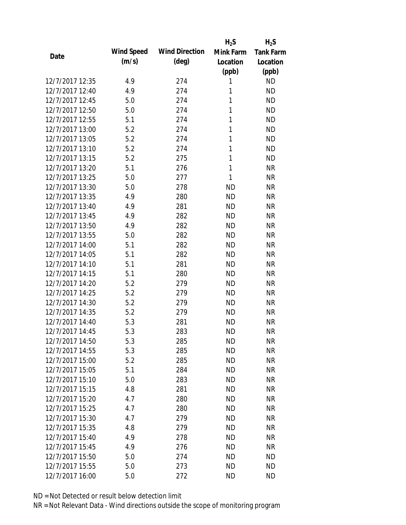|                 |            |                       | $H_2S$    | $H_2S$           |
|-----------------|------------|-----------------------|-----------|------------------|
| Date            | Wind Speed | <b>Wind Direction</b> | Mink Farm | <b>Tank Farm</b> |
|                 | (m/s)      | $(\text{deg})$        | Location  | Location         |
|                 |            |                       | (ppb)     | (ppb)            |
| 12/7/2017 12:35 | 4.9        | 274                   | 1         | <b>ND</b>        |
| 12/7/2017 12:40 | 4.9        | 274                   | 1         | <b>ND</b>        |
| 12/7/2017 12:45 | 5.0        | 274                   | 1         | <b>ND</b>        |
| 12/7/2017 12:50 | 5.0        | 274                   | 1         | <b>ND</b>        |
| 12/7/2017 12:55 | 5.1        | 274                   | 1         | <b>ND</b>        |
| 12/7/2017 13:00 | 5.2        | 274                   | 1         | <b>ND</b>        |
| 12/7/2017 13:05 | 5.2        | 274                   | 1         | <b>ND</b>        |
| 12/7/2017 13:10 | 5.2        | 274                   | 1         | <b>ND</b>        |
| 12/7/2017 13:15 | 5.2        | 275                   | 1         | <b>ND</b>        |
| 12/7/2017 13:20 | 5.1        | 276                   | 1         | <b>NR</b>        |
| 12/7/2017 13:25 | 5.0        | 277                   | 1         | <b>NR</b>        |
| 12/7/2017 13:30 | 5.0        | 278                   | <b>ND</b> | <b>NR</b>        |
| 12/7/2017 13:35 | 4.9        | 280                   | <b>ND</b> | <b>NR</b>        |
| 12/7/2017 13:40 | 4.9        | 281                   | <b>ND</b> | <b>NR</b>        |
| 12/7/2017 13:45 | 4.9        | 282                   | <b>ND</b> | <b>NR</b>        |
| 12/7/2017 13:50 | 4.9        | 282                   | <b>ND</b> | <b>NR</b>        |
| 12/7/2017 13:55 | 5.0        | 282                   | <b>ND</b> | <b>NR</b>        |
| 12/7/2017 14:00 | 5.1        | 282                   | <b>ND</b> | <b>NR</b>        |
| 12/7/2017 14:05 | 5.1        | 282                   | <b>ND</b> | <b>NR</b>        |
| 12/7/2017 14:10 | 5.1        | 281                   | <b>ND</b> | <b>NR</b>        |
| 12/7/2017 14:15 | 5.1        | 280                   | <b>ND</b> | <b>NR</b>        |
| 12/7/2017 14:20 | 5.2        | 279                   | <b>ND</b> | <b>NR</b>        |
| 12/7/2017 14:25 | 5.2        | 279                   | <b>ND</b> | <b>NR</b>        |
| 12/7/2017 14:30 | 5.2        | 279                   | <b>ND</b> | <b>NR</b>        |
| 12/7/2017 14:35 | 5.2        | 279                   | <b>ND</b> | <b>NR</b>        |
| 12/7/2017 14:40 | 5.3        | 281                   | <b>ND</b> | <b>NR</b>        |
| 12/7/2017 14:45 | 5.3        | 283                   | <b>ND</b> | <b>NR</b>        |
| 12/7/2017 14:50 | 5.3        | 285                   | <b>ND</b> | NR               |
| 12/7/2017 14:55 | 5.3        | 285                   | <b>ND</b> | <b>NR</b>        |
| 12/7/2017 15:00 | 5.2        | 285                   | <b>ND</b> | <b>NR</b>        |
| 12/7/2017 15:05 | 5.1        | 284                   | <b>ND</b> | <b>NR</b>        |
| 12/7/2017 15:10 | 5.0        | 283                   | <b>ND</b> | <b>NR</b>        |
| 12/7/2017 15:15 | 4.8        | 281                   | <b>ND</b> | <b>NR</b>        |
| 12/7/2017 15:20 | 4.7        | 280                   | <b>ND</b> | <b>NR</b>        |
| 12/7/2017 15:25 | 4.7        | 280                   | <b>ND</b> | <b>NR</b>        |
| 12/7/2017 15:30 | 4.7        | 279                   | <b>ND</b> | <b>NR</b>        |
| 12/7/2017 15:35 | 4.8        | 279                   | <b>ND</b> | <b>NR</b>        |
| 12/7/2017 15:40 | 4.9        | 278                   | <b>ND</b> | <b>NR</b>        |
| 12/7/2017 15:45 | 4.9        | 276                   | <b>ND</b> | <b>NR</b>        |
| 12/7/2017 15:50 | 5.0        | 274                   | <b>ND</b> | <b>ND</b>        |
| 12/7/2017 15:55 | 5.0        | 273                   | <b>ND</b> | <b>ND</b>        |
| 12/7/2017 16:00 | 5.0        | 272                   | <b>ND</b> | <b>ND</b>        |
|                 |            |                       |           |                  |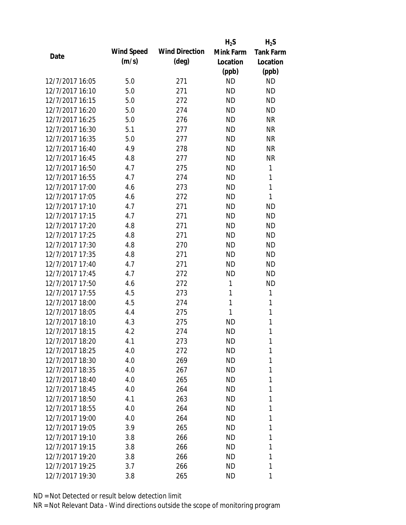|                 |                   |                       | $H_2S$       | $H_2S$           |
|-----------------|-------------------|-----------------------|--------------|------------------|
| Date            | <b>Wind Speed</b> | <b>Wind Direction</b> | Mink Farm    | <b>Tank Farm</b> |
|                 | (m/s)             | $(\text{deg})$        | Location     | Location         |
|                 |                   |                       | (ppb)        | (ppb)            |
| 12/7/2017 16:05 | 5.0               | 271                   | <b>ND</b>    | <b>ND</b>        |
| 12/7/2017 16:10 | 5.0               | 271                   | <b>ND</b>    | <b>ND</b>        |
| 12/7/2017 16:15 | 5.0               | 272                   | <b>ND</b>    | <b>ND</b>        |
| 12/7/2017 16:20 | 5.0               | 274                   | <b>ND</b>    | <b>ND</b>        |
| 12/7/2017 16:25 | 5.0               | 276                   | <b>ND</b>    | <b>NR</b>        |
| 12/7/2017 16:30 | 5.1               | 277                   | <b>ND</b>    | <b>NR</b>        |
| 12/7/2017 16:35 | 5.0               | 277                   | <b>ND</b>    | <b>NR</b>        |
| 12/7/2017 16:40 | 4.9               | 278                   | <b>ND</b>    | <b>NR</b>        |
| 12/7/2017 16:45 | 4.8               | 277                   | <b>ND</b>    | <b>NR</b>        |
| 12/7/2017 16:50 | 4.7               | 275                   | <b>ND</b>    | 1                |
| 12/7/2017 16:55 | 4.7               | 274                   | <b>ND</b>    | 1                |
| 12/7/2017 17:00 | 4.6               | 273                   | <b>ND</b>    | $\mathbf{1}$     |
| 12/7/2017 17:05 | 4.6               | 272                   | <b>ND</b>    | 1                |
| 12/7/2017 17:10 | 4.7               | 271                   | <b>ND</b>    | <b>ND</b>        |
| 12/7/2017 17:15 | 4.7               | 271                   | <b>ND</b>    | <b>ND</b>        |
| 12/7/2017 17:20 | 4.8               | 271                   | <b>ND</b>    | <b>ND</b>        |
| 12/7/2017 17:25 | 4.8               | 271                   | <b>ND</b>    | <b>ND</b>        |
| 12/7/2017 17:30 | 4.8               | 270                   | <b>ND</b>    | <b>ND</b>        |
| 12/7/2017 17:35 | 4.8               | 271                   | <b>ND</b>    | <b>ND</b>        |
| 12/7/2017 17:40 | 4.7               | 271                   | <b>ND</b>    | <b>ND</b>        |
| 12/7/2017 17:45 | 4.7               | 272                   | <b>ND</b>    | <b>ND</b>        |
| 12/7/2017 17:50 | 4.6               | 272                   | $\mathbf{1}$ | <b>ND</b>        |
| 12/7/2017 17:55 | 4.5               | 273                   | 1            | 1                |
| 12/7/2017 18:00 | 4.5               | 274                   | 1            | 1                |
| 12/7/2017 18:05 | 4.4               | 275                   | 1            | 1                |
| 12/7/2017 18:10 | 4.3               | 275                   | <b>ND</b>    | 1                |
| 12/7/2017 18:15 | 4.2               | 274                   | <b>ND</b>    | 1                |
| 12/7/2017 18:20 | 4.1               | 273                   | ND           | 1                |
| 12/7/2017 18:25 | 4.0               | 272                   | <b>ND</b>    | 1                |
| 12/7/2017 18:30 | 4.0               | 269                   | ND           | 1                |
| 12/7/2017 18:35 | 4.0               | 267                   | ND           | 1                |
| 12/7/2017 18:40 | 4.0               | 265                   | <b>ND</b>    | 1                |
| 12/7/2017 18:45 | 4.0               | 264                   | ND           | 1                |
| 12/7/2017 18:50 | 4.1               | 263                   | <b>ND</b>    | 1                |
| 12/7/2017 18:55 | 4.0               | 264                   | ND           | 1                |
| 12/7/2017 19:00 | 4.0               | 264                   | ND           | 1                |
| 12/7/2017 19:05 | 3.9               | 265                   | ND           | 1                |
| 12/7/2017 19:10 | 3.8               | 266                   | ND           | 1                |
| 12/7/2017 19:15 | 3.8               | 266                   | <b>ND</b>    | 1                |
| 12/7/2017 19:20 | 3.8               | 266                   | ND           | 1                |
| 12/7/2017 19:25 | 3.7               | 266                   | ND           | 1                |
| 12/7/2017 19:30 | 3.8               | 265                   | ND           | 1                |
|                 |                   |                       |              |                  |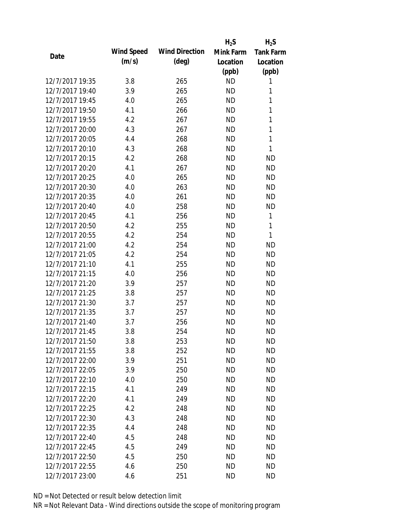|                 |            |                       | $H_2S$    | $H_2S$           |
|-----------------|------------|-----------------------|-----------|------------------|
| Date            | Wind Speed | <b>Wind Direction</b> | Mink Farm | <b>Tank Farm</b> |
|                 | (m/s)      | $(\text{deg})$        | Location  | Location         |
|                 |            |                       | (ppb)     | (ppb)            |
| 12/7/2017 19:35 | 3.8        | 265                   | <b>ND</b> | 1                |
| 12/7/2017 19:40 | 3.9        | 265                   | <b>ND</b> | 1                |
| 12/7/2017 19:45 | 4.0        | 265                   | <b>ND</b> | $\mathbf{1}$     |
| 12/7/2017 19:50 | 4.1        | 266                   | <b>ND</b> | 1                |
| 12/7/2017 19:55 | 4.2        | 267                   | <b>ND</b> | $\mathbf{1}$     |
| 12/7/2017 20:00 | 4.3        | 267                   | <b>ND</b> | 1                |
| 12/7/2017 20:05 | 4.4        | 268                   | <b>ND</b> | $\mathbf{1}$     |
| 12/7/2017 20:10 | 4.3        | 268                   | <b>ND</b> | 1                |
| 12/7/2017 20:15 | 4.2        | 268                   | <b>ND</b> | <b>ND</b>        |
| 12/7/2017 20:20 | 4.1        | 267                   | <b>ND</b> | <b>ND</b>        |
| 12/7/2017 20:25 | 4.0        | 265                   | <b>ND</b> | <b>ND</b>        |
| 12/7/2017 20:30 | 4.0        | 263                   | <b>ND</b> | <b>ND</b>        |
| 12/7/2017 20:35 | 4.0        | 261                   | <b>ND</b> | <b>ND</b>        |
| 12/7/2017 20:40 | 4.0        | 258                   | <b>ND</b> | <b>ND</b>        |
| 12/7/2017 20:45 | 4.1        | 256                   | <b>ND</b> | 1                |
| 12/7/2017 20:50 | 4.2        | 255                   | <b>ND</b> | 1                |
| 12/7/2017 20:55 | 4.2        | 254                   | <b>ND</b> | 1                |
| 12/7/2017 21:00 | 4.2        | 254                   | <b>ND</b> | <b>ND</b>        |
| 12/7/2017 21:05 | 4.2        | 254                   | <b>ND</b> | <b>ND</b>        |
| 12/7/2017 21:10 | 4.1        | 255                   | <b>ND</b> | <b>ND</b>        |
| 12/7/2017 21:15 | 4.0        | 256                   | <b>ND</b> | <b>ND</b>        |
| 12/7/2017 21:20 | 3.9        | 257                   | <b>ND</b> | <b>ND</b>        |
| 12/7/2017 21:25 | 3.8        | 257                   | <b>ND</b> | <b>ND</b>        |
| 12/7/2017 21:30 | 3.7        | 257                   | <b>ND</b> | <b>ND</b>        |
| 12/7/2017 21:35 | 3.7        | 257                   | <b>ND</b> | <b>ND</b>        |
| 12/7/2017 21:40 | 3.7        | 256                   | <b>ND</b> | <b>ND</b>        |
| 12/7/2017 21:45 | 3.8        | 254                   | <b>ND</b> | <b>ND</b>        |
| 12/7/2017 21:50 | 3.8        | 253                   | <b>ND</b> | <b>ND</b>        |
| 12/7/2017 21:55 | 3.8        | 252                   | <b>ND</b> | <b>ND</b>        |
| 12/7/2017 22:00 | 3.9        | 251                   | ND        | <b>ND</b>        |
| 12/7/2017 22:05 | 3.9        | 250                   | <b>ND</b> | <b>ND</b>        |
| 12/7/2017 22:10 | 4.0        | 250                   | <b>ND</b> | <b>ND</b>        |
| 12/7/2017 22:15 | 4.1        | 249                   | <b>ND</b> | <b>ND</b>        |
| 12/7/2017 22:20 | 4.1        | 249                   | <b>ND</b> | <b>ND</b>        |
| 12/7/2017 22:25 | 4.2        | 248                   | <b>ND</b> | <b>ND</b>        |
| 12/7/2017 22:30 | 4.3        | 248                   | <b>ND</b> | <b>ND</b>        |
| 12/7/2017 22:35 | 4.4        | 248                   | ND.       | <b>ND</b>        |
| 12/7/2017 22:40 | 4.5        | 248                   | <b>ND</b> | <b>ND</b>        |
| 12/7/2017 22:45 | 4.5        | 249                   | <b>ND</b> | <b>ND</b>        |
| 12/7/2017 22:50 | 4.5        | 250                   | ND        | <b>ND</b>        |
| 12/7/2017 22:55 | 4.6        | 250                   | <b>ND</b> | <b>ND</b>        |
| 12/7/2017 23:00 | 4.6        | 251                   | <b>ND</b> | <b>ND</b>        |
|                 |            |                       |           |                  |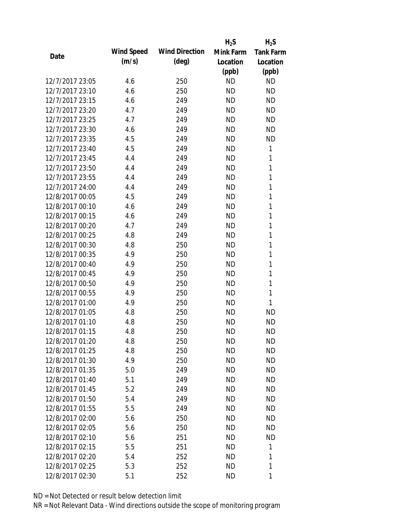|                 |            |                       | $H_2S$    | $H_2S$           |
|-----------------|------------|-----------------------|-----------|------------------|
| Date            | Wind Speed | <b>Wind Direction</b> | Mink Farm | <b>Tank Farm</b> |
|                 | (m/s)      | $(\text{deg})$        | Location  | Location         |
|                 |            |                       | (ppb)     | (ppb)            |
| 12/7/2017 23:05 | 4.6        | 250                   | <b>ND</b> | <b>ND</b>        |
| 12/7/2017 23:10 | 4.6        | 250                   | <b>ND</b> | <b>ND</b>        |
| 12/7/2017 23:15 | 4.6        | 249                   | <b>ND</b> | <b>ND</b>        |
| 12/7/2017 23:20 | 4.7        | 249                   | <b>ND</b> | <b>ND</b>        |
| 12/7/2017 23:25 | 4.7        | 249                   | <b>ND</b> | <b>ND</b>        |
| 12/7/2017 23:30 | 4.6        | 249                   | <b>ND</b> | <b>ND</b>        |
| 12/7/2017 23:35 | 4.5        | 249                   | <b>ND</b> | <b>ND</b>        |
| 12/7/2017 23:40 | 4.5        | 249                   | <b>ND</b> | 1                |
| 12/7/2017 23:45 | 4.4        | 249                   | <b>ND</b> | 1                |
| 12/7/2017 23:50 | 4.4        | 249                   | <b>ND</b> | 1                |
| 12/7/2017 23:55 | 4.4        | 249                   | <b>ND</b> | 1                |
| 12/7/2017 24:00 | 4.4        | 249                   | <b>ND</b> | 1                |
| 12/8/2017 00:05 | 4.5        | 249                   | <b>ND</b> | 1                |
| 12/8/2017 00:10 | 4.6        | 249                   | <b>ND</b> | 1                |
| 12/8/2017 00:15 | 4.6        | 249                   | <b>ND</b> | 1                |
| 12/8/2017 00:20 | 4.7        | 249                   | <b>ND</b> | 1                |
| 12/8/2017 00:25 | 4.8        | 249                   | <b>ND</b> | 1                |
| 12/8/2017 00:30 | 4.8        | 250                   | <b>ND</b> | 1                |
| 12/8/2017 00:35 | 4.9        | 250                   | <b>ND</b> | $\mathbf{1}$     |
| 12/8/2017 00:40 | 4.9        | 250                   | <b>ND</b> | 1                |
| 12/8/2017 00:45 | 4.9        | 250                   | <b>ND</b> | 1                |
| 12/8/2017 00:50 | 4.9        | 250                   | <b>ND</b> | 1                |
| 12/8/2017 00:55 | 4.9        | 250                   | <b>ND</b> | 1                |
| 12/8/2017 01:00 | 4.9        | 250                   | <b>ND</b> | 1                |
| 12/8/2017 01:05 | 4.8        | 250                   | <b>ND</b> | <b>ND</b>        |
| 12/8/2017 01:10 | 4.8        | 250                   | <b>ND</b> | <b>ND</b>        |
| 12/8/2017 01:15 | 4.8        | 250                   | <b>ND</b> | <b>ND</b>        |
| 12/8/2017 01:20 | 4.8        | 250                   | ND        | <b>ND</b>        |
| 12/8/2017 01:25 | 4.8        | 250                   | <b>ND</b> | <b>ND</b>        |
| 12/8/2017 01:30 | 4.9        | 250                   | <b>ND</b> | <b>ND</b>        |
| 12/8/2017 01:35 | 5.0        | 249                   | <b>ND</b> | <b>ND</b>        |
| 12/8/2017 01:40 | 5.1        | 249                   | <b>ND</b> | <b>ND</b>        |
| 12/8/2017 01:45 | 5.2        | 249                   | <b>ND</b> | <b>ND</b>        |
| 12/8/2017 01:50 | 5.4        | 249                   | <b>ND</b> | <b>ND</b>        |
| 12/8/2017 01:55 | 5.5        | 249                   | <b>ND</b> | <b>ND</b>        |
| 12/8/2017 02:00 | 5.6        | 250                   | <b>ND</b> | <b>ND</b>        |
| 12/8/2017 02:05 | 5.6        | 250                   | <b>ND</b> | <b>ND</b>        |
| 12/8/2017 02:10 | 5.6        | 251                   | ΝD        | <b>ND</b>        |
| 12/8/2017 02:15 | 5.5        | 251                   | <b>ND</b> | 1                |
| 12/8/2017 02:20 | 5.4        | 252                   | ΝD        | 1                |
| 12/8/2017 02:25 | 5.3        | 252                   | <b>ND</b> | 1                |
| 12/8/2017 02:30 | 5.1        | 252                   | <b>ND</b> | 1                |
|                 |            |                       |           |                  |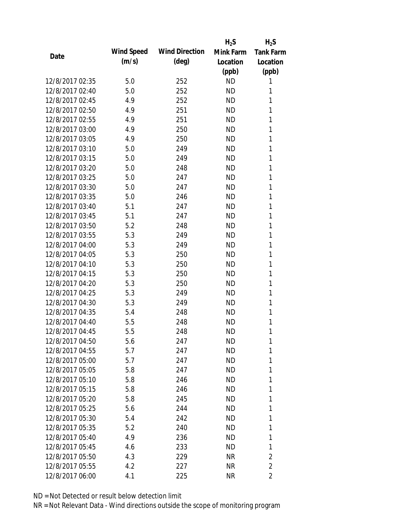|                 |            |                       | $H_2S$    | $H_2S$           |
|-----------------|------------|-----------------------|-----------|------------------|
| Date            | Wind Speed | <b>Wind Direction</b> | Mink Farm | <b>Tank Farm</b> |
|                 | (m/s)      | $(\text{deg})$        | Location  | Location         |
|                 |            |                       | (ppb)     | (ppb)            |
| 12/8/2017 02:35 | 5.0        | 252                   | <b>ND</b> | 1                |
| 12/8/2017 02:40 | 5.0        | 252                   | <b>ND</b> | 1                |
| 12/8/2017 02:45 | 4.9        | 252                   | <b>ND</b> | 1                |
| 12/8/2017 02:50 | 4.9        | 251                   | <b>ND</b> | 1                |
| 12/8/2017 02:55 | 4.9        | 251                   | <b>ND</b> | 1                |
| 12/8/2017 03:00 | 4.9        | 250                   | <b>ND</b> | 1                |
| 12/8/2017 03:05 | 4.9        | 250                   | <b>ND</b> | 1                |
| 12/8/2017 03:10 | 5.0        | 249                   | <b>ND</b> | 1                |
| 12/8/2017 03:15 | 5.0        | 249                   | <b>ND</b> | 1                |
| 12/8/2017 03:20 | 5.0        | 248                   | <b>ND</b> | 1                |
| 12/8/2017 03:25 | 5.0        | 247                   | <b>ND</b> | 1                |
| 12/8/2017 03:30 | 5.0        | 247                   | <b>ND</b> | 1                |
| 12/8/2017 03:35 | 5.0        | 246                   | <b>ND</b> | 1                |
| 12/8/2017 03:40 | 5.1        | 247                   | <b>ND</b> | 1                |
| 12/8/2017 03:45 | 5.1        | 247                   | <b>ND</b> | 1                |
| 12/8/2017 03:50 | 5.2        | 248                   | <b>ND</b> | 1                |
| 12/8/2017 03:55 | 5.3        | 249                   | <b>ND</b> | 1                |
| 12/8/2017 04:00 | 5.3        | 249                   | <b>ND</b> | 1                |
| 12/8/2017 04:05 | 5.3        | 250                   | <b>ND</b> | 1                |
| 12/8/2017 04:10 | 5.3        | 250                   | <b>ND</b> | 1                |
| 12/8/2017 04:15 | 5.3        | 250                   | <b>ND</b> | 1                |
| 12/8/2017 04:20 | 5.3        | 250                   | <b>ND</b> | 1                |
| 12/8/2017 04:25 | 5.3        | 249                   | <b>ND</b> | 1                |
| 12/8/2017 04:30 | 5.3        | 249                   | <b>ND</b> | 1                |
| 12/8/2017 04:35 | 5.4        | 248                   | <b>ND</b> | 1                |
| 12/8/2017 04:40 | 5.5        | 248                   | ND        | 1                |
| 12/8/2017 04:45 | 5.5        | 248                   | <b>ND</b> | 1                |
| 12/8/2017 04:50 | 5.6        | 247                   | ΝD        | 1                |
| 12/8/2017 04:55 | 5.7        | 247                   | <b>ND</b> | 1                |
| 12/8/2017 05:00 | 5.7        | 247                   | ND        | 1                |
| 12/8/2017 05:05 | 5.8        | 247                   | ND.       | 1                |
| 12/8/2017 05:10 | 5.8        | 246                   | ND.       | 1                |
| 12/8/2017 05:15 | 5.8        | 246                   | ND        | 1                |
| 12/8/2017 05:20 | 5.8        | 245                   | ND        | 1                |
| 12/8/2017 05:25 | 5.6        | 244                   | ND        | 1                |
| 12/8/2017 05:30 | 5.4        | 242                   | ND        | 1                |
| 12/8/2017 05:35 | 5.2        | 240                   | ND.       | 1                |
| 12/8/2017 05:40 | 4.9        | 236                   | ND        | 1                |
| 12/8/2017 05:45 | 4.6        | 233                   | <b>ND</b> | 1                |
| 12/8/2017 05:50 | 4.3        | 229                   | <b>NR</b> | 2                |
| 12/8/2017 05:55 | 4.2        | 227                   | <b>NR</b> | $\overline{2}$   |
| 12/8/2017 06:00 | 4.1        | 225                   | <b>NR</b> | 2                |
|                 |            |                       |           |                  |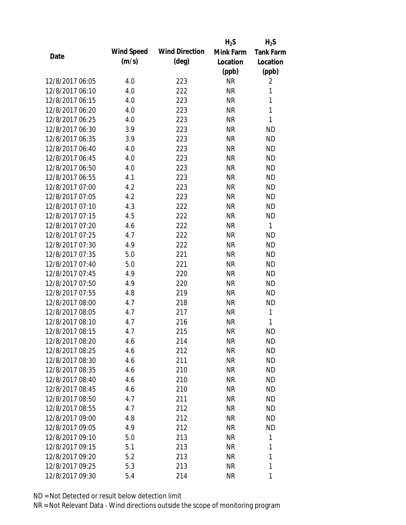|                 |            |                       | $H_2S$    | $H_2S$           |
|-----------------|------------|-----------------------|-----------|------------------|
| Date            | Wind Speed | <b>Wind Direction</b> | Mink Farm | <b>Tank Farm</b> |
|                 | (m/s)      | $(\text{deg})$        | Location  | Location         |
|                 |            |                       | (ppb)     | (ppb)            |
| 12/8/2017 06:05 | 4.0        | 223                   | <b>NR</b> | 2                |
| 12/8/2017 06:10 | 4.0        | 222                   | <b>NR</b> | 1                |
| 12/8/2017 06:15 | 4.0        | 223                   | <b>NR</b> | $\mathbf{1}$     |
| 12/8/2017 06:20 | 4.0        | 223                   | <b>NR</b> | 1                |
| 12/8/2017 06:25 | 4.0        | 223                   | <b>NR</b> | $\mathbf{1}$     |
| 12/8/2017 06:30 | 3.9        | 223                   | <b>NR</b> | <b>ND</b>        |
| 12/8/2017 06:35 | 3.9        | 223                   | <b>NR</b> | <b>ND</b>        |
| 12/8/2017 06:40 | 4.0        | 223                   | <b>NR</b> | <b>ND</b>        |
| 12/8/2017 06:45 | 4.0        | 223                   | <b>NR</b> | <b>ND</b>        |
| 12/8/2017 06:50 | 4.0        | 223                   | <b>NR</b> | <b>ND</b>        |
| 12/8/2017 06:55 | 4.1        | 223                   | <b>NR</b> | <b>ND</b>        |
| 12/8/2017 07:00 | 4.2        | 223                   | <b>NR</b> | <b>ND</b>        |
| 12/8/2017 07:05 | 4.2        | 223                   | <b>NR</b> | <b>ND</b>        |
| 12/8/2017 07:10 | 4.3        | 222                   | <b>NR</b> | <b>ND</b>        |
| 12/8/2017 07:15 | 4.5        | 222                   | <b>NR</b> | <b>ND</b>        |
| 12/8/2017 07:20 | 4.6        | 222                   | <b>NR</b> | 1                |
| 12/8/2017 07:25 | 4.7        | 222                   | <b>NR</b> | <b>ND</b>        |
| 12/8/2017 07:30 | 4.9        | 222                   | <b>NR</b> | <b>ND</b>        |
| 12/8/2017 07:35 | 5.0        | 221                   | <b>NR</b> | <b>ND</b>        |
| 12/8/2017 07:40 | 5.0        | 221                   | <b>NR</b> | <b>ND</b>        |
| 12/8/2017 07:45 | 4.9        | 220                   | <b>NR</b> | <b>ND</b>        |
| 12/8/2017 07:50 | 4.9        | 220                   | <b>NR</b> | <b>ND</b>        |
| 12/8/2017 07:55 | 4.8        | 219                   | <b>NR</b> | <b>ND</b>        |
| 12/8/2017 08:00 | 4.7        | 218                   | <b>NR</b> | <b>ND</b>        |
| 12/8/2017 08:05 | 4.7        | 217                   | <b>NR</b> | 1                |
| 12/8/2017 08:10 | 4.7        | 216                   | <b>NR</b> | 1                |
| 12/8/2017 08:15 | 4.7        | 215                   | <b>NR</b> | <b>ND</b>        |
| 12/8/2017 08:20 | 4.6        | 214                   | <b>NR</b> | ND               |
| 12/8/2017 08:25 | 4.6        | 212                   | <b>NR</b> | <b>ND</b>        |
| 12/8/2017 08:30 | 4.6        | 211                   | NR        | <b>ND</b>        |
| 12/8/2017 08:35 | 4.6        | 210                   | <b>NR</b> | <b>ND</b>        |
| 12/8/2017 08:40 | 4.6        | 210                   | <b>NR</b> | <b>ND</b>        |
| 12/8/2017 08:45 | 4.6        | 210                   | NR        | <b>ND</b>        |
| 12/8/2017 08:50 | 4.7        | 211                   | <b>NR</b> | <b>ND</b>        |
| 12/8/2017 08:55 | 4.7        | 212                   | <b>NR</b> | <b>ND</b>        |
| 12/8/2017 09:00 | 4.8        | 212                   | <b>NR</b> | <b>ND</b>        |
| 12/8/2017 09:05 | 4.9        | 212                   | NR        | <b>ND</b>        |
| 12/8/2017 09:10 | 5.0        | 213                   | NR        | 1                |
| 12/8/2017 09:15 | 5.1        | 213                   | <b>NR</b> | 1                |
| 12/8/2017 09:20 | 5.2        | 213                   | NR        | 1                |
| 12/8/2017 09:25 | 5.3        | 213                   | <b>NR</b> | 1                |
| 12/8/2017 09:30 | 5.4        | 214                   | <b>NR</b> | 1                |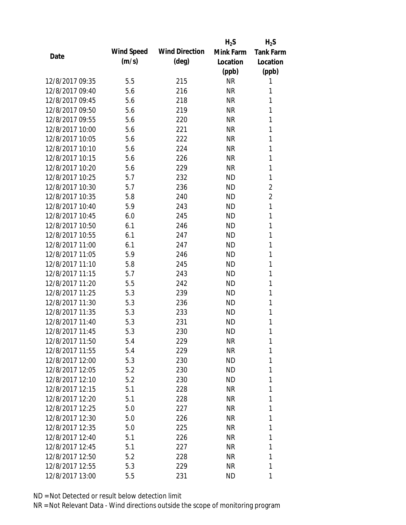|                 |            |                       | $H_2S$    | $H_2S$           |
|-----------------|------------|-----------------------|-----------|------------------|
| Date            | Wind Speed | <b>Wind Direction</b> | Mink Farm | <b>Tank Farm</b> |
|                 | (m/s)      | $(\text{deg})$        | Location  | Location         |
|                 |            |                       | (ppb)     | (ppb)            |
| 12/8/2017 09:35 | 5.5        | 215                   | <b>NR</b> | 1                |
| 12/8/2017 09:40 | 5.6        | 216                   | NR        | 1                |
| 12/8/2017 09:45 | 5.6        | 218                   | <b>NR</b> | 1                |
| 12/8/2017 09:50 | 5.6        | 219                   | <b>NR</b> | 1                |
| 12/8/2017 09:55 | 5.6        | 220                   | <b>NR</b> | 1                |
| 12/8/2017 10:00 | 5.6        | 221                   | <b>NR</b> | 1                |
| 12/8/2017 10:05 | 5.6        | 222                   | <b>NR</b> | 1                |
| 12/8/2017 10:10 | 5.6        | 224                   | <b>NR</b> | 1                |
| 12/8/2017 10:15 | 5.6        | 226                   | <b>NR</b> | 1                |
| 12/8/2017 10:20 | 5.6        | 229                   | <b>NR</b> | 1                |
| 12/8/2017 10:25 | 5.7        | 232                   | <b>ND</b> | 1                |
| 12/8/2017 10:30 | 5.7        | 236                   | <b>ND</b> | $\overline{2}$   |
| 12/8/2017 10:35 | 5.8        | 240                   | <b>ND</b> | $\overline{2}$   |
| 12/8/2017 10:40 | 5.9        | 243                   | <b>ND</b> | $\mathbf{1}$     |
| 12/8/2017 10:45 | 6.0        | 245                   | <b>ND</b> | 1                |
| 12/8/2017 10:50 | 6.1        | 246                   | <b>ND</b> | 1                |
| 12/8/2017 10:55 | 6.1        | 247                   | <b>ND</b> | 1                |
| 12/8/2017 11:00 | 6.1        | 247                   | <b>ND</b> | 1                |
| 12/8/2017 11:05 | 5.9        | 246                   | <b>ND</b> | 1                |
| 12/8/2017 11:10 | 5.8        | 245                   | <b>ND</b> | 1                |
| 12/8/2017 11:15 | 5.7        | 243                   | <b>ND</b> | 1                |
| 12/8/2017 11:20 | 5.5        | 242                   | <b>ND</b> | 1                |
| 12/8/2017 11:25 | 5.3        | 239                   | <b>ND</b> | 1                |
| 12/8/2017 11:30 | 5.3        | 236                   | <b>ND</b> | 1                |
| 12/8/2017 11:35 | 5.3        | 233                   | <b>ND</b> | 1                |
| 12/8/2017 11:40 | 5.3        | 231                   | <b>ND</b> | 1                |
| 12/8/2017 11:45 | 5.3        | 230                   | <b>ND</b> | 1                |
| 12/8/2017 11:50 | 5.4        | 229                   | NR        | 1                |
| 12/8/2017 11:55 | 5.4        | 229                   | NR        | 1                |
| 12/8/2017 12:00 | 5.3        | 230                   | <b>ND</b> | 1                |
| 12/8/2017 12:05 | 5.2        | 230                   | ND        | 1                |
| 12/8/2017 12:10 | 5.2        | 230                   | <b>ND</b> | 1                |
| 12/8/2017 12:15 | 5.1        | 228                   | NR        | 1                |
| 12/8/2017 12:20 | 5.1        | 228                   | NR        | 1                |
| 12/8/2017 12:25 | 5.0        | 227                   | NR        | 1                |
| 12/8/2017 12:30 | 5.0        | 226                   | NR        | 1                |
| 12/8/2017 12:35 | 5.0        | 225                   | NR        | 1                |
| 12/8/2017 12:40 | 5.1        | 226                   | NR        | 1                |
| 12/8/2017 12:45 | 5.1        | 227                   | NR        | 1                |
| 12/8/2017 12:50 | 5.2        | 228                   | NR        | 1                |
| 12/8/2017 12:55 | 5.3        | 229                   | <b>NR</b> | 1                |
| 12/8/2017 13:00 | 5.5        | 231                   | <b>ND</b> | 1                |
|                 |            |                       |           |                  |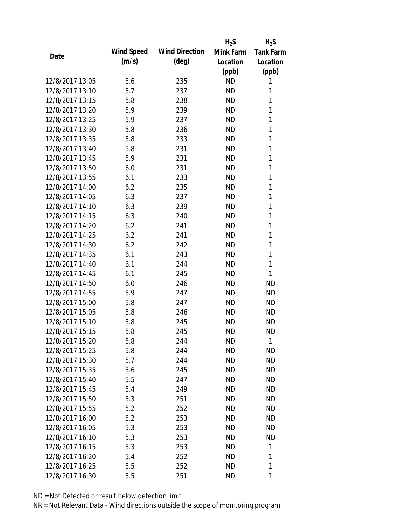|                 |            |                       | $H_2S$    | $H_2S$           |
|-----------------|------------|-----------------------|-----------|------------------|
|                 | Wind Speed | <b>Wind Direction</b> | Mink Farm | <b>Tank Farm</b> |
| Date            | (m/s)      | $(\text{deg})$        | Location  | Location         |
|                 |            |                       | (ppb)     | (ppb)            |
| 12/8/2017 13:05 | 5.6        | 235                   | <b>ND</b> | 1                |
| 12/8/2017 13:10 | 5.7        | 237                   | <b>ND</b> | 1                |
| 12/8/2017 13:15 | 5.8        | 238                   | <b>ND</b> | 1                |
| 12/8/2017 13:20 | 5.9        | 239                   | <b>ND</b> | 1                |
| 12/8/2017 13:25 | 5.9        | 237                   | <b>ND</b> | 1                |
| 12/8/2017 13:30 | 5.8        | 236                   | <b>ND</b> | 1                |
| 12/8/2017 13:35 | 5.8        | 233                   | <b>ND</b> | 1                |
| 12/8/2017 13:40 | 5.8        | 231                   | <b>ND</b> | 1                |
| 12/8/2017 13:45 | 5.9        | 231                   | <b>ND</b> | 1                |
| 12/8/2017 13:50 | 6.0        | 231                   | <b>ND</b> | 1                |
| 12/8/2017 13:55 | 6.1        | 233                   | <b>ND</b> | 1                |
| 12/8/2017 14:00 | 6.2        | 235                   | <b>ND</b> | 1                |
| 12/8/2017 14:05 | 6.3        | 237                   | <b>ND</b> | 1                |
| 12/8/2017 14:10 | 6.3        | 239                   | <b>ND</b> | 1                |
| 12/8/2017 14:15 | 6.3        | 240                   | <b>ND</b> | 1                |
| 12/8/2017 14:20 | 6.2        | 241                   | <b>ND</b> | 1                |
| 12/8/2017 14:25 | 6.2        | 241                   | <b>ND</b> | 1                |
| 12/8/2017 14:30 | 6.2        | 242                   | <b>ND</b> | 1                |
| 12/8/2017 14:35 | 6.1        | 243                   | <b>ND</b> | 1                |
| 12/8/2017 14:40 | 6.1        | 244                   | <b>ND</b> | 1                |
| 12/8/2017 14:45 | 6.1        | 245                   | <b>ND</b> | 1                |
| 12/8/2017 14:50 | 6.0        | 246                   | <b>ND</b> | <b>ND</b>        |
| 12/8/2017 14:55 | 5.9        | 247                   | <b>ND</b> | <b>ND</b>        |
| 12/8/2017 15:00 | 5.8        | 247                   | <b>ND</b> | <b>ND</b>        |
| 12/8/2017 15:05 | 5.8        | 246                   | <b>ND</b> | <b>ND</b>        |
| 12/8/2017 15:10 | 5.8        | 245                   | ND        | <b>ND</b>        |
| 12/8/2017 15:15 | 5.8        | 245                   | <b>ND</b> | <b>ND</b>        |
| 12/8/2017 15:20 | 5.8        | 244                   | ND        | 1                |
| 12/8/2017 15:25 | 5.8        | 244                   | <b>ND</b> | <b>ND</b>        |
| 12/8/2017 15:30 | 5.7        | 244                   | ND        | ND               |
| 12/8/2017 15:35 | 5.6        | 245                   | <b>ND</b> | <b>ND</b>        |
| 12/8/2017 15:40 | 5.5        | 247                   | <b>ND</b> | ND               |
| 12/8/2017 15:45 | 5.4        | 249                   | ND        | ND               |
| 12/8/2017 15:50 | 5.3        | 251                   | <b>ND</b> | ND               |
| 12/8/2017 15:55 | 5.2        | 252                   | ND        | ND               |
| 12/8/2017 16:00 | 5.2        | 253                   | <b>ND</b> | ND               |
| 12/8/2017 16:05 | 5.3        | 253                   | ND.       | ND               |
| 12/8/2017 16:10 | 5.3        | 253                   | ND        | ND               |
| 12/8/2017 16:15 | 5.3        | 253                   | <b>ND</b> | 1                |
| 12/8/2017 16:20 | 5.4        | 252                   | ND        | 1                |
| 12/8/2017 16:25 | 5.5        | 252                   | <b>ND</b> | 1                |
| 12/8/2017 16:30 | 5.5        | 251                   | <b>ND</b> | 1                |
|                 |            |                       |           |                  |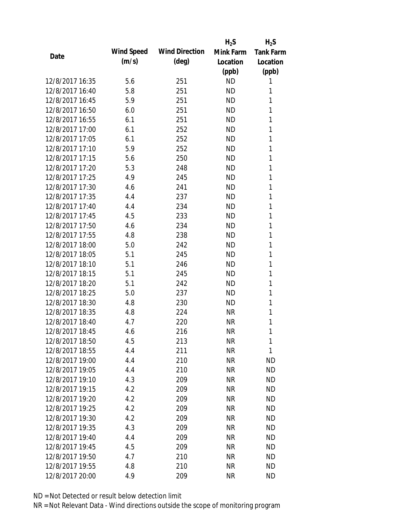|                 |            |                       | $H_2S$    | $H_2S$           |
|-----------------|------------|-----------------------|-----------|------------------|
|                 | Wind Speed | <b>Wind Direction</b> | Mink Farm | <b>Tank Farm</b> |
| Date            | (m/s)      | $(\text{deg})$        | Location  | Location         |
|                 |            |                       | (ppb)     | (ppb)            |
| 12/8/2017 16:35 | 5.6        | 251                   | <b>ND</b> | 1                |
| 12/8/2017 16:40 | 5.8        | 251                   | <b>ND</b> | 1                |
| 12/8/2017 16:45 | 5.9        | 251                   | <b>ND</b> | 1                |
| 12/8/2017 16:50 | 6.0        | 251                   | <b>ND</b> | 1                |
| 12/8/2017 16:55 | 6.1        | 251                   | <b>ND</b> | 1                |
| 12/8/2017 17:00 | 6.1        | 252                   | <b>ND</b> | 1                |
| 12/8/2017 17:05 | 6.1        | 252                   | <b>ND</b> | 1                |
| 12/8/2017 17:10 | 5.9        | 252                   | <b>ND</b> | 1                |
| 12/8/2017 17:15 | 5.6        | 250                   | <b>ND</b> | 1                |
| 12/8/2017 17:20 | 5.3        | 248                   | <b>ND</b> | 1                |
| 12/8/2017 17:25 | 4.9        | 245                   | <b>ND</b> | 1                |
| 12/8/2017 17:30 | 4.6        | 241                   | <b>ND</b> | 1                |
| 12/8/2017 17:35 | 4.4        | 237                   | <b>ND</b> | 1                |
| 12/8/2017 17:40 | 4.4        | 234                   | <b>ND</b> | 1                |
| 12/8/2017 17:45 | 4.5        | 233                   | <b>ND</b> | 1                |
| 12/8/2017 17:50 | 4.6        | 234                   | <b>ND</b> | 1                |
| 12/8/2017 17:55 | 4.8        | 238                   | <b>ND</b> | 1                |
| 12/8/2017 18:00 | 5.0        | 242                   | <b>ND</b> | 1                |
| 12/8/2017 18:05 | 5.1        | 245                   | <b>ND</b> | 1                |
| 12/8/2017 18:10 | 5.1        | 246                   | <b>ND</b> | 1                |
| 12/8/2017 18:15 | 5.1        | 245                   | <b>ND</b> | 1                |
| 12/8/2017 18:20 | 5.1        | 242                   | <b>ND</b> | 1                |
| 12/8/2017 18:25 | 5.0        | 237                   | <b>ND</b> | 1                |
| 12/8/2017 18:30 | 4.8        | 230                   | <b>ND</b> | 1                |
| 12/8/2017 18:35 | 4.8        | 224                   | <b>NR</b> | 1                |
| 12/8/2017 18:40 | 4.7        | 220                   | <b>NR</b> | 1                |
| 12/8/2017 18:45 | 4.6        | 216                   | <b>NR</b> | 1                |
| 12/8/2017 18:50 | 4.5        | 213                   | <b>NR</b> | 1                |
| 12/8/2017 18:55 | 4.4        | 211                   | <b>NR</b> | 1                |
| 12/8/2017 19:00 | 4.4        | 210                   | <b>NR</b> | <b>ND</b>        |
| 12/8/2017 19:05 | 4.4        | 210                   | <b>NR</b> | <b>ND</b>        |
| 12/8/2017 19:10 | 4.3        | 209                   | <b>NR</b> | <b>ND</b>        |
| 12/8/2017 19:15 | 4.2        | 209                   | <b>NR</b> | <b>ND</b>        |
| 12/8/2017 19:20 | 4.2        | 209                   | <b>NR</b> | <b>ND</b>        |
| 12/8/2017 19:25 | 4.2        | 209                   | <b>NR</b> | <b>ND</b>        |
| 12/8/2017 19:30 | 4.2        | 209                   | <b>NR</b> | <b>ND</b>        |
| 12/8/2017 19:35 | 4.3        | 209                   | <b>NR</b> | <b>ND</b>        |
| 12/8/2017 19:40 | 4.4        | 209                   | NR        | <b>ND</b>        |
| 12/8/2017 19:45 | 4.5        | 209                   | <b>NR</b> | <b>ND</b>        |
| 12/8/2017 19:50 | 4.7        | 210                   | <b>NR</b> | <b>ND</b>        |
| 12/8/2017 19:55 | 4.8        | 210                   | <b>NR</b> | <b>ND</b>        |
| 12/8/2017 20:00 | 4.9        | 209                   | <b>NR</b> | <b>ND</b>        |
|                 |            |                       |           |                  |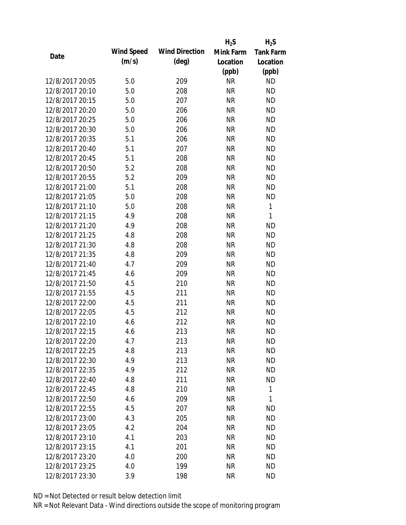|                 |            |                       | $H_2S$    | $H_2S$           |
|-----------------|------------|-----------------------|-----------|------------------|
| Date            | Wind Speed | <b>Wind Direction</b> | Mink Farm | <b>Tank Farm</b> |
|                 | (m/s)      | $(\text{deg})$        | Location  | Location         |
|                 |            |                       | (ppb)     | (ppb)            |
| 12/8/2017 20:05 | 5.0        | 209                   | <b>NR</b> | <b>ND</b>        |
| 12/8/2017 20:10 | 5.0        | 208                   | <b>NR</b> | <b>ND</b>        |
| 12/8/2017 20:15 | 5.0        | 207                   | <b>NR</b> | <b>ND</b>        |
| 12/8/2017 20:20 | 5.0        | 206                   | <b>NR</b> | <b>ND</b>        |
| 12/8/2017 20:25 | 5.0        | 206                   | <b>NR</b> | <b>ND</b>        |
| 12/8/2017 20:30 | 5.0        | 206                   | <b>NR</b> | <b>ND</b>        |
| 12/8/2017 20:35 | 5.1        | 206                   | <b>NR</b> | <b>ND</b>        |
| 12/8/2017 20:40 | 5.1        | 207                   | <b>NR</b> | <b>ND</b>        |
| 12/8/2017 20:45 | 5.1        | 208                   | <b>NR</b> | <b>ND</b>        |
| 12/8/2017 20:50 | 5.2        | 208                   | <b>NR</b> | <b>ND</b>        |
| 12/8/2017 20:55 | 5.2        | 209                   | <b>NR</b> | <b>ND</b>        |
| 12/8/2017 21:00 | 5.1        | 208                   | <b>NR</b> | <b>ND</b>        |
| 12/8/2017 21:05 | 5.0        | 208                   | <b>NR</b> | <b>ND</b>        |
| 12/8/2017 21:10 | 5.0        | 208                   | <b>NR</b> | $\mathbf{1}$     |
| 12/8/2017 21:15 | 4.9        | 208                   | <b>NR</b> | 1                |
| 12/8/2017 21:20 | 4.9        | 208                   | <b>NR</b> | <b>ND</b>        |
| 12/8/2017 21:25 | 4.8        | 208                   | <b>NR</b> | <b>ND</b>        |
| 12/8/2017 21:30 | 4.8        | 208                   | <b>NR</b> | <b>ND</b>        |
| 12/8/2017 21:35 | 4.8        | 209                   | <b>NR</b> | <b>ND</b>        |
| 12/8/2017 21:40 | 4.7        | 209                   | <b>NR</b> | <b>ND</b>        |
| 12/8/2017 21:45 | 4.6        | 209                   | <b>NR</b> | <b>ND</b>        |
| 12/8/2017 21:50 | 4.5        | 210                   | <b>NR</b> | <b>ND</b>        |
| 12/8/2017 21:55 | 4.5        | 211                   | <b>NR</b> | <b>ND</b>        |
| 12/8/2017 22:00 | 4.5        | 211                   | <b>NR</b> | <b>ND</b>        |
| 12/8/2017 22:05 | 4.5        | 212                   | <b>NR</b> | <b>ND</b>        |
| 12/8/2017 22:10 | 4.6        | 212                   | <b>NR</b> | <b>ND</b>        |
| 12/8/2017 22:15 | 4.6        | 213                   | <b>NR</b> | <b>ND</b>        |
| 12/8/2017 22:20 | 4.7        | 213                   | <b>NR</b> | <b>ND</b>        |
| 12/8/2017 22:25 | 4.8        | 213                   | <b>NR</b> | <b>ND</b>        |
| 12/8/2017 22:30 | 4.9        | 213                   | NR        | <b>ND</b>        |
| 12/8/2017 22:35 | 4.9        | 212                   | <b>NR</b> | <b>ND</b>        |
| 12/8/2017 22:40 | 4.8        | 211                   | <b>NR</b> | <b>ND</b>        |
| 12/8/2017 22:45 | 4.8        | 210                   | <b>NR</b> | $\mathbf{1}$     |
| 12/8/2017 22:50 | 4.6        | 209                   | <b>NR</b> | 1                |
| 12/8/2017 22:55 | 4.5        | 207                   | <b>NR</b> | <b>ND</b>        |
| 12/8/2017 23:00 | 4.3        | 205                   | <b>NR</b> | <b>ND</b>        |
| 12/8/2017 23:05 | 4.2        | 204                   | NR        | <b>ND</b>        |
| 12/8/2017 23:10 | 4.1        | 203                   | NR        | <b>ND</b>        |
| 12/8/2017 23:15 | 4.1        | 201                   | <b>NR</b> | <b>ND</b>        |
| 12/8/2017 23:20 | 4.0        | 200                   | NR        | <b>ND</b>        |
| 12/8/2017 23:25 | 4.0        | 199                   | <b>NR</b> | <b>ND</b>        |
| 12/8/2017 23:30 | 3.9        | 198                   | <b>NR</b> | <b>ND</b>        |
|                 |            |                       |           |                  |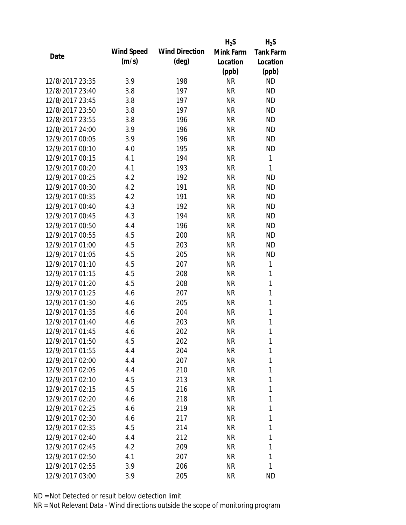|                 |            |                       | $H_2S$    | $H_2S$           |
|-----------------|------------|-----------------------|-----------|------------------|
| Date            | Wind Speed | <b>Wind Direction</b> | Mink Farm | <b>Tank Farm</b> |
|                 | (m/s)      | $(\text{deg})$        | Location  | Location         |
|                 |            |                       | (ppb)     | (ppb)            |
| 12/8/2017 23:35 | 3.9        | 198                   | <b>NR</b> | <b>ND</b>        |
| 12/8/2017 23:40 | 3.8        | 197                   | <b>NR</b> | <b>ND</b>        |
| 12/8/2017 23:45 | 3.8        | 197                   | <b>NR</b> | <b>ND</b>        |
| 12/8/2017 23:50 | 3.8        | 197                   | <b>NR</b> | <b>ND</b>        |
| 12/8/2017 23:55 | 3.8        | 196                   | <b>NR</b> | <b>ND</b>        |
| 12/8/2017 24:00 | 3.9        | 196                   | <b>NR</b> | <b>ND</b>        |
| 12/9/2017 00:05 | 3.9        | 196                   | <b>NR</b> | <b>ND</b>        |
| 12/9/2017 00:10 | 4.0        | 195                   | <b>NR</b> | <b>ND</b>        |
| 12/9/2017 00:15 | 4.1        | 194                   | <b>NR</b> | 1                |
| 12/9/2017 00:20 | 4.1        | 193                   | <b>NR</b> | 1                |
| 12/9/2017 00:25 | 4.2        | 192                   | <b>NR</b> | <b>ND</b>        |
| 12/9/2017 00:30 | 4.2        | 191                   | <b>NR</b> | <b>ND</b>        |
| 12/9/2017 00:35 | 4.2        | 191                   | <b>NR</b> | <b>ND</b>        |
| 12/9/2017 00:40 | 4.3        | 192                   | <b>NR</b> | <b>ND</b>        |
| 12/9/2017 00:45 | 4.3        | 194                   | <b>NR</b> | <b>ND</b>        |
| 12/9/2017 00:50 | 4.4        | 196                   | <b>NR</b> | <b>ND</b>        |
| 12/9/2017 00:55 | 4.5        | 200                   | <b>NR</b> | <b>ND</b>        |
| 12/9/2017 01:00 | 4.5        | 203                   | <b>NR</b> | <b>ND</b>        |
| 12/9/2017 01:05 | 4.5        | 205                   | <b>NR</b> | <b>ND</b>        |
| 12/9/2017 01:10 | 4.5        | 207                   | <b>NR</b> | 1                |
| 12/9/2017 01:15 | 4.5        | 208                   | <b>NR</b> | 1                |
| 12/9/2017 01:20 | 4.5        | 208                   | <b>NR</b> | $\mathbf{1}$     |
| 12/9/2017 01:25 | 4.6        | 207                   | <b>NR</b> | 1                |
| 12/9/2017 01:30 | 4.6        | 205                   | <b>NR</b> | $\mathbf{1}$     |
| 12/9/2017 01:35 | 4.6        | 204                   | <b>NR</b> | 1                |
| 12/9/2017 01:40 | 4.6        | 203                   | <b>NR</b> | 1                |
| 12/9/2017 01:45 | 4.6        | 202                   | <b>NR</b> | $\mathbf{1}$     |
| 12/9/2017 01:50 | 4.5        | 202                   | NR        | 1                |
| 12/9/2017 01:55 | 4.4        | 204                   | <b>NR</b> | 1                |
| 12/9/2017 02:00 | 4.4        | 207                   | NR        | 1                |
| 12/9/2017 02:05 | 4.4        | 210                   | NR        | 1                |
| 12/9/2017 02:10 | 4.5        | 213                   | <b>NR</b> | 1                |
| 12/9/2017 02:15 | 4.5        | 216                   | NR        | 1                |
| 12/9/2017 02:20 | 4.6        | 218                   | <b>NR</b> | 1                |
| 12/9/2017 02:25 | 4.6        | 219                   | NR        | 1                |
| 12/9/2017 02:30 | 4.6        | 217                   | NR        | 1                |
| 12/9/2017 02:35 | 4.5        | 214                   | NR        | 1                |
| 12/9/2017 02:40 | 4.4        | 212                   | NR        | 1                |
| 12/9/2017 02:45 | 4.2        | 209                   | <b>NR</b> | 1                |
| 12/9/2017 02:50 | 4.1        | 207                   | NR        | 1                |
| 12/9/2017 02:55 | 3.9        | 206                   | <b>NR</b> | 1                |
| 12/9/2017 03:00 | 3.9        | 205                   | <b>NR</b> | <b>ND</b>        |
|                 |            |                       |           |                  |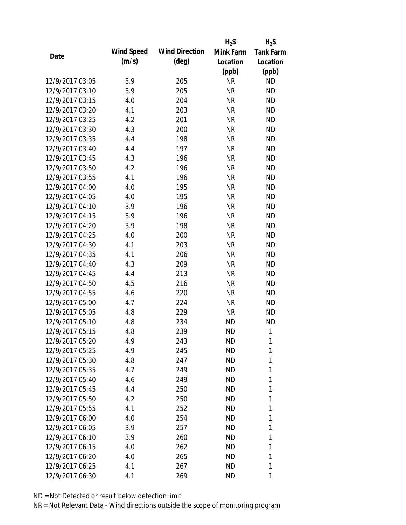|                 |            |                       | $H_2S$    | $H_2S$           |
|-----------------|------------|-----------------------|-----------|------------------|
| Date            | Wind Speed | <b>Wind Direction</b> | Mink Farm | <b>Tank Farm</b> |
|                 | (m/s)      | $(\text{deg})$        | Location  | Location         |
|                 |            |                       | (ppb)     | (ppb)            |
| 12/9/2017 03:05 | 3.9        | 205                   | <b>NR</b> | <b>ND</b>        |
| 12/9/2017 03:10 | 3.9        | 205                   | <b>NR</b> | <b>ND</b>        |
| 12/9/2017 03:15 | 4.0        | 204                   | <b>NR</b> | <b>ND</b>        |
| 12/9/2017 03:20 | 4.1        | 203                   | <b>NR</b> | <b>ND</b>        |
| 12/9/2017 03:25 | 4.2        | 201                   | <b>NR</b> | <b>ND</b>        |
| 12/9/2017 03:30 | 4.3        | 200                   | <b>NR</b> | <b>ND</b>        |
| 12/9/2017 03:35 | 4.4        | 198                   | <b>NR</b> | <b>ND</b>        |
| 12/9/2017 03:40 | 4.4        | 197                   | <b>NR</b> | <b>ND</b>        |
| 12/9/2017 03:45 | 4.3        | 196                   | <b>NR</b> | <b>ND</b>        |
| 12/9/2017 03:50 | 4.2        | 196                   | <b>NR</b> | <b>ND</b>        |
| 12/9/2017 03:55 | 4.1        | 196                   | <b>NR</b> | <b>ND</b>        |
| 12/9/2017 04:00 | 4.0        | 195                   | <b>NR</b> | <b>ND</b>        |
| 12/9/2017 04:05 | 4.0        | 195                   | <b>NR</b> | <b>ND</b>        |
| 12/9/2017 04:10 | 3.9        | 196                   | <b>NR</b> | <b>ND</b>        |
| 12/9/2017 04:15 | 3.9        | 196                   | <b>NR</b> | <b>ND</b>        |
| 12/9/2017 04:20 | 3.9        | 198                   | <b>NR</b> | <b>ND</b>        |
| 12/9/2017 04:25 | 4.0        | 200                   | <b>NR</b> | <b>ND</b>        |
| 12/9/2017 04:30 | 4.1        | 203                   | <b>NR</b> | <b>ND</b>        |
| 12/9/2017 04:35 | 4.1        | 206                   | <b>NR</b> | <b>ND</b>        |
| 12/9/2017 04:40 | 4.3        | 209                   | <b>NR</b> | <b>ND</b>        |
| 12/9/2017 04:45 | 4.4        | 213                   | <b>NR</b> | <b>ND</b>        |
| 12/9/2017 04:50 | 4.5        | 216                   | <b>NR</b> | <b>ND</b>        |
| 12/9/2017 04:55 | 4.6        | 220                   | <b>NR</b> | <b>ND</b>        |
| 12/9/2017 05:00 | 4.7        | 224                   | <b>NR</b> | <b>ND</b>        |
| 12/9/2017 05:05 | 4.8        | 229                   | <b>NR</b> | <b>ND</b>        |
| 12/9/2017 05:10 | 4.8        | 234                   | <b>ND</b> | <b>ND</b>        |
| 12/9/2017 05:15 | 4.8        | 239                   | <b>ND</b> | 1                |
| 12/9/2017 05:20 | 4.9        | 243                   | ND        | 1                |
| 12/9/2017 05:25 | 4.9        | 245                   | <b>ND</b> | 1                |
| 12/9/2017 05:30 | 4.8        | 247                   | ND        | 1                |
| 12/9/2017 05:35 | 4.7        | 249                   | ND        | 1                |
| 12/9/2017 05:40 | 4.6        | 249                   | <b>ND</b> | 1                |
| 12/9/2017 05:45 | 4.4        | 250                   | ND        | 1                |
| 12/9/2017 05:50 | 4.2        | 250                   | <b>ND</b> | 1                |
| 12/9/2017 05:55 | 4.1        | 252                   | ND        | 1                |
| 12/9/2017 06:00 | 4.0        | 254                   | ND        | 1                |
| 12/9/2017 06:05 | 3.9        | 257                   | ND        | 1                |
| 12/9/2017 06:10 | 3.9        | 260                   | ND        | 1                |
| 12/9/2017 06:15 | 4.0        | 262                   | <b>ND</b> | 1                |
| 12/9/2017 06:20 | 4.0        | 265                   | <b>ND</b> | 1                |
| 12/9/2017 06:25 | 4.1        | 267                   | <b>ND</b> | 1                |
| 12/9/2017 06:30 | 4.1        | 269                   | ND        | 1                |
|                 |            |                       |           |                  |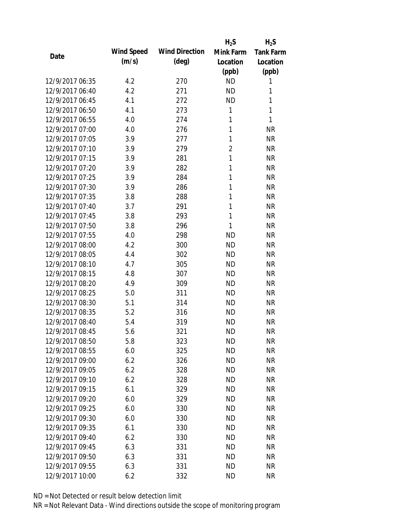|                 |            |                       | $H_2S$         | $H_2S$           |
|-----------------|------------|-----------------------|----------------|------------------|
| Date            | Wind Speed | <b>Wind Direction</b> | Mink Farm      | <b>Tank Farm</b> |
|                 | (m/s)      | $(\text{deg})$        | Location       | Location         |
|                 |            |                       | (ppb)          | (ppb)            |
| 12/9/2017 06:35 | 4.2        | 270                   | <b>ND</b>      | 1                |
| 12/9/2017 06:40 | 4.2        | 271                   | <b>ND</b>      | 1                |
| 12/9/2017 06:45 | 4.1        | 272                   | <b>ND</b>      | 1                |
| 12/9/2017 06:50 | 4.1        | 273                   | 1              | 1                |
| 12/9/2017 06:55 | 4.0        | 274                   | 1              | 1                |
| 12/9/2017 07:00 | 4.0        | 276                   | 1              | <b>NR</b>        |
| 12/9/2017 07:05 | 3.9        | 277                   | 1              | <b>NR</b>        |
| 12/9/2017 07:10 | 3.9        | 279                   | $\overline{2}$ | <b>NR</b>        |
| 12/9/2017 07:15 | 3.9        | 281                   | $\mathbf{1}$   | <b>NR</b>        |
| 12/9/2017 07:20 | 3.9        | 282                   | 1              | <b>NR</b>        |
| 12/9/2017 07:25 | 3.9        | 284                   | 1              | <b>NR</b>        |
| 12/9/2017 07:30 | 3.9        | 286                   | 1              | <b>NR</b>        |
| 12/9/2017 07:35 | 3.8        | 288                   | 1              | <b>NR</b>        |
| 12/9/2017 07:40 | 3.7        | 291                   | 1              | <b>NR</b>        |
| 12/9/2017 07:45 | 3.8        | 293                   | 1              | <b>NR</b>        |
| 12/9/2017 07:50 | 3.8        | 296                   | 1              | <b>NR</b>        |
| 12/9/2017 07:55 | 4.0        | 298                   | <b>ND</b>      | <b>NR</b>        |
| 12/9/2017 08:00 | 4.2        | 300                   | <b>ND</b>      | <b>NR</b>        |
| 12/9/2017 08:05 | 4.4        | 302                   | <b>ND</b>      | <b>NR</b>        |
| 12/9/2017 08:10 | 4.7        | 305                   | <b>ND</b>      | <b>NR</b>        |
| 12/9/2017 08:15 | 4.8        | 307                   | <b>ND</b>      | <b>NR</b>        |
| 12/9/2017 08:20 | 4.9        | 309                   | <b>ND</b>      | <b>NR</b>        |
| 12/9/2017 08:25 | 5.0        | 311                   | <b>ND</b>      | <b>NR</b>        |
| 12/9/2017 08:30 | 5.1        | 314                   | <b>ND</b>      | <b>NR</b>        |
| 12/9/2017 08:35 | 5.2        | 316                   | <b>ND</b>      | <b>NR</b>        |
| 12/9/2017 08:40 | 5.4        | 319                   | <b>ND</b>      | <b>NR</b>        |
| 12/9/2017 08:45 | 5.6        | 321                   | <b>ND</b>      | <b>NR</b>        |
| 12/9/2017 08:50 | 5.8        | 323                   | <b>ND</b>      | NR               |
| 12/9/2017 08:55 | 6.0        | 325                   | <b>ND</b>      | <b>NR</b>        |
| 12/9/2017 09:00 | 6.2        | 326                   | <b>ND</b>      | <b>NR</b>        |
| 12/9/2017 09:05 | 6.2        | 328                   | <b>ND</b>      | <b>NR</b>        |
| 12/9/2017 09:10 | 6.2        | 328                   | <b>ND</b>      | <b>NR</b>        |
| 12/9/2017 09:15 | 6.1        | 329                   | <b>ND</b>      | <b>NR</b>        |
| 12/9/2017 09:20 | 6.0        | 329                   | <b>ND</b>      | <b>NR</b>        |
| 12/9/2017 09:25 | 6.0        | 330                   | <b>ND</b>      | <b>NR</b>        |
| 12/9/2017 09:30 | 6.0        | 330                   | <b>ND</b>      | <b>NR</b>        |
| 12/9/2017 09:35 | 6.1        | 330                   | <b>ND</b>      | <b>NR</b>        |
| 12/9/2017 09:40 | 6.2        | 330                   | <b>ND</b>      | <b>NR</b>        |
| 12/9/2017 09:45 | 6.3        | 331                   | <b>ND</b>      | <b>NR</b>        |
| 12/9/2017 09:50 | 6.3        | 331                   | <b>ND</b>      | <b>NR</b>        |
| 12/9/2017 09:55 | 6.3        | 331                   | <b>ND</b>      | <b>NR</b>        |
| 12/9/2017 10:00 | 6.2        | 332                   | <b>ND</b>      | <b>NR</b>        |
|                 |            |                       |                |                  |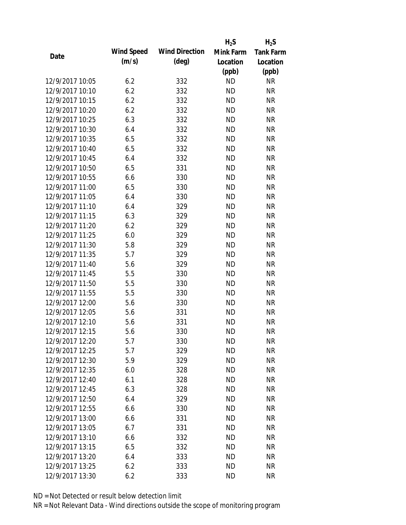|                 |            |                       | $H_2S$    | $H_2S$           |
|-----------------|------------|-----------------------|-----------|------------------|
| Date            | Wind Speed | <b>Wind Direction</b> | Mink Farm | <b>Tank Farm</b> |
|                 | (m/s)      | $(\text{deg})$        | Location  | Location         |
|                 |            |                       | (ppb)     | (ppb)            |
| 12/9/2017 10:05 | 6.2        | 332                   | <b>ND</b> | <b>NR</b>        |
| 12/9/2017 10:10 | 6.2        | 332                   | <b>ND</b> | <b>NR</b>        |
| 12/9/2017 10:15 | 6.2        | 332                   | <b>ND</b> | <b>NR</b>        |
| 12/9/2017 10:20 | 6.2        | 332                   | <b>ND</b> | <b>NR</b>        |
| 12/9/2017 10:25 | 6.3        | 332                   | <b>ND</b> | <b>NR</b>        |
| 12/9/2017 10:30 | 6.4        | 332                   | <b>ND</b> | <b>NR</b>        |
| 12/9/2017 10:35 | 6.5        | 332                   | <b>ND</b> | <b>NR</b>        |
| 12/9/2017 10:40 | 6.5        | 332                   | <b>ND</b> | <b>NR</b>        |
| 12/9/2017 10:45 | 6.4        | 332                   | <b>ND</b> | <b>NR</b>        |
| 12/9/2017 10:50 | 6.5        | 331                   | <b>ND</b> | <b>NR</b>        |
| 12/9/2017 10:55 | 6.6        | 330                   | <b>ND</b> | <b>NR</b>        |
| 12/9/2017 11:00 | 6.5        | 330                   | <b>ND</b> | <b>NR</b>        |
| 12/9/2017 11:05 | 6.4        | 330                   | <b>ND</b> | <b>NR</b>        |
| 12/9/2017 11:10 | 6.4        | 329                   | <b>ND</b> | <b>NR</b>        |
| 12/9/2017 11:15 | 6.3        | 329                   | <b>ND</b> | <b>NR</b>        |
| 12/9/2017 11:20 | 6.2        | 329                   | <b>ND</b> | <b>NR</b>        |
| 12/9/2017 11:25 | 6.0        | 329                   | <b>ND</b> | <b>NR</b>        |
| 12/9/2017 11:30 | 5.8        | 329                   | <b>ND</b> | <b>NR</b>        |
| 12/9/2017 11:35 | 5.7        | 329                   | <b>ND</b> | <b>NR</b>        |
| 12/9/2017 11:40 | 5.6        | 329                   | <b>ND</b> | <b>NR</b>        |
| 12/9/2017 11:45 | 5.5        | 330                   | <b>ND</b> | <b>NR</b>        |
| 12/9/2017 11:50 | 5.5        | 330                   | <b>ND</b> | <b>NR</b>        |
| 12/9/2017 11:55 | 5.5        | 330                   | <b>ND</b> | <b>NR</b>        |
| 12/9/2017 12:00 | 5.6        | 330                   | <b>ND</b> | <b>NR</b>        |
| 12/9/2017 12:05 | 5.6        | 331                   | <b>ND</b> | <b>NR</b>        |
| 12/9/2017 12:10 | 5.6        | 331                   | <b>ND</b> | <b>NR</b>        |
| 12/9/2017 12:15 | 5.6        | 330                   | <b>ND</b> | <b>NR</b>        |
| 12/9/2017 12:20 | 5.7        | 330                   | <b>ND</b> | NR               |
| 12/9/2017 12:25 | 5.7        | 329                   | <b>ND</b> | <b>NR</b>        |
| 12/9/2017 12:30 | 5.9        | 329                   | <b>ND</b> | <b>NR</b>        |
| 12/9/2017 12:35 | 6.0        | 328                   | <b>ND</b> | <b>NR</b>        |
| 12/9/2017 12:40 | 6.1        | 328                   | <b>ND</b> | <b>NR</b>        |
| 12/9/2017 12:45 | 6.3        | 328                   | <b>ND</b> | <b>NR</b>        |
| 12/9/2017 12:50 | 6.4        | 329                   | <b>ND</b> | <b>NR</b>        |
| 12/9/2017 12:55 | 6.6        | 330                   | <b>ND</b> | <b>NR</b>        |
| 12/9/2017 13:00 | 6.6        | 331                   | <b>ND</b> | <b>NR</b>        |
| 12/9/2017 13:05 | 6.7        | 331                   | <b>ND</b> | <b>NR</b>        |
| 12/9/2017 13:10 | 6.6        | 332                   | <b>ND</b> | <b>NR</b>        |
| 12/9/2017 13:15 | 6.5        | 332                   | <b>ND</b> | <b>NR</b>        |
| 12/9/2017 13:20 | 6.4        | 333                   | <b>ND</b> | <b>NR</b>        |
| 12/9/2017 13:25 | 6.2        | 333                   | <b>ND</b> | <b>NR</b>        |
| 12/9/2017 13:30 | 6.2        | 333                   | <b>ND</b> | <b>NR</b>        |
|                 |            |                       |           |                  |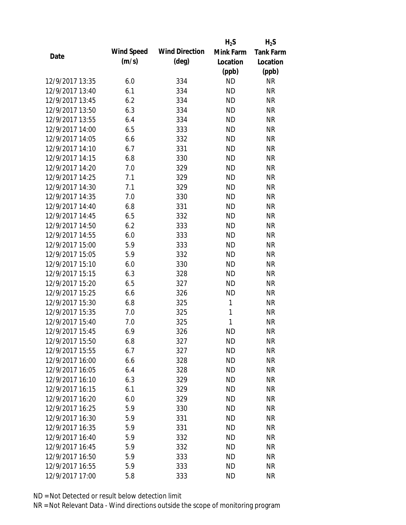|                 |            |                       | $H_2S$    | $H_2S$           |
|-----------------|------------|-----------------------|-----------|------------------|
| Date            | Wind Speed | <b>Wind Direction</b> | Mink Farm | <b>Tank Farm</b> |
|                 | (m/s)      | $(\text{deg})$        | Location  | Location         |
|                 |            |                       | (ppb)     | (ppb)            |
| 12/9/2017 13:35 | 6.0        | 334                   | <b>ND</b> | <b>NR</b>        |
| 12/9/2017 13:40 | 6.1        | 334                   | <b>ND</b> | <b>NR</b>        |
| 12/9/2017 13:45 | 6.2        | 334                   | <b>ND</b> | <b>NR</b>        |
| 12/9/2017 13:50 | 6.3        | 334                   | <b>ND</b> | <b>NR</b>        |
| 12/9/2017 13:55 | 6.4        | 334                   | <b>ND</b> | <b>NR</b>        |
| 12/9/2017 14:00 | 6.5        | 333                   | <b>ND</b> | <b>NR</b>        |
| 12/9/2017 14:05 | 6.6        | 332                   | <b>ND</b> | <b>NR</b>        |
| 12/9/2017 14:10 | 6.7        | 331                   | <b>ND</b> | <b>NR</b>        |
| 12/9/2017 14:15 | 6.8        | 330                   | <b>ND</b> | <b>NR</b>        |
| 12/9/2017 14:20 | 7.0        | 329                   | <b>ND</b> | <b>NR</b>        |
| 12/9/2017 14:25 | 7.1        | 329                   | <b>ND</b> | <b>NR</b>        |
| 12/9/2017 14:30 | 7.1        | 329                   | <b>ND</b> | <b>NR</b>        |
| 12/9/2017 14:35 | 7.0        | 330                   | <b>ND</b> | <b>NR</b>        |
| 12/9/2017 14:40 | 6.8        | 331                   | <b>ND</b> | <b>NR</b>        |
| 12/9/2017 14:45 | 6.5        | 332                   | <b>ND</b> | <b>NR</b>        |
| 12/9/2017 14:50 | 6.2        | 333                   | <b>ND</b> | <b>NR</b>        |
| 12/9/2017 14:55 | 6.0        | 333                   | <b>ND</b> | <b>NR</b>        |
| 12/9/2017 15:00 | 5.9        | 333                   | <b>ND</b> | <b>NR</b>        |
| 12/9/2017 15:05 | 5.9        | 332                   | <b>ND</b> | <b>NR</b>        |
| 12/9/2017 15:10 | 6.0        | 330                   | <b>ND</b> | <b>NR</b>        |
| 12/9/2017 15:15 | 6.3        | 328                   | <b>ND</b> | <b>NR</b>        |
| 12/9/2017 15:20 | 6.5        | 327                   | <b>ND</b> | <b>NR</b>        |
| 12/9/2017 15:25 | 6.6        | 326                   | <b>ND</b> | <b>NR</b>        |
| 12/9/2017 15:30 | 6.8        | 325                   | 1         | <b>NR</b>        |
| 12/9/2017 15:35 | 7.0        | 325                   | 1         | <b>NR</b>        |
| 12/9/2017 15:40 | 7.0        | 325                   | 1         | <b>NR</b>        |
| 12/9/2017 15:45 | 6.9        | 326                   | <b>ND</b> | <b>NR</b>        |
| 12/9/2017 15:50 | 6.8        | 327                   | <b>ND</b> | NR               |
| 12/9/2017 15:55 | 6.7        | 327                   | <b>ND</b> | <b>NR</b>        |
| 12/9/2017 16:00 | 6.6        | 328                   | <b>ND</b> | <b>NR</b>        |
| 12/9/2017 16:05 | 6.4        | 328                   | <b>ND</b> | <b>NR</b>        |
| 12/9/2017 16:10 | 6.3        | 329                   | <b>ND</b> | <b>NR</b>        |
| 12/9/2017 16:15 | 6.1        | 329                   | <b>ND</b> | <b>NR</b>        |
| 12/9/2017 16:20 | 6.0        | 329                   | <b>ND</b> | <b>NR</b>        |
| 12/9/2017 16:25 | 5.9        | 330                   | <b>ND</b> | <b>NR</b>        |
| 12/9/2017 16:30 | 5.9        | 331                   | <b>ND</b> | <b>NR</b>        |
| 12/9/2017 16:35 | 5.9        | 331                   | <b>ND</b> | <b>NR</b>        |
| 12/9/2017 16:40 | 5.9        | 332                   | <b>ND</b> | <b>NR</b>        |
| 12/9/2017 16:45 | 5.9        | 332                   | <b>ND</b> | <b>NR</b>        |
| 12/9/2017 16:50 | 5.9        | 333                   | <b>ND</b> | <b>NR</b>        |
| 12/9/2017 16:55 | 5.9        | 333                   | <b>ND</b> | <b>NR</b>        |
| 12/9/2017 17:00 | 5.8        | 333                   | <b>ND</b> | <b>NR</b>        |
|                 |            |                       |           |                  |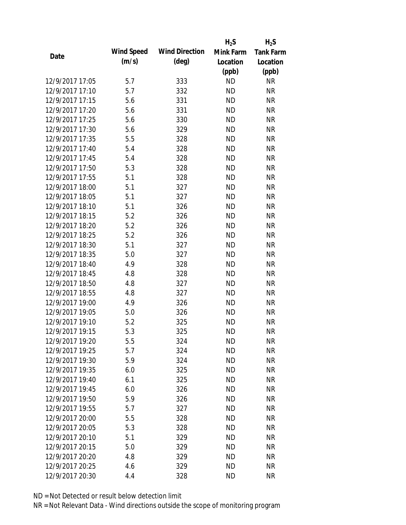|                 |            |                       | $H_2S$    | $H_2S$           |
|-----------------|------------|-----------------------|-----------|------------------|
| Date            | Wind Speed | <b>Wind Direction</b> | Mink Farm | <b>Tank Farm</b> |
|                 | (m/s)      | $(\text{deg})$        | Location  | Location         |
|                 |            |                       | (ppb)     | (ppb)            |
| 12/9/2017 17:05 | 5.7        | 333                   | <b>ND</b> | <b>NR</b>        |
| 12/9/2017 17:10 | 5.7        | 332                   | <b>ND</b> | <b>NR</b>        |
| 12/9/2017 17:15 | 5.6        | 331                   | <b>ND</b> | <b>NR</b>        |
| 12/9/2017 17:20 | 5.6        | 331                   | <b>ND</b> | <b>NR</b>        |
| 12/9/2017 17:25 | 5.6        | 330                   | <b>ND</b> | <b>NR</b>        |
| 12/9/2017 17:30 | 5.6        | 329                   | <b>ND</b> | <b>NR</b>        |
| 12/9/2017 17:35 | 5.5        | 328                   | <b>ND</b> | <b>NR</b>        |
| 12/9/2017 17:40 | 5.4        | 328                   | <b>ND</b> | <b>NR</b>        |
| 12/9/2017 17:45 | 5.4        | 328                   | <b>ND</b> | <b>NR</b>        |
| 12/9/2017 17:50 | 5.3        | 328                   | <b>ND</b> | <b>NR</b>        |
| 12/9/2017 17:55 | 5.1        | 328                   | <b>ND</b> | <b>NR</b>        |
| 12/9/2017 18:00 | 5.1        | 327                   | <b>ND</b> | <b>NR</b>        |
| 12/9/2017 18:05 | 5.1        | 327                   | <b>ND</b> | <b>NR</b>        |
| 12/9/2017 18:10 | 5.1        | 326                   | <b>ND</b> | <b>NR</b>        |
| 12/9/2017 18:15 | 5.2        | 326                   | <b>ND</b> | <b>NR</b>        |
| 12/9/2017 18:20 | 5.2        | 326                   | <b>ND</b> | <b>NR</b>        |
| 12/9/2017 18:25 | 5.2        | 326                   | <b>ND</b> | <b>NR</b>        |
| 12/9/2017 18:30 | 5.1        | 327                   | <b>ND</b> | <b>NR</b>        |
| 12/9/2017 18:35 | 5.0        | 327                   | <b>ND</b> | <b>NR</b>        |
| 12/9/2017 18:40 | 4.9        | 328                   | <b>ND</b> | <b>NR</b>        |
| 12/9/2017 18:45 | 4.8        | 328                   | <b>ND</b> | <b>NR</b>        |
| 12/9/2017 18:50 | 4.8        | 327                   | <b>ND</b> | <b>NR</b>        |
| 12/9/2017 18:55 | 4.8        | 327                   | <b>ND</b> | <b>NR</b>        |
| 12/9/2017 19:00 | 4.9        | 326                   | <b>ND</b> | <b>NR</b>        |
| 12/9/2017 19:05 | 5.0        | 326                   | <b>ND</b> | <b>NR</b>        |
| 12/9/2017 19:10 | 5.2        | 325                   | <b>ND</b> | <b>NR</b>        |
| 12/9/2017 19:15 | 5.3        | 325                   | <b>ND</b> | <b>NR</b>        |
| 12/9/2017 19:20 | 5.5        | 324                   | <b>ND</b> | <b>NR</b>        |
| 12/9/2017 19:25 | 5.7        | 324                   | <b>ND</b> | <b>NR</b>        |
| 12/9/2017 19:30 | 5.9        | 324                   | <b>ND</b> | <b>NR</b>        |
| 12/9/2017 19:35 | 6.0        | 325                   | <b>ND</b> | <b>NR</b>        |
| 12/9/2017 19:40 | 6.1        | 325                   | <b>ND</b> | <b>NR</b>        |
| 12/9/2017 19:45 | 6.0        | 326                   | <b>ND</b> | <b>NR</b>        |
| 12/9/2017 19:50 | 5.9        | 326                   | <b>ND</b> | <b>NR</b>        |
| 12/9/2017 19:55 | 5.7        | 327                   | <b>ND</b> | <b>NR</b>        |
| 12/9/2017 20:00 | 5.5        | 328                   | <b>ND</b> | <b>NR</b>        |
| 12/9/2017 20:05 | 5.3        | 328                   | <b>ND</b> | <b>NR</b>        |
| 12/9/2017 20:10 | 5.1        | 329                   | <b>ND</b> | <b>NR</b>        |
| 12/9/2017 20:15 | 5.0        | 329                   | <b>ND</b> | <b>NR</b>        |
| 12/9/2017 20:20 | 4.8        | 329                   | <b>ND</b> | NR               |
| 12/9/2017 20:25 | 4.6        | 329                   | <b>ND</b> | <b>NR</b>        |
| 12/9/2017 20:30 | 4.4        | 328                   | <b>ND</b> | <b>NR</b>        |
|                 |            |                       |           |                  |